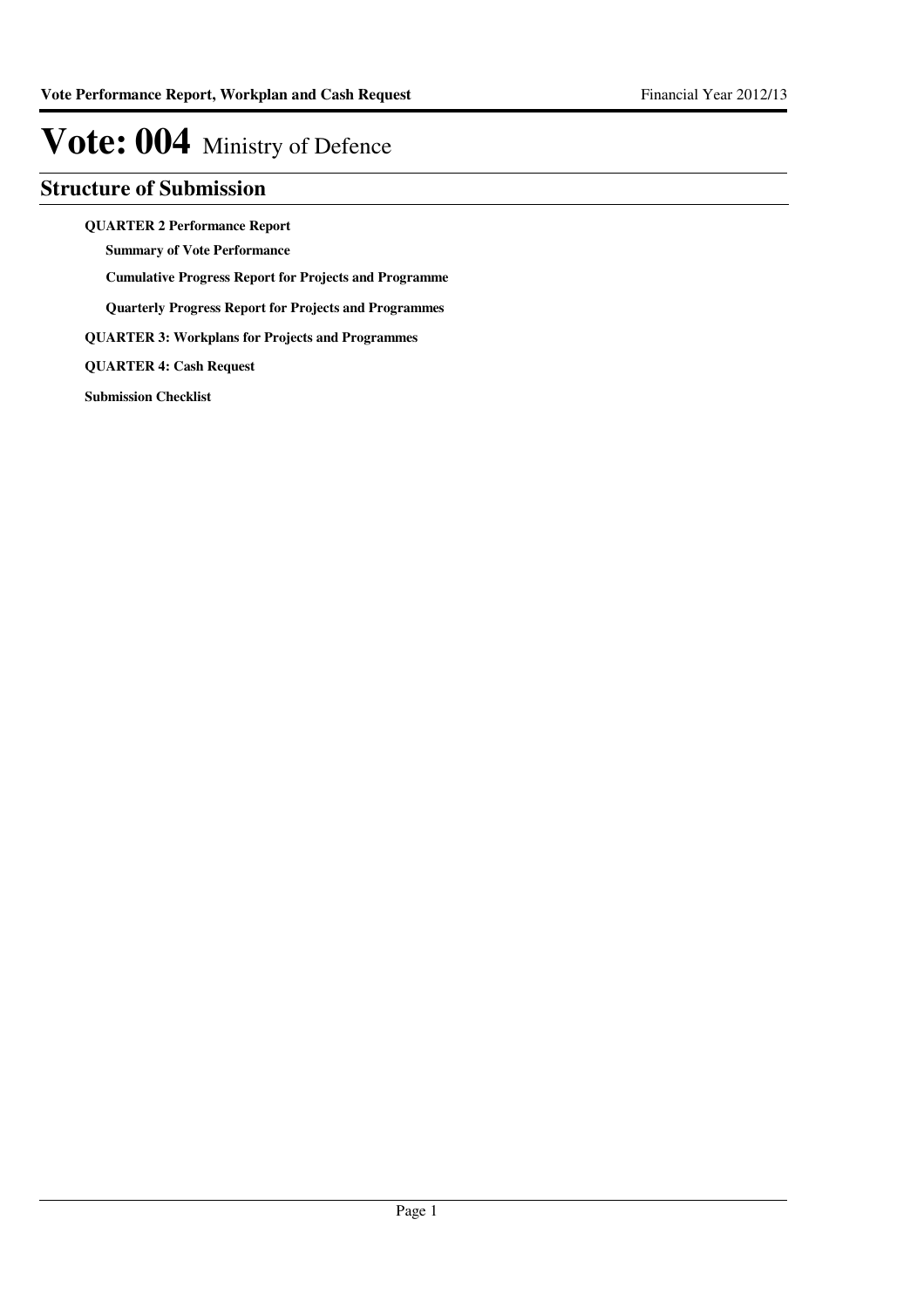### **Structure of Submission**

**QUARTER 2 Performance Report**

**Summary of Vote Performance**

**Cumulative Progress Report for Projects and Programme**

**Quarterly Progress Report for Projects and Programmes**

**QUARTER 3: Workplans for Projects and Programmes**

**QUARTER 4: Cash Request**

**Submission Checklist**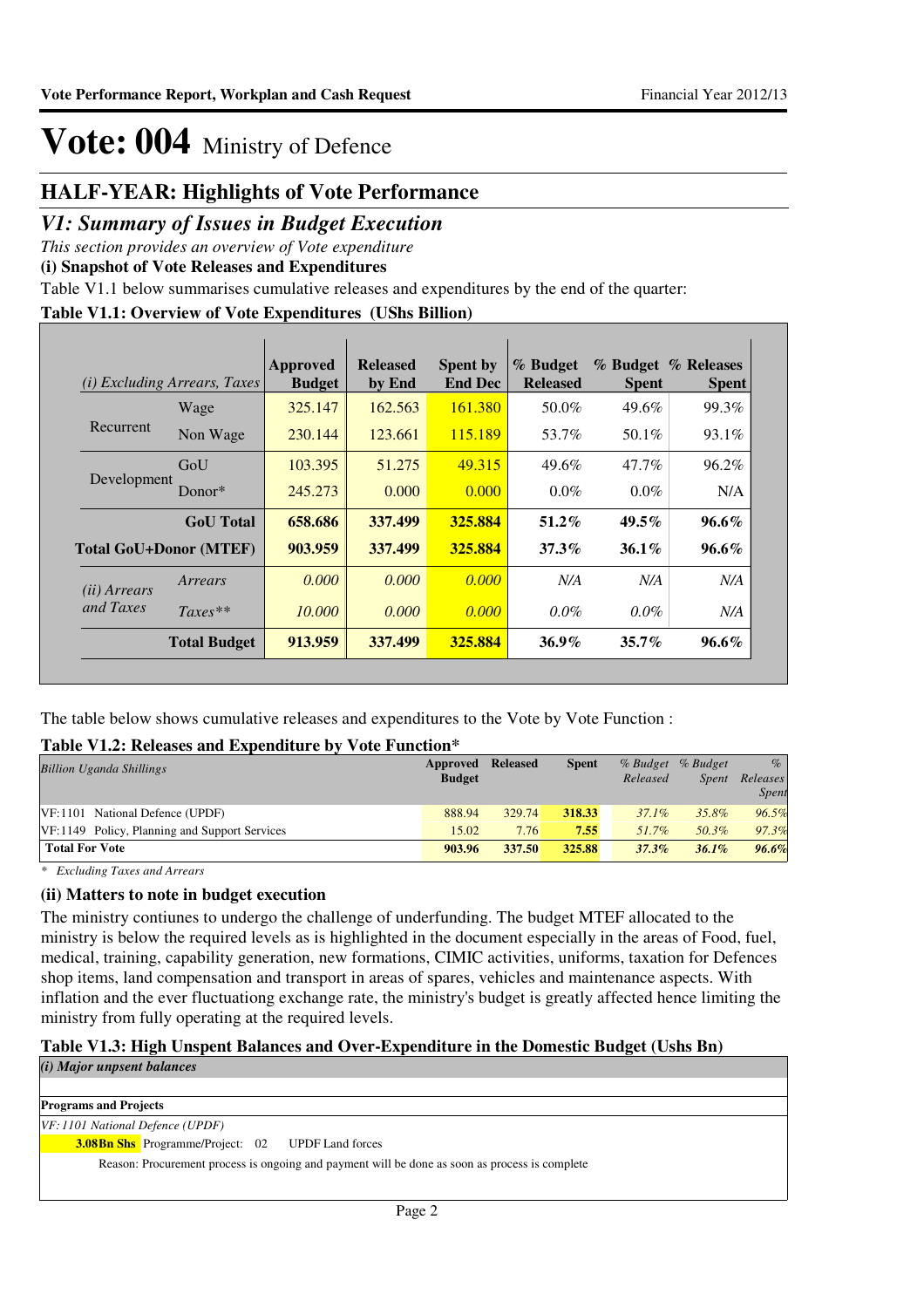### **HALF-YEAR: Highlights of Vote Performance**

### *V1: Summary of Issues in Budget Execution*

*This section provides an overview of Vote expenditure* 

**(i) Snapshot of Vote Releases and Expenditures**

Table V1.1 below summarises cumulative releases and expenditures by the end of the quarter:

### **Table V1.1: Overview of Vote Expenditures (UShs Billion)**

|                       | <i>(i)</i> Excluding Arrears, Taxes | <b>Approved</b><br><b>Budget</b> | <b>Released</b><br>by End | <b>Spent by</b><br><b>End Dec</b> | % Budget<br><b>Released</b> | <b>Spent</b> | % Budget % Releases<br><b>Spent</b> |
|-----------------------|-------------------------------------|----------------------------------|---------------------------|-----------------------------------|-----------------------------|--------------|-------------------------------------|
|                       | Wage                                | 325.147                          | 162.563                   | 161.380                           | 50.0%                       | 49.6%        | 99.3%                               |
| Recurrent             | Non Wage                            | 230.144                          | 123.661                   | 115.189                           | 53.7%                       | 50.1%        | 93.1%                               |
|                       | GoU                                 | 103.395                          | 51.275                    | 49.315                            | 49.6%                       | $47.7\%$     | 96.2%                               |
| Development           | Donor $*$                           | 245.273                          | 0.000                     | 0.000                             | $0.0\%$                     | $0.0\%$      | N/A                                 |
|                       | <b>GoU</b> Total                    | 658.686                          | 337.499                   | 325.884                           | $51.2\%$                    | $49.5\%$     | $96.6\%$                            |
|                       | <b>Total GoU+Donor (MTEF)</b>       | 903.959                          | 337.499                   | 325.884                           | $37.3\%$                    | $36.1\%$     | $96.6\%$                            |
| ( <i>ii</i> ) Arrears | Arrears                             | 0.000                            | 0.000                     | 0.000                             | N/A                         | N/A          | N/A                                 |
| and Taxes             | $Taxes**$                           | 10.000                           | 0.000                     | 0.000                             | $0.0\%$                     | $0.0\%$      | N/A                                 |
|                       | <b>Total Budget</b>                 | 913.959                          | 337.499                   | 325.884                           | $36.9\%$                    | $35.7\%$     | $96.6\%$                            |

The table below shows cumulative releases and expenditures to the Vote by Vote Function :

### **Table V1.2: Releases and Expenditure by Vote Function\***

| <b>Billion Uganda Shillings</b>               | Approved<br><b>Budget</b> | <b>Released</b> | <b>Spent</b> | % Budget<br>Released | % Budget<br><i>Spent</i> | $\%$<br>Releases<br><b>Spent</b> |
|-----------------------------------------------|---------------------------|-----------------|--------------|----------------------|--------------------------|----------------------------------|
| VF: 1101 National Defence (UPDF)              | 888.94                    | 329.74          | 318.33       | $37.1\%$             | 35.8%                    | 96.5%                            |
| VF:1149 Policy, Planning and Support Services | 15.02                     | 7.76            | 7.55         | $51.7\%$             | 50.3%                    | 97.3%                            |
| <b>Total For Vote</b>                         | 903.96                    | 337.50          | 325.88       | 37.3%                | 36.1%                    | 96.6%                            |

*\* Excluding Taxes and Arrears*

### **(ii) Matters to note in budget execution**

The ministry contiunes to undergo the challenge of underfunding. The budget MTEF allocated to the ministry is below the required levels as is highlighted in the document especially in the areas of Food, fuel, medical, training, capability generation, new formations, CIMIC activities, uniforms, taxation for Defences shop items, land compensation and transport in areas of spares, vehicles and maintenance aspects. With inflation and the ever fluctuationg exchange rate, the ministry's budget is greatly affected hence limiting the ministry from fully operating at the required levels.

### **Table V1.3: High Unspent Balances and Over-Expenditure in the Domestic Budget (Ushs Bn)**

*(i) Major unpsent balances*

**Programs and Projects**

*VF: 1101 National Defence (UPDF)*

**Bn Shs** Programme/Project: 02 UPDF Land forces **3.08**

Reason: Procurement process is ongoing and payment will be done as soon as process is complete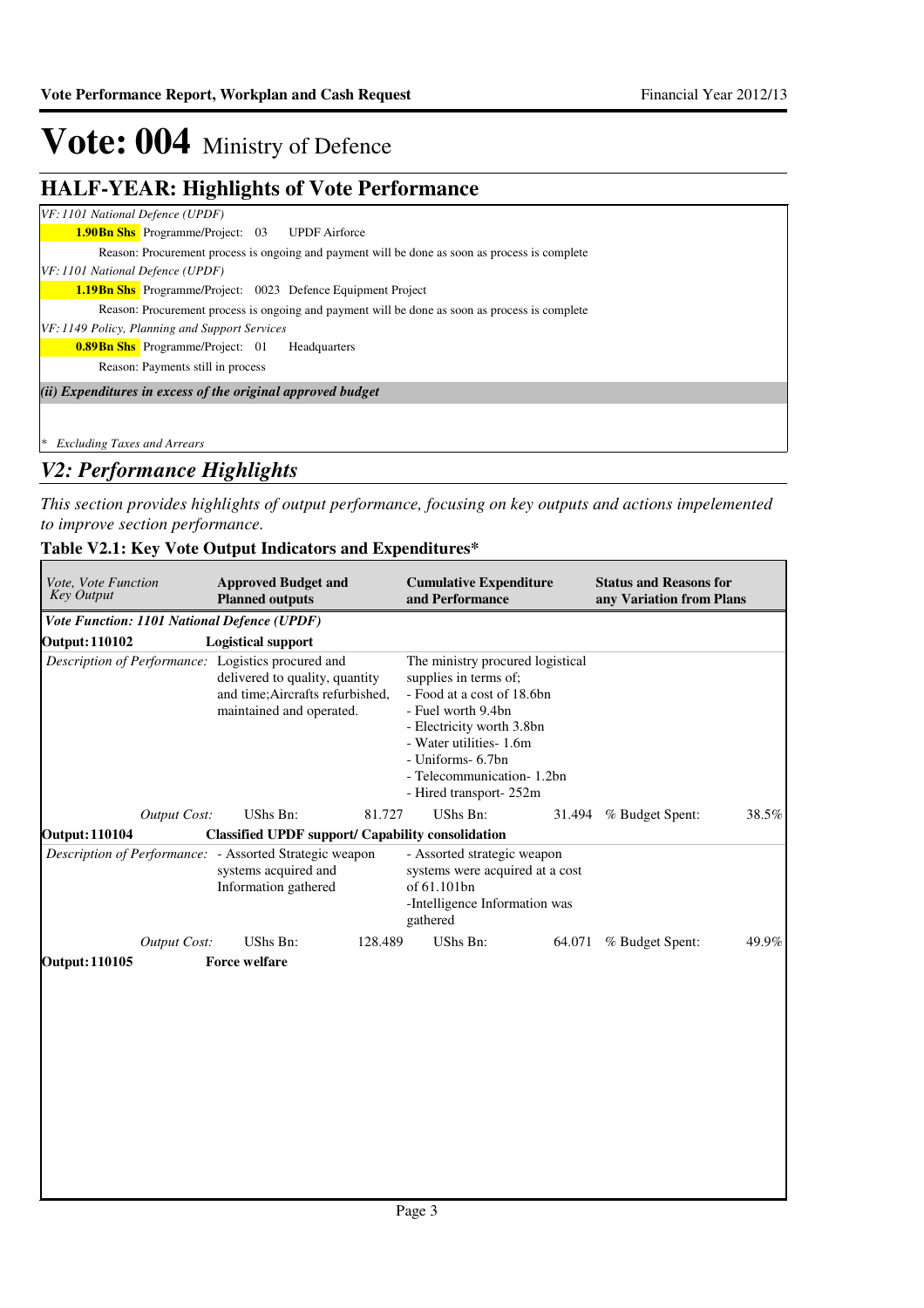٦

# Vote: 004 Ministry of Defence

## **HALF-YEAR: Highlights of Vote Performance**

| VF: 1101 National Defence (UPDF) |                                                             |                                                                                                |
|----------------------------------|-------------------------------------------------------------|------------------------------------------------------------------------------------------------|
|                                  | <b>1.90Bn Shs</b> Programme/Project: 03 UPDF Airforce       |                                                                                                |
|                                  |                                                             | Reason: Procurement process is ongoing and payment will be done as soon as process is complete |
| VF: 1101 National Defence (UPDF) |                                                             |                                                                                                |
|                                  |                                                             | <b>1.19Bn Shs</b> Programme/Project: 0023 Defence Equipment Project                            |
|                                  |                                                             | Reason: Procurement process is ongoing and payment will be done as soon as process is complete |
|                                  | VF: 1149 Policy, Planning and Support Services              |                                                                                                |
|                                  | <b>0.89Bn Shs</b> Programme/Project: 01                     | Headquarters                                                                                   |
|                                  | Reason: Payments still in process                           |                                                                                                |
|                                  | (ii) Expenditures in excess of the original approved budget |                                                                                                |
|                                  |                                                             |                                                                                                |
| * Excluding Taxes and Arrears    |                                                             |                                                                                                |

## *V2: Performance Highlights*

*This section provides highlights of output performance, focusing on key outputs and actions impelemented to improve section performance.*

## **Table V2.1: Key Vote Output Indicators and Expenditures\***

| <b>Approved Budget and</b><br>Vote, Vote Function<br><b>Key Output</b><br><b>Planned outputs</b> |                                                                                                | <b>Cumulative Expenditure</b><br>and Performance |                                                                                                                                                                                                                                                     | <b>Status and Reasons for</b><br>any Variation from Plans |                 |       |
|--------------------------------------------------------------------------------------------------|------------------------------------------------------------------------------------------------|--------------------------------------------------|-----------------------------------------------------------------------------------------------------------------------------------------------------------------------------------------------------------------------------------------------------|-----------------------------------------------------------|-----------------|-------|
| Vote Function: 1101 National Defence (UPDF)                                                      |                                                                                                |                                                  |                                                                                                                                                                                                                                                     |                                                           |                 |       |
| <b>Output: 110102</b>                                                                            | <b>Logistical support</b>                                                                      |                                                  |                                                                                                                                                                                                                                                     |                                                           |                 |       |
| Description of Performance: Logistics procured and                                               | delivered to quality, quantity<br>and time; Aircrafts refurbished,<br>maintained and operated. |                                                  | The ministry procured logistical<br>supplies in terms of;<br>- Food at a cost of 18.6bn<br>- Fuel worth 9.4bn<br>- Electricity worth 3.8bn<br>- Water utilities- 1.6m<br>- Uniforms- 6.7bn<br>- Telecommunication- 1.2bn<br>- Hired transport- 252m |                                                           |                 |       |
| <b>Output Cost:</b>                                                                              | UShs Bn:                                                                                       | 81.727                                           | UShs Bn:                                                                                                                                                                                                                                            | 31.494                                                    | % Budget Spent: | 38.5% |
| <b>Output: 110104</b>                                                                            | <b>Classified UPDF support/ Capability consolidation</b>                                       |                                                  |                                                                                                                                                                                                                                                     |                                                           |                 |       |
| Description of Performance: - Assorted Strategic weapon                                          | systems acquired and<br>Information gathered                                                   |                                                  | - Assorted strategic weapon<br>systems were acquired at a cost<br>of 61.101bn<br>-Intelligence Information was<br>gathered                                                                                                                          |                                                           |                 |       |
| <b>Output Cost:</b>                                                                              | UShs Bn:                                                                                       | 128.489                                          | UShs Bn:                                                                                                                                                                                                                                            | 64.071                                                    | % Budget Spent: | 49.9% |
| <b>Output: 110105</b>                                                                            | <b>Force welfare</b>                                                                           |                                                  |                                                                                                                                                                                                                                                     |                                                           |                 |       |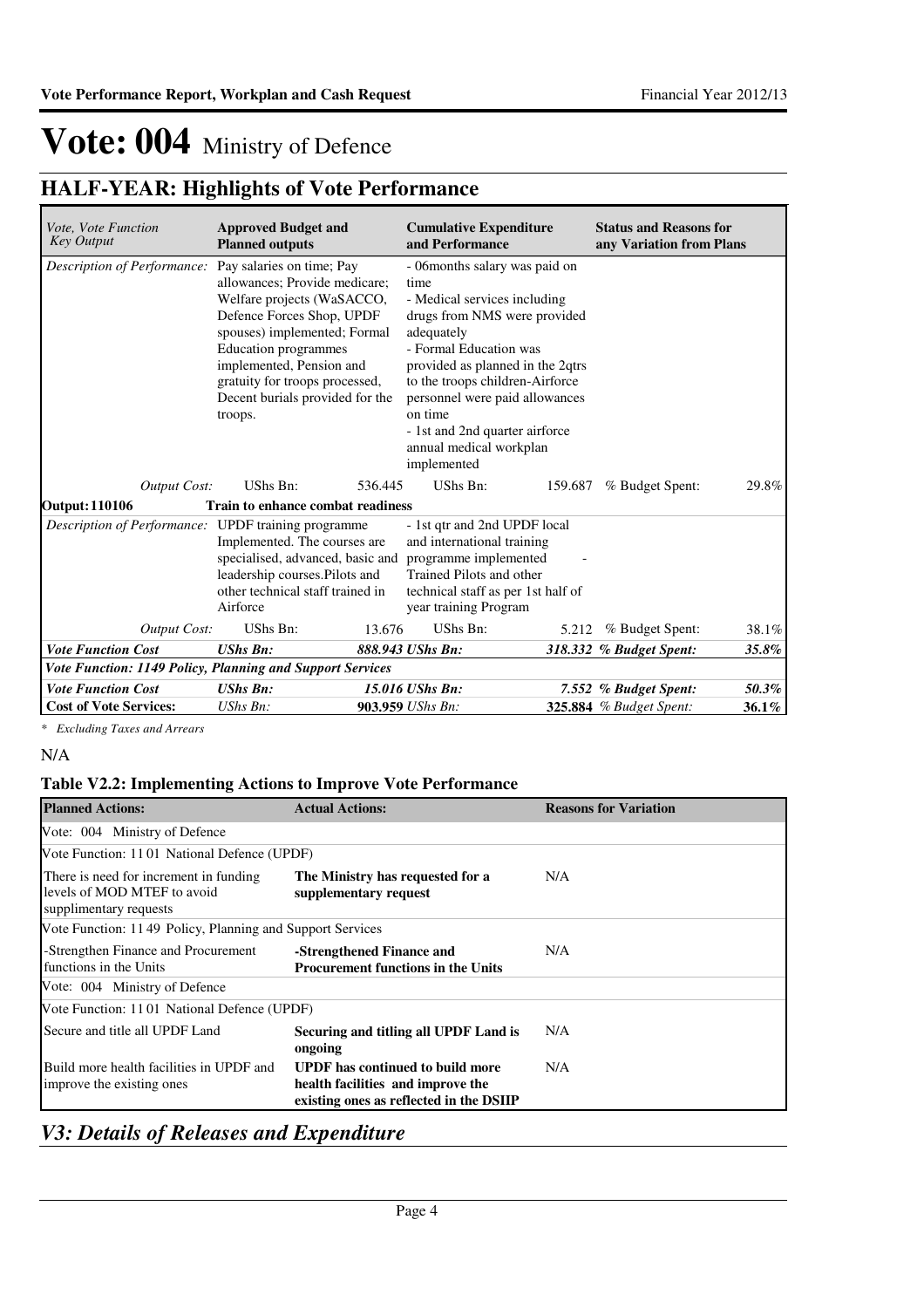## **HALF-YEAR: Highlights of Vote Performance**

| <i>Vote, Vote Function</i><br><b>Key Output</b>                  | <b>Approved Budget and</b><br><b>Planned outputs</b>                                                                                                                                                                                                                                             | <b>Cumulative Expenditure</b><br>and Performance                                                                                                                    |                                                                                                                                                                        | <b>Status and Reasons for</b><br>any Variation from Plans |       |
|------------------------------------------------------------------|--------------------------------------------------------------------------------------------------------------------------------------------------------------------------------------------------------------------------------------------------------------------------------------------------|---------------------------------------------------------------------------------------------------------------------------------------------------------------------|------------------------------------------------------------------------------------------------------------------------------------------------------------------------|-----------------------------------------------------------|-------|
| Description of Performance:                                      | Pay salaries on time; Pay<br>allowances; Provide medicare;<br>Welfare projects (WaSACCO,<br>Defence Forces Shop, UPDF<br>spouses) implemented; Formal<br><b>Education</b> programmes<br>implemented, Pension and<br>gratuity for troops processed,<br>Decent burials provided for the<br>troops. | time<br>- Medical services including<br>adequately<br>- Formal Education was<br>on time<br>- 1st and 2nd quarter airforce<br>annual medical workplan<br>implemented | - 06months salary was paid on<br>drugs from NMS were provided<br>provided as planned in the 2qtrs<br>to the troops children-Airforce<br>personnel were paid allowances |                                                           |       |
| <b>Output Cost:</b>                                              | UShs Bn:                                                                                                                                                                                                                                                                                         | UShs Bn:<br>536.445                                                                                                                                                 | 159.687                                                                                                                                                                | % Budget Spent:                                           | 29.8% |
| <b>Output: 110106</b>                                            | Train to enhance combat readiness                                                                                                                                                                                                                                                                | - 1st qtr and 2nd UPDF local                                                                                                                                        |                                                                                                                                                                        |                                                           |       |
|                                                                  | <i>Description of Performance:</i> UPDF training programme<br>Implemented. The courses are<br>specialised, advanced, basic and<br>leadership courses.Pilots and<br>other technical staff trained in<br>Airforce                                                                                  |                                                                                                                                                                     |                                                                                                                                                                        |                                                           |       |
| <b>Output Cost:</b>                                              | UShs Bn:                                                                                                                                                                                                                                                                                         | UShs Bn:<br>13.676                                                                                                                                                  | 5.212                                                                                                                                                                  | % Budget Spent:                                           | 38.1% |
| <b>Vote Function Cost</b>                                        | <b>UShs Bn:</b>                                                                                                                                                                                                                                                                                  | 888.943 UShs Bn:                                                                                                                                                    |                                                                                                                                                                        | 318.332 % Budget Spent:                                   | 35.8% |
| <b>Vote Function: 1149 Policy, Planning and Support Services</b> |                                                                                                                                                                                                                                                                                                  |                                                                                                                                                                     |                                                                                                                                                                        |                                                           |       |
| <b>Vote Function Cost</b>                                        | <b>UShs Bn:</b>                                                                                                                                                                                                                                                                                  | 15.016 UShs Bn:                                                                                                                                                     |                                                                                                                                                                        | 7.552 % Budget Spent:                                     | 50.3% |
| <b>Cost of Vote Services:</b>                                    | UShs Bn:                                                                                                                                                                                                                                                                                         | 903.959 UShs Bn:                                                                                                                                                    |                                                                                                                                                                        | 325.884 % Budget Spent:                                   | 36.1% |

*\* Excluding Taxes and Arrears*

N/A

### **Table V2.2: Implementing Actions to Improve Vote Performance**

| <b>Planned Actions:</b>                                                                         | <b>Actual Actions:</b>                                                                                                  | <b>Reasons for Variation</b> |
|-------------------------------------------------------------------------------------------------|-------------------------------------------------------------------------------------------------------------------------|------------------------------|
| Vote: 004 Ministry of Defence                                                                   |                                                                                                                         |                              |
| Vote Function: 1101 National Defence (UPDF)                                                     |                                                                                                                         |                              |
| There is need for increment in funding<br>levels of MOD MTEF to avoid<br>supplimentary requests | The Ministry has requested for a<br>supplementary request                                                               | N/A                          |
| Vote Function: 1149 Policy, Planning and Support Services                                       |                                                                                                                         |                              |
| -Strengthen Finance and Procurement<br>functions in the Units                                   | -Strengthened Finance and<br><b>Procurement functions in the Units</b>                                                  | N/A                          |
| Vote: 004 Ministry of Defence                                                                   |                                                                                                                         |                              |
| Vote Function: 1101 National Defence (UPDF)                                                     |                                                                                                                         |                              |
| Secure and title all UPDF Land                                                                  | Securing and titling all UPDF Land is<br>ongoing                                                                        | N/A                          |
| Build more health facilities in UPDF and<br>improve the existing ones                           | <b>UPDF</b> has continued to build more<br>health facilities and improve the<br>existing ones as reflected in the DSIIP | N/A                          |

## *V3: Details of Releases and Expenditure*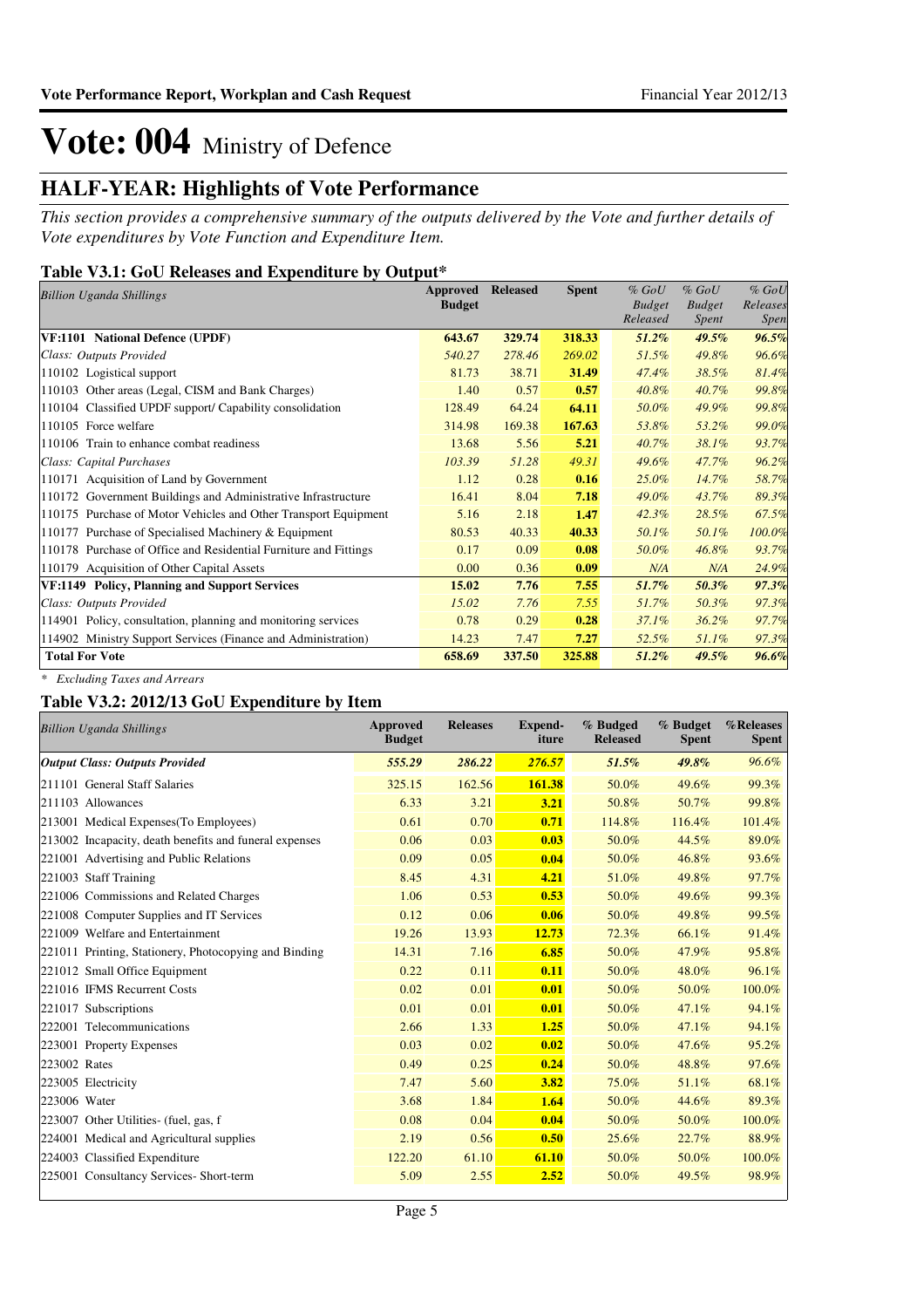## **HALF-YEAR: Highlights of Vote Performance**

*This section provides a comprehensive summary of the outputs delivered by the Vote and further details of Vote expenditures by Vote Function and Expenditure Item.*

### **Table V3.1: GoU Releases and Expenditure by Output\***

| <b>Billion Uganda Shillings</b>                                  | Approved      | <b>Released</b> | <b>Spent</b> | $%$ GoU                   | $%$ GoU                | $%$ GoU                 |
|------------------------------------------------------------------|---------------|-----------------|--------------|---------------------------|------------------------|-------------------------|
|                                                                  | <b>Budget</b> |                 |              | <b>Budget</b><br>Released | <b>Budget</b><br>Spent | Releases<br><i>Spen</i> |
| VF:1101 National Defence (UPDF)                                  | 643.67        | 329.74          | 318.33       | $51.2\%$                  | $49.5\%$               | 96.5%                   |
| Class: Outputs Provided                                          | 540.27        | 278.46          | 269.02       | 51.5%                     | 49.8%                  | 96.6%                   |
| 110102 Logistical support                                        | 81.73         | 38.71           | 31.49        | 47.4%                     | 38.5%                  | 81.4%                   |
| 110103 Other areas (Legal, CISM and Bank Charges)                | 1.40          | 0.57            | 0.57         | 40.8%                     | 40.7%                  | 99.8%                   |
| 110104 Classified UPDF support/ Capability consolidation         | 128.49        | 64.24           | 64.11        | 50.0%                     | 49.9%                  | 99.8%                   |
| 110105 Force welfare                                             | 314.98        | 169.38          | 167.63       | 53.8%                     | 53.2%                  | 99.0%                   |
| 110106 Train to enhance combat readiness                         | 13.68         | 5.56            | 5.21         | 40.7%                     | 38.1%                  | 93.7%                   |
| Class: Capital Purchases                                         | 103.39        | 51.28           | 49.31        | 49.6%                     | 47.7%                  | 96.2%                   |
| 110171 Acquisition of Land by Government                         | 1.12          | 0.28            | 0.16         | $25.0\%$                  | $14.7\%$               | 58.7%                   |
| 110172 Government Buildings and Administrative Infrastructure    | 16.41         | 8.04            | 7.18         | 49.0%                     | 43.7%                  | 89.3%                   |
| 110175 Purchase of Motor Vehicles and Other Transport Equipment  | 5.16          | 2.18            | 1.47         | 42.3%                     | 28.5%                  | 67.5%                   |
| 110177 Purchase of Specialised Machinery & Equipment             | 80.53         | 40.33           | 40.33        | 50.1%                     | 50.1%                  | 100.0%                  |
| 110178 Purchase of Office and Residential Furniture and Fittings | 0.17          | 0.09            | 0.08         | 50.0%                     | 46.8%                  | 93.7%                   |
| 110179 Acquisition of Other Capital Assets                       | 0.00          | 0.36            | 0.09         | N/A                       | N/A                    | 24.9%                   |
| VF:1149 Policy, Planning and Support Services                    | 15.02         | 7.76            | 7.55         | 51.7%                     | 50.3%                  | 97.3%                   |
| Class: Outputs Provided                                          | 15.02         | 7.76            | 7.55         | 51.7%                     | 50.3%                  | 97.3%                   |
| 114901 Policy, consultation, planning and monitoring services    | 0.78          | 0.29            | 0.28         | 37.1%                     | $36.2\%$               | 97.7%                   |
| 114902 Ministry Support Services (Finance and Administration)    | 14.23         | 7.47            | 7.27         | 52.5%                     | $51.1\%$               | 97.3%                   |
| <b>Total For Vote</b>                                            | 658.69        | 337.50          | 325.88       | $51.2\%$                  | $49.5\%$               | 96.6%                   |

*\* Excluding Taxes and Arrears*

### **Table V3.2: 2012/13 GoU Expenditure by Item**

|              | <b>Billion Uganda Shillings</b>                        | <b>Approved</b><br><b>Budget</b> | <b>Releases</b> | <b>Expend-</b><br>iture | % Budged<br><b>Released</b> | % Budget<br><b>Spent</b> | %Releases<br><b>Spent</b> |
|--------------|--------------------------------------------------------|----------------------------------|-----------------|-------------------------|-----------------------------|--------------------------|---------------------------|
|              | <b>Output Class: Outputs Provided</b>                  | 555.29                           | 286.22          | 276.57                  | 51.5%                       | 49.8%                    | 96.6%                     |
|              | 211101 General Staff Salaries                          | 325.15                           | 162.56          | 161.38                  | 50.0%                       | 49.6%                    | 99.3%                     |
|              | 211103 Allowances                                      | 6.33                             | 3.21            | 3.21                    | 50.8%                       | 50.7%                    | 99.8%                     |
|              | 213001 Medical Expenses (To Employees)                 | 0.61                             | 0.70            | 0.71                    | 114.8%                      | 116.4%                   | 101.4%                    |
|              | 213002 Incapacity, death benefits and funeral expenses | 0.06                             | 0.03            | 0.03                    | 50.0%                       | 44.5%                    | 89.0%                     |
|              | 221001 Advertising and Public Relations                | 0.09                             | 0.05            | 0.04                    | 50.0%                       | 46.8%                    | 93.6%                     |
|              | 221003 Staff Training                                  | 8.45                             | 4.31            | 4.21                    | 51.0%                       | 49.8%                    | 97.7%                     |
|              | 221006 Commissions and Related Charges                 | 1.06                             | 0.53            | 0.53                    | 50.0%                       | 49.6%                    | 99.3%                     |
|              | 221008 Computer Supplies and IT Services               | 0.12                             | 0.06            | 0.06                    | 50.0%                       | 49.8%                    | 99.5%                     |
|              | 221009 Welfare and Entertainment                       | 19.26                            | 13.93           | 12.73                   | 72.3%                       | 66.1%                    | 91.4%                     |
|              | 221011 Printing, Stationery, Photocopying and Binding  | 14.31                            | 7.16            | 6.85                    | 50.0%                       | 47.9%                    | 95.8%                     |
|              | 221012 Small Office Equipment                          | 0.22                             | 0.11            | 0.11                    | 50.0%                       | 48.0%                    | 96.1%                     |
|              | 221016 IFMS Recurrent Costs                            | 0.02                             | 0.01            | 0.01                    | 50.0%                       | 50.0%                    | 100.0%                    |
|              | 221017 Subscriptions                                   | 0.01                             | 0.01            | 0.01                    | 50.0%                       | 47.1%                    | 94.1%                     |
|              | 222001 Telecommunications                              | 2.66                             | 1.33            | 1.25                    | 50.0%                       | 47.1%                    | 94.1%                     |
|              | 223001 Property Expenses                               | 0.03                             | 0.02            | 0.02                    | 50.0%                       | 47.6%                    | 95.2%                     |
| 223002 Rates |                                                        | 0.49                             | 0.25            | 0.24                    | 50.0%                       | 48.8%                    | 97.6%                     |
|              | 223005 Electricity                                     | 7.47                             | 5.60            | 3.82                    | 75.0%                       | 51.1%                    | 68.1%                     |
| 223006 Water |                                                        | 3.68                             | 1.84            | 1.64                    | 50.0%                       | 44.6%                    | 89.3%                     |
|              | 223007 Other Utilities- (fuel, gas, f                  | 0.08                             | 0.04            | 0.04                    | 50.0%                       | 50.0%                    | 100.0%                    |
|              | 224001 Medical and Agricultural supplies               | 2.19                             | 0.56            | 0.50                    | 25.6%                       | 22.7%                    | 88.9%                     |
|              | 224003 Classified Expenditure                          | 122.20                           | 61.10           | 61.10                   | 50.0%                       | 50.0%                    | 100.0%                    |
|              | 225001 Consultancy Services- Short-term                | 5.09                             | 2.55            | 2.52                    | 50.0%                       | 49.5%                    | 98.9%                     |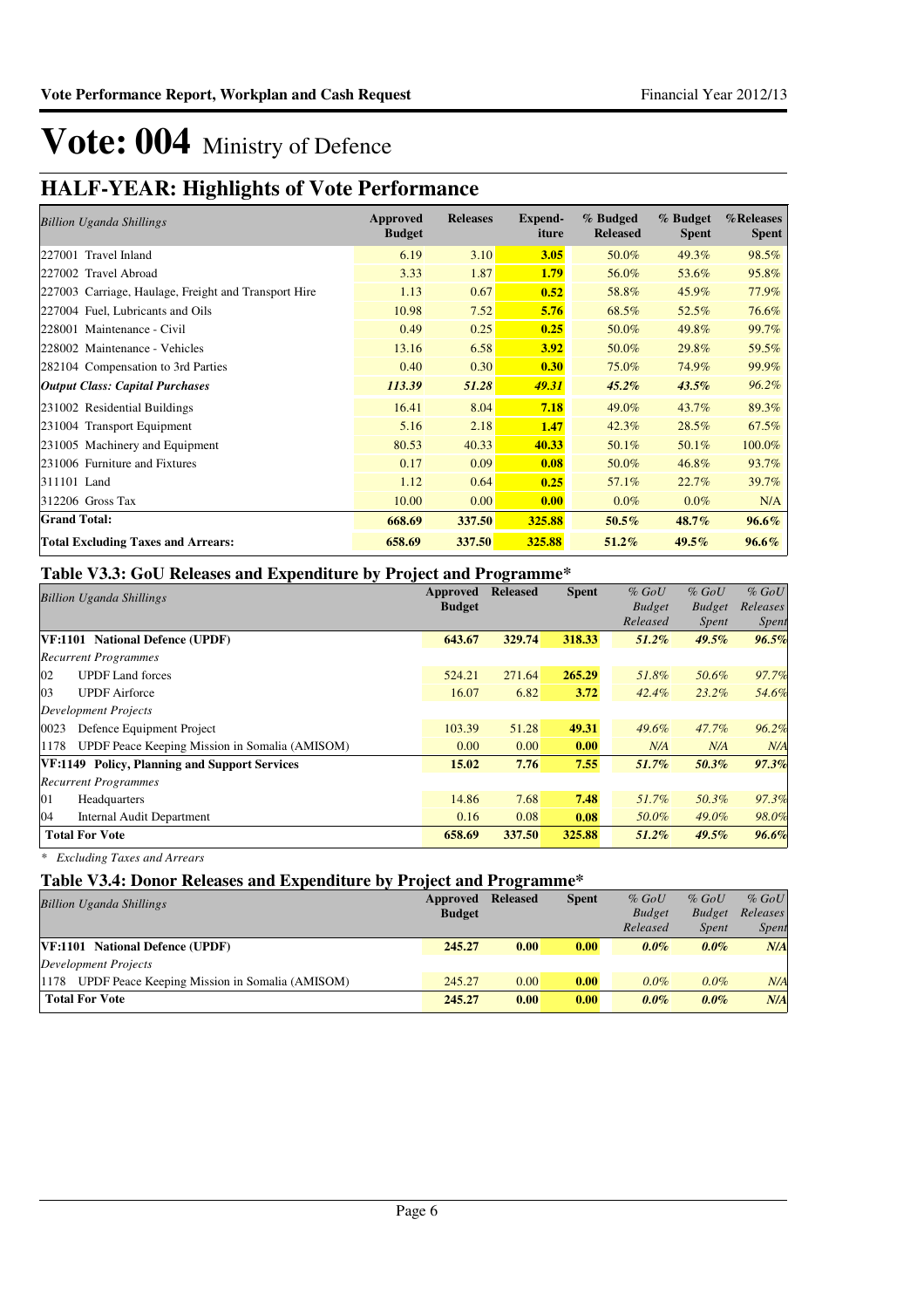## **HALF-YEAR: Highlights of Vote Performance**

| <b>Billion Uganda Shillings</b>                      | Approved<br><b>Budget</b> | <b>Releases</b> | Expend-<br>iture | % Budged<br><b>Released</b> | % Budget<br><b>Spent</b> | %Releases<br><b>Spent</b> |
|------------------------------------------------------|---------------------------|-----------------|------------------|-----------------------------|--------------------------|---------------------------|
| 227001 Travel Inland                                 | 6.19                      | 3.10            | 3.05             | 50.0%                       | 49.3%                    | 98.5%                     |
| 227002 Travel Abroad                                 | 3.33                      | 1.87            | 1.79             | 56.0%                       | 53.6%                    | 95.8%                     |
| 227003 Carriage, Haulage, Freight and Transport Hire | 1.13                      | 0.67            | 0.52             | 58.8%                       | 45.9%                    | 77.9%                     |
| 227004 Fuel, Lubricants and Oils                     | 10.98                     | 7.52            | 5.76             | 68.5%                       | 52.5%                    | 76.6%                     |
| 228001 Maintenance - Civil                           | 0.49                      | 0.25            | 0.25             | 50.0%                       | 49.8%                    | 99.7%                     |
| 228002 Maintenance - Vehicles                        | 13.16                     | 6.58            | 3.92             | 50.0%                       | 29.8%                    | 59.5%                     |
| 282104 Compensation to 3rd Parties                   | 0.40                      | 0.30            | 0.30             | 75.0%                       | 74.9%                    | 99.9%                     |
| <b>Output Class: Capital Purchases</b>               | 113.39                    | 51.28           | 49.31            | $45.2\%$                    | $43.5\%$                 | $96.2\%$                  |
| 231002 Residential Buildings                         | 16.41                     | 8.04            | 7.18             | 49.0%                       | 43.7%                    | 89.3%                     |
| 231004 Transport Equipment                           | 5.16                      | 2.18            | 1.47             | 42.3%                       | 28.5%                    | 67.5%                     |
| 231005 Machinery and Equipment                       | 80.53                     | 40.33           | 40.33            | 50.1%                       | 50.1%                    | 100.0%                    |
| 231006 Furniture and Fixtures                        | 0.17                      | 0.09            | 0.08             | 50.0%                       | 46.8%                    | 93.7%                     |
| 311101 Land                                          | 1.12                      | 0.64            | 0.25             | 57.1%                       | 22.7%                    | 39.7%                     |
| $312206$ Gross Tax                                   | 10.00                     | 0.00            | 0.00             | $0.0\%$                     | $0.0\%$                  | N/A                       |
| <b>Grand Total:</b>                                  | 668.69                    | 337.50          | 325.88           | 50.5%                       | 48.7%                    | $96.6\%$                  |
| <b>Total Excluding Taxes and Arrears:</b>            | 658.69                    | 337.50          | 325.88           | 51.2%                       | $49.5\%$                 | $96.6\%$                  |

### **Table V3.3: GoU Releases and Expenditure by Project and Programme\***

|      | <b>Billion Uganda Shillings</b>                | Approved      | <b>Released</b> | <b>Spent</b> | $%$ GoU       | $%$ GoU       | $%$ GoU  |
|------|------------------------------------------------|---------------|-----------------|--------------|---------------|---------------|----------|
|      |                                                | <b>Budget</b> |                 |              | <b>Budget</b> | <b>Budget</b> | Releases |
|      |                                                |               |                 |              | Released      | <i>Spent</i>  | Spent    |
|      | VF:1101 National Defence (UPDF)                | 643.67        | 329.74          | 318.33       | $51.2\%$      | $49.5\%$      | 96.5%    |
|      | <b>Recurrent Programmes</b>                    |               |                 |              |               |               |          |
| 02   | <b>UPDF</b> Land forces                        | 524.21        | 271.64          | 265.29       | 51.8%         | 50.6%         | 97.7%    |
| 03   | <b>UPDF</b> Airforce                           | 16.07         | 6.82            | 3.72         | $42.4\%$      | $23.2\%$      | 54.6%    |
|      | Development Projects                           |               |                 |              |               |               |          |
| 0023 | Defence Equipment Project                      | 103.39        | 51.28           | 49.31        | 49.6%         | 47.7%         | 96.2%    |
| 1178 | UPDF Peace Keeping Mission in Somalia (AMISOM) | 0.00          | 0.00            | 0.00         | N/A           | N/A           | N/A      |
|      | VF:1149 Policy, Planning and Support Services  | 15.02         | 7.76            | 7.55         | 51.7%         | 50.3%         | 97.3%    |
|      | <b>Recurrent Programmes</b>                    |               |                 |              |               |               |          |
| 01   | Headquarters                                   | 14.86         | 7.68            | 7.48         | 51.7%         | 50.3%         | 97.3%    |
| 04   | <b>Internal Audit Department</b>               | 0.16          | 0.08            | 0.08         | 50.0%         | $49.0\%$      | 98.0%    |
|      | <b>Total For Vote</b>                          | 658.69        | 337.50          | 325.88       | $51.2\%$      | $49.5\%$      | 96.6%    |

*\* Excluding Taxes and Arrears*

### **Table V3.4: Donor Releases and Expenditure by Project and Programme\***

| <b>Billion Uganda Shillings</b>                        | Approved      | <b>Released</b> | <b>Spent</b> | $%$ GoU       | $%$ GoU       | $%$ GoU      |
|--------------------------------------------------------|---------------|-----------------|--------------|---------------|---------------|--------------|
|                                                        | <b>Budget</b> |                 |              | <b>Budget</b> | <b>Budget</b> | Releases     |
|                                                        |               |                 |              | Released      | <i>Spent</i>  | <i>Spent</i> |
| VF:1101 National Defence (UPDF)                        | 245.27        | 0.00            | 0.00         | $0.0\%$       | $0.0\%$       | N/A          |
| Development Projects                                   |               |                 |              |               |               |              |
| UPDF Peace Keeping Mission in Somalia (AMISOM)<br>1178 | 245.27        | 0.00            | 0.00         | $0.0\%$       | $0.0\%$       | N/A          |
| <b>Total For Vote</b>                                  | 245.27        | 0.00            | 0.00         | $0.0\%$       | $0.0\%$       | N/A          |
|                                                        |               |                 |              |               |               |              |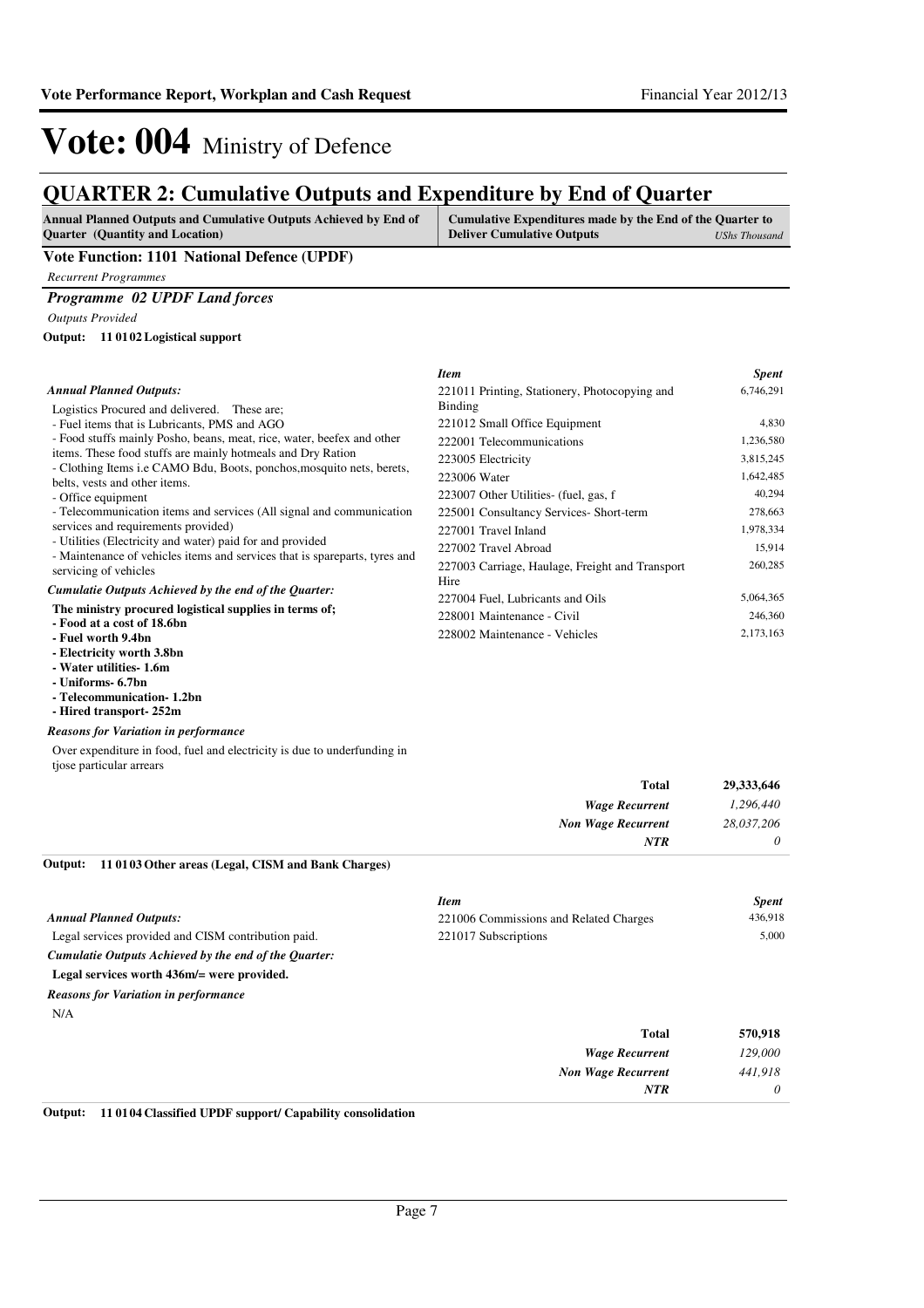## **QUARTER 2: Cumulative Outputs and Expenditure by End of Quarter**

| <b>Annual Planned Outputs and Cumulative Outputs Achieved by End of</b> | Cumulative Expenditures made by the End of the Quarter to |
|-------------------------------------------------------------------------|-----------------------------------------------------------|
| <b>Ouarter</b> (Quantity and Location)                                  | <b>Deliver Cumulative Outputs</b><br>UShs Thousand        |
| ___                                                                     |                                                           |

#### **Vote Function: 1101 National Defence (UPDF)**

*Recurrent Programmes*

### *Programme 02 UPDF Land forces*

*Outputs Provided*

#### **11 0102 Logistical support Output:**

|                                                 | <b>Spent</b> |
|-------------------------------------------------|--------------|
| 221011 Printing, Stationery, Photocopying and   | 6,746,291    |
| Binding                                         |              |
| 221012 Small Office Equipment                   | 4,830        |
| 222001 Telecommunications                       | 1,236,580    |
| 223005 Electricity                              | 3,815,245    |
| 223006 Water                                    | 1,642,485    |
| 223007 Other Utilities- (fuel, gas, f           | 40,294       |
| 225001 Consultancy Services- Short-term         | 278,663      |
| 227001 Travel Inland                            | 1,978,334    |
| 227002 Travel Abroad                            | 15,914       |
| 227003 Carriage, Haulage, Freight and Transport | 260,285      |
| Hire                                            |              |
| 227004 Fuel, Lubricants and Oils                | 5,064,365    |
| 228001 Maintenance - Civil                      | 246,360      |
| 228002 Maintenance - Vehicles                   | 2,173,163    |
|                                                 | <b>Item</b>  |

- **Electricity worth 3.8bn**
- **Water utilities- 1.6m**
- **Uniforms- 6.7bn**
- **Telecommunication- 1.2bn**
- **Hired transport- 252m**

#### *Reasons for Variation in performance*

Over expenditure in food, fuel and electricity is due to underfunding in tjose particular arrears

| 29,333,646 | <b>Total</b>              |
|------------|---------------------------|
| 1,296,440  | <b>Wage Recurrent</b>     |
| 28,037,206 | <b>Non Wage Recurrent</b> |
| $\theta$   | <b>NTR</b>                |
|            |                           |

**11 0103 Other areas (Legal, CISM and Bank Charges) Output:**

|                                                       | <b>Item</b>                            | <b>Spent</b> |
|-------------------------------------------------------|----------------------------------------|--------------|
| <b>Annual Planned Outputs:</b>                        | 221006 Commissions and Related Charges | 436,918      |
| Legal services provided and CISM contribution paid.   | 221017 Subscriptions                   | 5.000        |
| Cumulatie Outputs Achieved by the end of the Quarter: |                                        |              |
| Legal services worth 436m/= were provided.            |                                        |              |
| <b>Reasons for Variation in performance</b>           |                                        |              |
| N/A                                                   |                                        |              |
|                                                       | <b>Total</b>                           | 570,918      |
|                                                       | <b>Wage Recurrent</b>                  | 129,000      |
|                                                       | <b>Non Wage Recurrent</b>              | 441,918      |
|                                                       | <b>NTR</b>                             | $\theta$     |

#### **Output: 11 0104 Classified UPDF support/ Capability consolidation**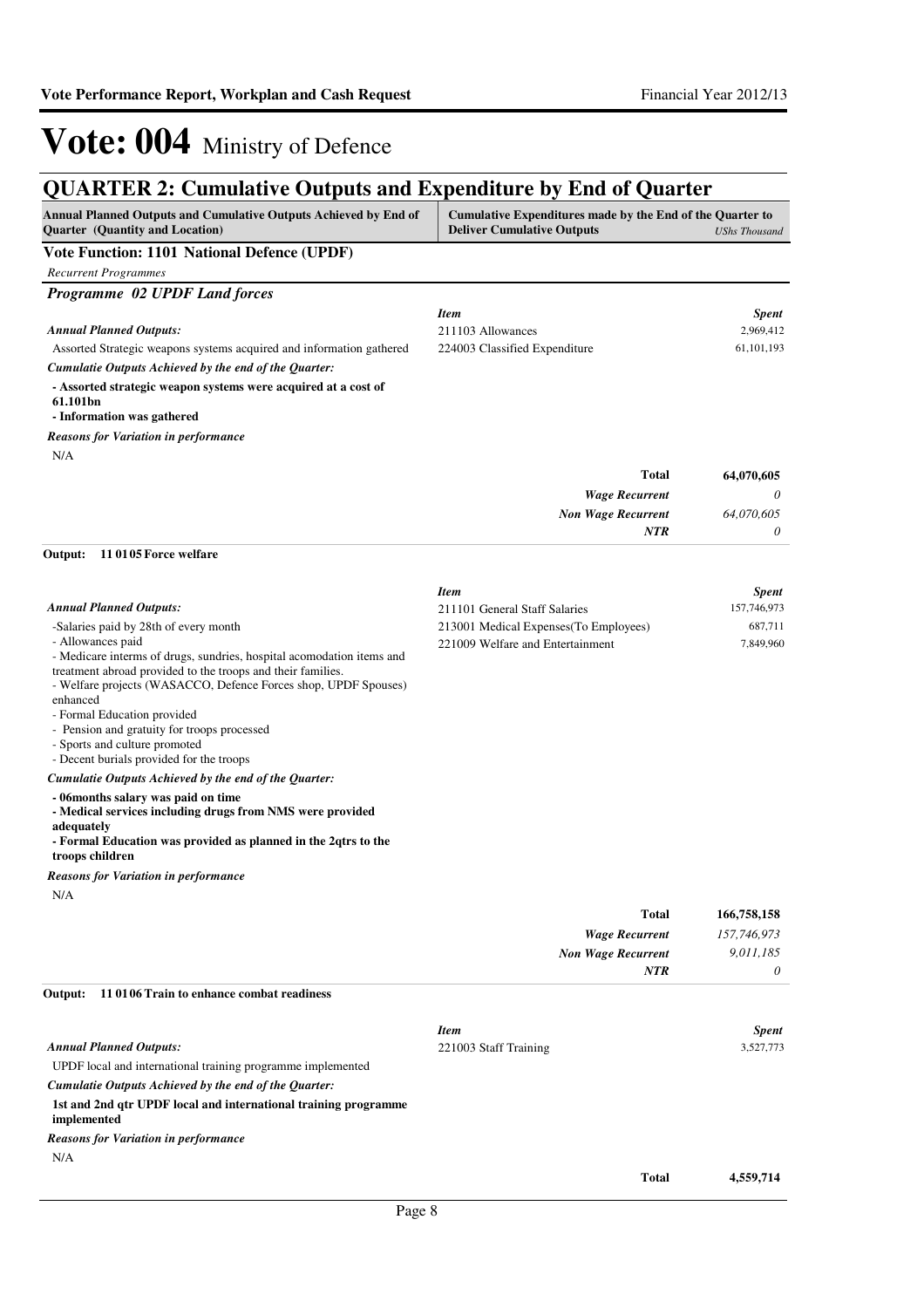## **QUARTER 2: Cumulative Outputs and Expenditure by End of Quarter**

| Annual Planned Outputs and Cumulative Outputs Achieved by End of<br>Quarter (Quantity and Location)                                  | Cumulative Expenditures made by the End of the Quarter to<br><b>Deliver Cumulative Outputs</b> | UShs Thousand             |
|--------------------------------------------------------------------------------------------------------------------------------------|------------------------------------------------------------------------------------------------|---------------------------|
| Vote Function: 1101 National Defence (UPDF)                                                                                          |                                                                                                |                           |
| <b>Recurrent Programmes</b>                                                                                                          |                                                                                                |                           |
| Programme 02 UPDF Land forces                                                                                                        |                                                                                                |                           |
| <b>Annual Planned Outputs:</b>                                                                                                       | <b>Item</b><br>211103 Allowances                                                               | <b>Spent</b><br>2,969,412 |
| Assorted Strategic weapons systems acquired and information gathered                                                                 | 224003 Classified Expenditure                                                                  | 61, 101, 193              |
| Cumulatie Outputs Achieved by the end of the Quarter:                                                                                |                                                                                                |                           |
| - Assorted strategic weapon systems were acquired at a cost of<br>61.101bn<br>- Information was gathered                             |                                                                                                |                           |
|                                                                                                                                      |                                                                                                |                           |
| <b>Reasons for Variation in performance</b><br>N/A                                                                                   |                                                                                                |                           |
|                                                                                                                                      | <b>Total</b>                                                                                   | 64,070,605                |
|                                                                                                                                      | <b>Wage Recurrent</b>                                                                          | 0                         |
|                                                                                                                                      | <b>Non Wage Recurrent</b>                                                                      | 64,070,605                |
|                                                                                                                                      | <b>NTR</b>                                                                                     | 0                         |
| Output:<br>110105 Force welfare                                                                                                      |                                                                                                |                           |
|                                                                                                                                      | <b>Item</b>                                                                                    | <b>Spent</b>              |
| <b>Annual Planned Outputs:</b>                                                                                                       | 211101 General Staff Salaries                                                                  | 157,746,973               |
| -Salaries paid by 28th of every month                                                                                                | 213001 Medical Expenses (To Employees)                                                         | 687,711                   |
| - Allowances paid                                                                                                                    | 221009 Welfare and Entertainment                                                               | 7,849,960                 |
| - Medicare interms of drugs, sundries, hospital acomodation items and<br>treatment abroad provided to the troops and their families. |                                                                                                |                           |
| - Welfare projects (WASACCO, Defence Forces shop, UPDF Spouses)                                                                      |                                                                                                |                           |
| enhanced                                                                                                                             |                                                                                                |                           |
| - Formal Education provided<br>- Pension and gratuity for troops processed                                                           |                                                                                                |                           |
| - Sports and culture promoted                                                                                                        |                                                                                                |                           |
| - Decent burials provided for the troops                                                                                             |                                                                                                |                           |
| Cumulatie Outputs Achieved by the end of the Quarter:                                                                                |                                                                                                |                           |
| - 06months salary was paid on time<br>- Medical services including drugs from NMS were provided                                      |                                                                                                |                           |
| adequately<br>- Formal Education was provided as planned in the 2qtrs to the<br>troops children                                      |                                                                                                |                           |
| <b>Reasons for Variation in performance</b>                                                                                          |                                                                                                |                           |
| N/A                                                                                                                                  |                                                                                                |                           |
|                                                                                                                                      | Total                                                                                          | 166,758,158               |
|                                                                                                                                      | <b>Wage Recurrent</b>                                                                          | 157,746,973               |
|                                                                                                                                      | <b>Non Wage Recurrent</b>                                                                      | 9,011,185                 |
|                                                                                                                                      | NTR                                                                                            | 0                         |
| Output:<br>11 01 06 Train to enhance combat readiness                                                                                |                                                                                                |                           |
|                                                                                                                                      | <b>Item</b>                                                                                    | <b>Spent</b>              |
| <b>Annual Planned Outputs:</b>                                                                                                       | 221003 Staff Training                                                                          | 3,527,773                 |
| UPDF local and international training programme implemented                                                                          |                                                                                                |                           |
| Cumulatie Outputs Achieved by the end of the Quarter:                                                                                |                                                                                                |                           |
| 1st and 2nd qtr UPDF local and international training programme<br>implemented                                                       |                                                                                                |                           |
| <b>Reasons for Variation in performance</b>                                                                                          |                                                                                                |                           |
| N/A                                                                                                                                  |                                                                                                |                           |
|                                                                                                                                      | <b>Total</b>                                                                                   | 4,559,714                 |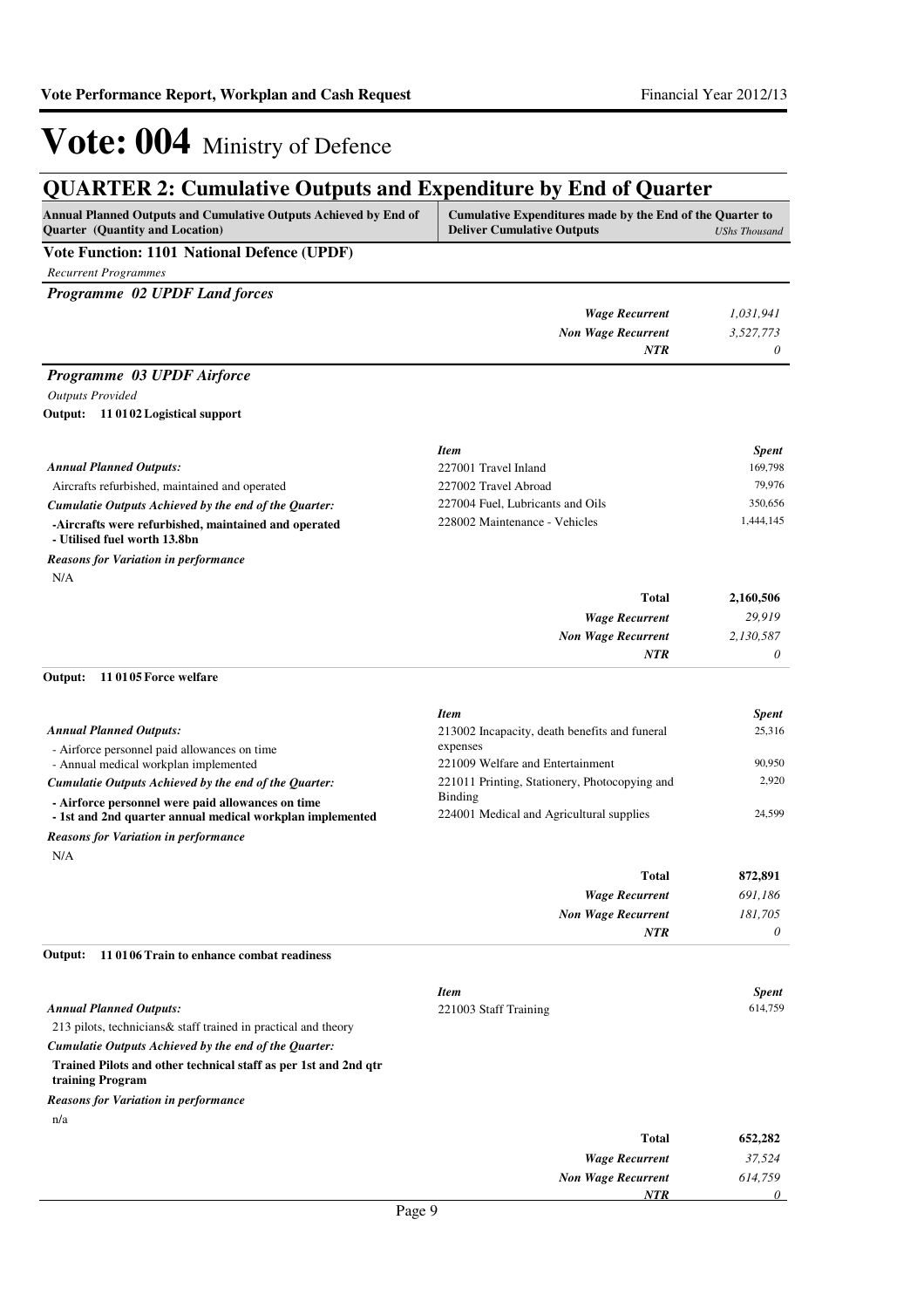## **QUARTER 2: Cumulative Outputs and Expenditure by End of Quarter**

| <b>Annual Planned Outputs and Cumulative Outputs Achieved by End of</b><br><b>Ouarter</b> (Quantity and Location) | Cumulative Expenditures made by the End of the Quarter to<br><b>Deliver Cumulative Outputs</b><br><b>UShs Thousand</b> |
|-------------------------------------------------------------------------------------------------------------------|------------------------------------------------------------------------------------------------------------------------|
| Vote Function: 1101 National Defence (UPDF)                                                                       |                                                                                                                        |
| <b>Recurrent Programmes</b>                                                                                       |                                                                                                                        |
| <b>Programme 02 UPDF Land forces</b>                                                                              |                                                                                                                        |

| -- | . . | <b>Wage Recurrent</b>     | 1,031,941 |
|----|-----|---------------------------|-----------|
|    |     | <b>Non Wage Recurrent</b> | 3,527,773 |
|    |     | NTR                       |           |

### *Programme 03 UPDF Airforce*

#### *Outputs Provided*

**11 0102 Logistical support Output:**

|                                                                                      | <b>Item</b>                      | <b>Spent</b> |
|--------------------------------------------------------------------------------------|----------------------------------|--------------|
| <b>Annual Planned Outputs:</b>                                                       | 227001 Travel Inland             | 169,798      |
| Aircrafts refurbished, maintained and operated                                       | 227002 Travel Abroad             | 79.976       |
| Cumulatie Outputs Achieved by the end of the Ouarter:                                | 227004 Fuel, Lubricants and Oils | 350,656      |
| -Aircrafts were refurbished, maintained and operated<br>- Utilised fuel worth 13.8bn | 228002 Maintenance - Vehicles    | 1,444,145    |

N/A *Reasons for Variation in performance*

| Total                     | 2,160,506 |
|---------------------------|-----------|
| <b>Wage Recurrent</b>     | 29,919    |
| <b>Non Wage Recurrent</b> | 2,130,587 |
| <b>NTR</b>                | $\theta$  |

#### **11 0105 Force welfare Output:**

|                                                           | <b>Item</b>                                   | <b>Spent</b> |
|-----------------------------------------------------------|-----------------------------------------------|--------------|
| <b>Annual Planned Outputs:</b>                            | 213002 Incapacity, death benefits and funeral | 25.316       |
| - Airforce personnel paid allowances on time              | expenses                                      |              |
| - Annual medical workplan implemented                     | 221009 Welfare and Entertainment              | 90.950       |
| Cumulatie Outputs Achieved by the end of the Quarter:     | 221011 Printing, Stationery, Photocopying and | 2.920        |
| - Airforce personnel were paid allowances on time         | Binding                                       |              |
| - 1st and 2nd quarter annual medical workplan implemented | 224001 Medical and Agricultural supplies      | 24.599       |
|                                                           |                                               |              |

N/A *Reasons for Variation in performance*

| <b>Total</b>              | 872,891  |
|---------------------------|----------|
| <b>Wage Recurrent</b>     | 691,186  |
| <b>Non Wage Recurrent</b> | 181,705  |
| NTR                       | $\theta$ |

#### **11 0106 Train to enhance combat readiness Output:**

|                                                                                     | <b>Item</b>               | <b>Spent</b> |
|-------------------------------------------------------------------------------------|---------------------------|--------------|
| <b>Annual Planned Outputs:</b>                                                      | 221003 Staff Training     | 614,759      |
| 213 pilots, technicians & staff trained in practical and theory                     |                           |              |
| Cumulatie Outputs Achieved by the end of the Quarter:                               |                           |              |
| Trained Pilots and other technical staff as per 1st and 2nd qtr<br>training Program |                           |              |
| <b>Reasons for Variation in performance</b>                                         |                           |              |
| n/a                                                                                 |                           |              |
|                                                                                     | <b>Total</b>              | 652,282      |
|                                                                                     | <b>Wage Recurrent</b>     | 37,524       |
|                                                                                     | <b>Non Wage Recurrent</b> | 614.759      |
|                                                                                     | <b>NTR</b>                | 0            |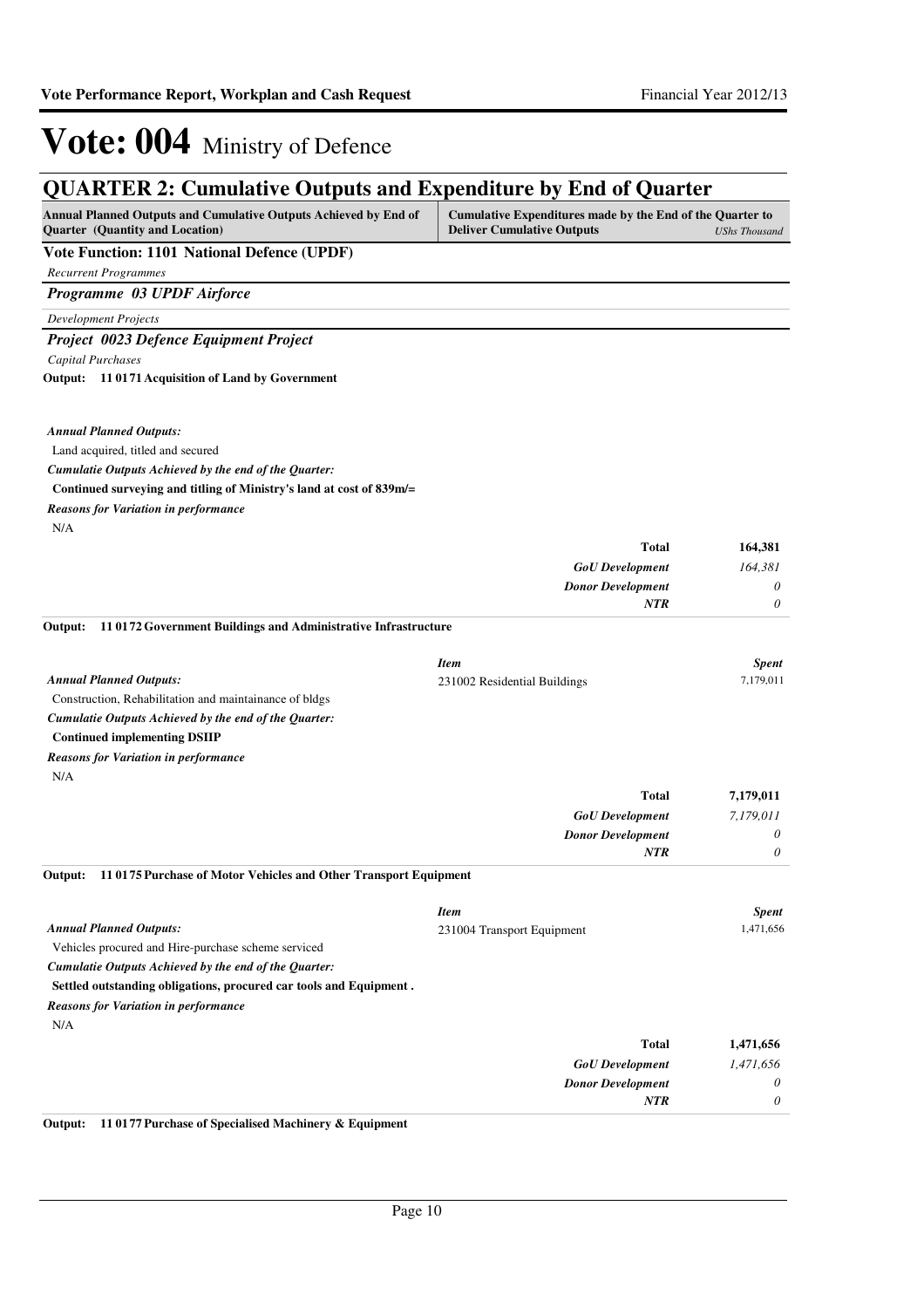| <b>QUARTER 2: Cumulative Outputs and Expenditure by End of Quarter</b>                              |                                                                                                |                           |
|-----------------------------------------------------------------------------------------------------|------------------------------------------------------------------------------------------------|---------------------------|
| Annual Planned Outputs and Cumulative Outputs Achieved by End of<br>Quarter (Quantity and Location) | Cumulative Expenditures made by the End of the Quarter to<br><b>Deliver Cumulative Outputs</b> | <b>UShs Thousand</b>      |
| Vote Function: 1101 National Defence (UPDF)                                                         |                                                                                                |                           |
| <b>Recurrent Programmes</b>                                                                         |                                                                                                |                           |
| Programme 03 UPDF Airforce                                                                          |                                                                                                |                           |
| <b>Development Projects</b>                                                                         |                                                                                                |                           |
| Project 0023 Defence Equipment Project                                                              |                                                                                                |                           |
| <b>Capital Purchases</b>                                                                            |                                                                                                |                           |
| Output: 11 0171 Acquisition of Land by Government                                                   |                                                                                                |                           |
| <b>Annual Planned Outputs:</b>                                                                      |                                                                                                |                           |
| Land acquired, titled and secured                                                                   |                                                                                                |                           |
| Cumulatie Outputs Achieved by the end of the Quarter:                                               |                                                                                                |                           |
| Continued surveying and titling of Ministry's land at cost of 839m/=                                |                                                                                                |                           |
| <b>Reasons for Variation in performance</b>                                                         |                                                                                                |                           |
| N/A                                                                                                 |                                                                                                |                           |
|                                                                                                     | <b>Total</b>                                                                                   | 164,381                   |
|                                                                                                     | <b>GoU</b> Development                                                                         | 164,381                   |
|                                                                                                     | <b>Donor Development</b>                                                                       | 0                         |
|                                                                                                     | <b>NTR</b>                                                                                     | $\theta$                  |
| 110172 Government Buildings and Administrative Infrastructure<br>Output:                            |                                                                                                |                           |
|                                                                                                     |                                                                                                |                           |
| <b>Annual Planned Outputs:</b>                                                                      | <b>Item</b><br>231002 Residential Buildings                                                    | <b>Spent</b><br>7,179,011 |
| Construction, Rehabilitation and maintainance of bldgs                                              |                                                                                                |                           |
| Cumulatie Outputs Achieved by the end of the Quarter:                                               |                                                                                                |                           |
| <b>Continued implementing DSIIP</b>                                                                 |                                                                                                |                           |
| <b>Reasons for Variation in performance</b>                                                         |                                                                                                |                           |
| N/A                                                                                                 |                                                                                                |                           |
|                                                                                                     | <b>Total</b>                                                                                   | 7,179,011                 |
|                                                                                                     | <b>GoU</b> Development                                                                         | 7,179,011                 |
|                                                                                                     | <b>Donor Development</b>                                                                       | 0                         |
|                                                                                                     | <b>NTR</b>                                                                                     | $\theta$                  |
| Output: 11 0175 Purchase of Motor Vehicles and Other Transport Equipment                            |                                                                                                |                           |
|                                                                                                     | <b>Item</b>                                                                                    | <b>Spent</b>              |
| <b>Annual Planned Outputs:</b>                                                                      | 231004 Transport Equipment                                                                     | 1,471,656                 |
| Vehicles procured and Hire-purchase scheme serviced                                                 |                                                                                                |                           |
| Cumulatie Outputs Achieved by the end of the Quarter:                                               |                                                                                                |                           |
| Settled outstanding obligations, procured car tools and Equipment.                                  |                                                                                                |                           |
| <b>Reasons for Variation in performance</b>                                                         |                                                                                                |                           |
| N/A                                                                                                 |                                                                                                |                           |
|                                                                                                     | <b>Total</b>                                                                                   | 1,471,656                 |
|                                                                                                     | <b>GoU</b> Development                                                                         | 1,471,656                 |
|                                                                                                     | <b>Donor Development</b><br>NTR                                                                | 0<br>0                    |
|                                                                                                     |                                                                                                |                           |

**Output: 11 0177 Purchase of Specialised Machinery & Equipment**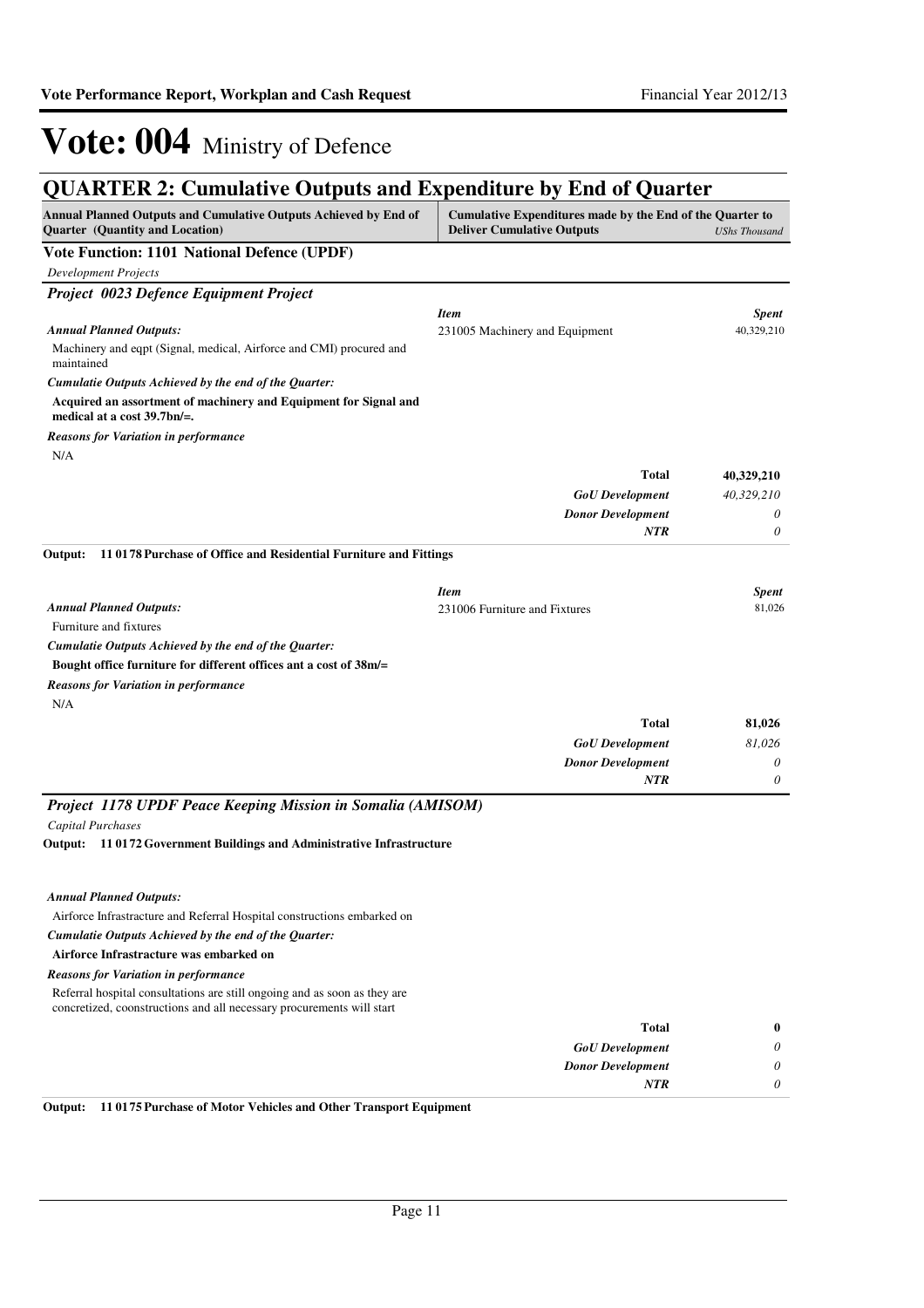## **QUARTER 2: Cumulative Outputs and Expenditure by End of Quarter**

| QUANTEN 2. Cumulative Outputs and Expenditure by Eine of Quarter<br>Annual Planned Outputs and Cumulative Outputs Achieved by End of<br>Quarter (Quantity and Location) | Cumulative Expenditures made by the End of the Quarter to<br><b>Deliver Cumulative Outputs</b> | <b>UShs Thousand</b> |
|-------------------------------------------------------------------------------------------------------------------------------------------------------------------------|------------------------------------------------------------------------------------------------|----------------------|
| Vote Function: 1101 National Defence (UPDF)                                                                                                                             |                                                                                                |                      |
| <b>Development Projects</b>                                                                                                                                             |                                                                                                |                      |
| Project 0023 Defence Equipment Project                                                                                                                                  |                                                                                                |                      |
|                                                                                                                                                                         | <b>Item</b>                                                                                    | <b>Spent</b>         |
| <b>Annual Planned Outputs:</b>                                                                                                                                          | 231005 Machinery and Equipment                                                                 | 40,329,210           |
| Machinery and eqpt (Signal, medical, Airforce and CMI) procured and<br>maintained                                                                                       |                                                                                                |                      |
| Cumulatie Outputs Achieved by the end of the Quarter:                                                                                                                   |                                                                                                |                      |
| Acquired an assortment of machinery and Equipment for Signal and<br>medical at a cost $39.7$ bn/=.                                                                      |                                                                                                |                      |
| <b>Reasons for Variation in performance</b>                                                                                                                             |                                                                                                |                      |
| N/A                                                                                                                                                                     |                                                                                                |                      |
|                                                                                                                                                                         | <b>Total</b>                                                                                   | 40,329,210           |
|                                                                                                                                                                         | <b>GoU</b> Development                                                                         | 40,329,210           |
|                                                                                                                                                                         | <b>Donor Development</b>                                                                       | 0                    |
|                                                                                                                                                                         | NTR                                                                                            | 0                    |
| Output:<br>110178 Purchase of Office and Residential Furniture and Fittings                                                                                             |                                                                                                |                      |
|                                                                                                                                                                         | <b>Item</b>                                                                                    | <b>Spent</b>         |
| <b>Annual Planned Outputs:</b>                                                                                                                                          | 231006 Furniture and Fixtures                                                                  | 81,026               |
| Furniture and fixtures                                                                                                                                                  |                                                                                                |                      |
| Cumulatie Outputs Achieved by the end of the Quarter:                                                                                                                   |                                                                                                |                      |
| Bought office furniture for different offices ant a cost of 38m/=                                                                                                       |                                                                                                |                      |
| <b>Reasons for Variation in performance</b>                                                                                                                             |                                                                                                |                      |
| N/A                                                                                                                                                                     |                                                                                                |                      |
|                                                                                                                                                                         | <b>Total</b>                                                                                   | 81,026               |
|                                                                                                                                                                         | <b>GoU</b> Development                                                                         | 81,026               |
|                                                                                                                                                                         | <b>Donor Development</b>                                                                       | 0                    |
|                                                                                                                                                                         | <b>NTR</b>                                                                                     | 0                    |
| Project 1178 UPDF Peace Keeping Mission in Somalia (AMISOM)                                                                                                             |                                                                                                |                      |
| <b>Capital Purchases</b>                                                                                                                                                |                                                                                                |                      |
| 110172 Government Buildings and Administrative Infrastructure<br>Output:                                                                                                |                                                                                                |                      |
|                                                                                                                                                                         |                                                                                                |                      |
| <b>Annual Planned Outputs:</b>                                                                                                                                          |                                                                                                |                      |
| Airforce Infrastracture and Referral Hospital constructions embarked on                                                                                                 |                                                                                                |                      |
| Cumulatie Outputs Achieved by the end of the Quarter:                                                                                                                   |                                                                                                |                      |
| Airforce Infrastracture was embarked on                                                                                                                                 |                                                                                                |                      |
| <b>Reasons for Variation in performance</b>                                                                                                                             |                                                                                                |                      |
| Referral hospital consultations are still ongoing and as soon as they are<br>concretized, coonstructions and all necessary procurements will start                      |                                                                                                |                      |
|                                                                                                                                                                         | <b>Total</b>                                                                                   | $\bf{0}$             |
|                                                                                                                                                                         | <b>GoU</b> Development                                                                         | 0                    |
|                                                                                                                                                                         | <b>Donor Development</b>                                                                       | 0                    |
|                                                                                                                                                                         | NTR                                                                                            | 0                    |

**Output: 11 0175 Purchase of Motor Vehicles and Other Transport Equipment**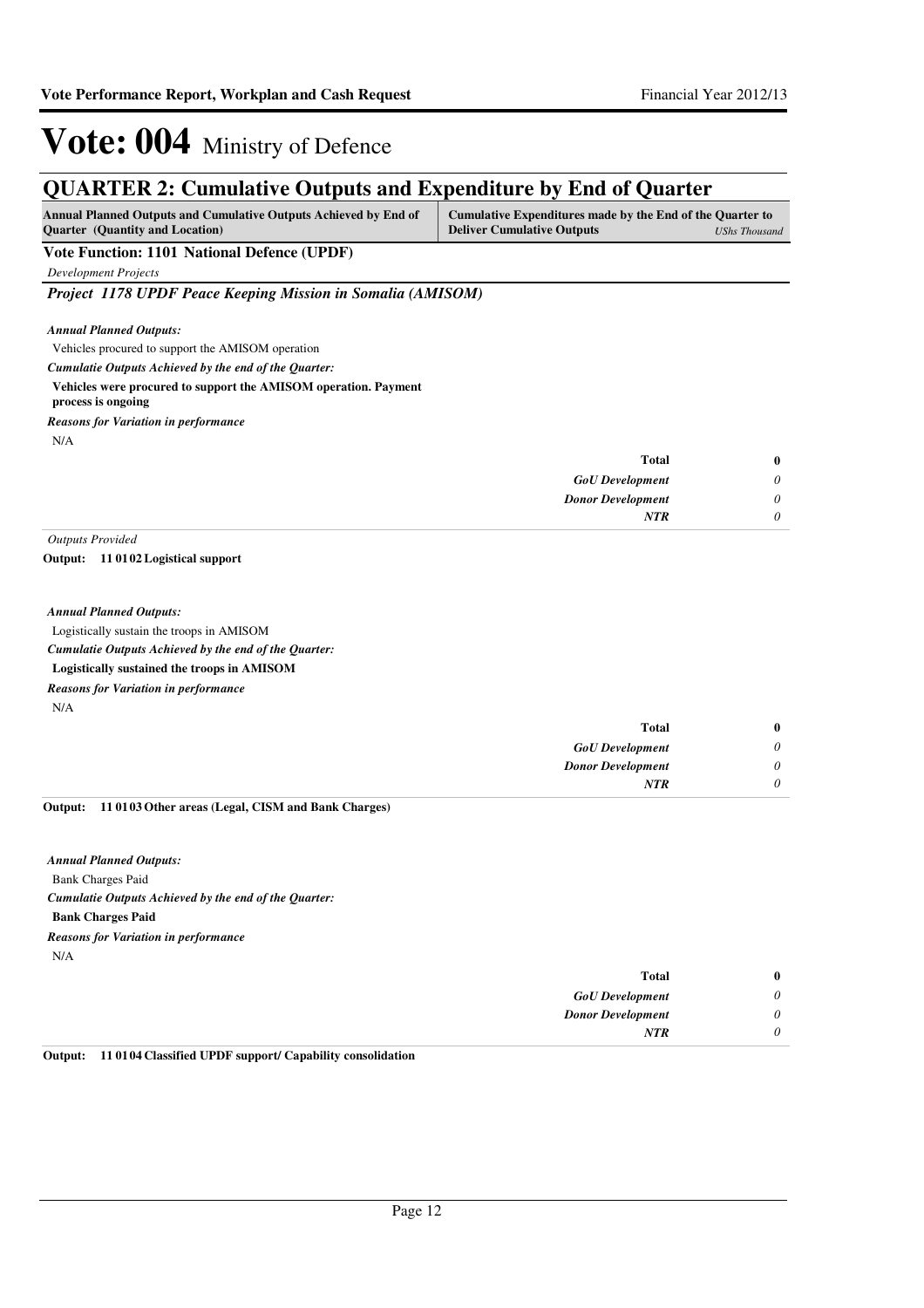## **QUARTER 2: Cumulative Outputs and Expenditure by End of Quarter**

| Annual Planned Outputs and Cumulative Outputs Achieved by End of | Cumulative Expenditures made by the End of the Quarter to |               |
|------------------------------------------------------------------|-----------------------------------------------------------|---------------|
| <b>Ouarter</b> (Quantity and Location)                           | <b>Deliver Cumulative Outputs</b>                         | UShs Thousand |

### **Vote Function: 1101 National Defence (UPDF)**

*Development Projects*

*Project 1178 UPDF Peace Keeping Mission in Somalia (AMISOM)*

*Annual Planned Outputs:*

Vehicles procured to support the AMISOM operation

*Cumulatie Outputs Achieved by the end of the Quarter:*

#### **Vehicles were procured to support the AMISOM operation. Payment**

- **process is ongoing**
- N/A *Reasons for Variation in performance*

| $\bf{0}$ | <b>Total</b>             |
|----------|--------------------------|
| 0        | <b>GoU</b> Development   |
| 0        | <b>Donor Development</b> |
| 0        | <b>NTR</b>               |

*Outputs Provided*

**11 0102 Logistical support Output:**

#### *Annual Planned Outputs:*

Logistically sustain the troops in AMISOM

*Cumulatie Outputs Achieved by the end of the Quarter:*

- **Logistically sustained the troops in AMISOM**
- *Reasons for Variation in performance*

N/A

| $\bf{0}$ | <b>Total</b>             |
|----------|--------------------------|
| 0        | <b>GoU</b> Development   |
| $\theta$ | <b>Donor Development</b> |
| $\theta$ | <b>NTR</b>               |
|          |                          |

#### **11 0103 Other areas (Legal, CISM and Bank Charges) Output:**

Bank Charges Paid **Bank Charges Paid** *Cumulatie Outputs Achieved by the end of the Quarter: Annual Planned Outputs:* N/A *Reasons for Variation in performance*

| $\bf{0}$ | Total                    |
|----------|--------------------------|
| $\theta$ | <b>GoU</b> Development   |
| 0        | <b>Donor Development</b> |
|          | <b>NTR</b>               |
|          |                          |

#### **Output: 11 0104 Classified UPDF support/ Capability consolidation**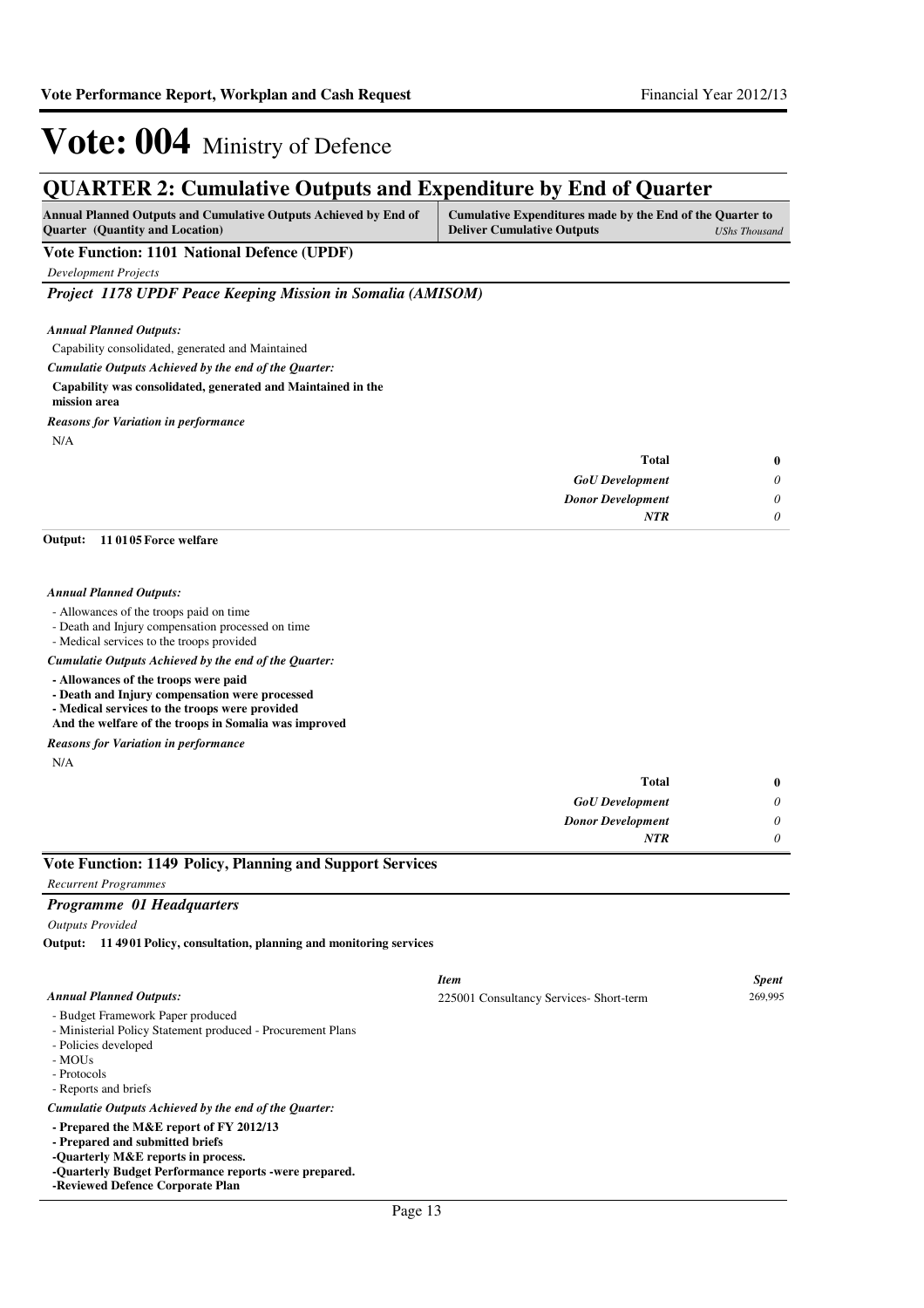## **QUARTER 2: Cumulative Outputs and Expenditure by End of Quarter**

| <b>Annual Planned Outputs and Cumulative Outputs Achieved by End of</b> | Cumulative Expenditures made by the End of the Quarter to |               |
|-------------------------------------------------------------------------|-----------------------------------------------------------|---------------|
| <b>Ouarter</b> (Quantity and Location)                                  | <b>Deliver Cumulative Outputs</b>                         | UShs Thousand |

### **Vote Function: 1101 National Defence (UPDF)**

*Development Projects*

*Project 1178 UPDF Peace Keeping Mission in Somalia (AMISOM)*

*Annual Planned Outputs:*

Capability consolidated, generated and Maintained

*Cumulatie Outputs Achieved by the end of the Quarter:*

#### **Capability was consolidated, generated and Maintained in the**

**mission area** *Reasons for Variation in performance*

N/A

| $\bf{0}$ | <b>Total</b>             |
|----------|--------------------------|
| $\theta$ | <b>GoU</b> Development   |
| $\theta$ | <b>Donor Development</b> |
| $\theta$ | <b>NTR</b>               |
|          |                          |

#### **11 0105 Force welfare Output:**

#### *Annual Planned Outputs:*

- Allowances of the troops paid on time

- Death and Injury compensation processed on time

- Medical services to the troops provided

*Cumulatie Outputs Achieved by the end of the Quarter:*

- **Allowances of the troops were paid**
- **Death and Injury compensation were processed**

**- Medical services to the troops were provided**

**And the welfare of the troops in Somalia was improved**

*Reasons for Variation in performance*

N/A

| $\bf{0}$ | Total                    |
|----------|--------------------------|
| 0        | <b>GoU</b> Development   |
| 0        | <b>Donor Development</b> |
| 0        | <b>NTR</b>               |

### **Vote Function: 1149 Policy, Planning and Support Services**

*Recurrent Programmes*

#### *Programme 01 Headquarters*

*Outputs Provided*

**11 4901 Policy, consultation, planning and monitoring services Output:**

|                                                                                                                                                                                                               | <b>Item</b>                             | <b>Spent</b> |
|---------------------------------------------------------------------------------------------------------------------------------------------------------------------------------------------------------------|-----------------------------------------|--------------|
| <b>Annual Planned Outputs:</b>                                                                                                                                                                                | 225001 Consultancy Services- Short-term | 269,995      |
| - Budget Framework Paper produced<br>- Ministerial Policy Statement produced - Procurement Plans<br>- Policies developed<br>- MOUs<br>- Protocols<br>- Reports and briefs                                     |                                         |              |
| Cumulatie Outputs Achieved by the end of the Ouarter:                                                                                                                                                         |                                         |              |
| - Prepared the M&E report of FY 2012/13<br>- Prepared and submitted briefs<br>-Quarterly M&E reports in process.<br>-Ouarterly Budget Performance reports -were prepared.<br>-Reviewed Defence Corporate Plan |                                         |              |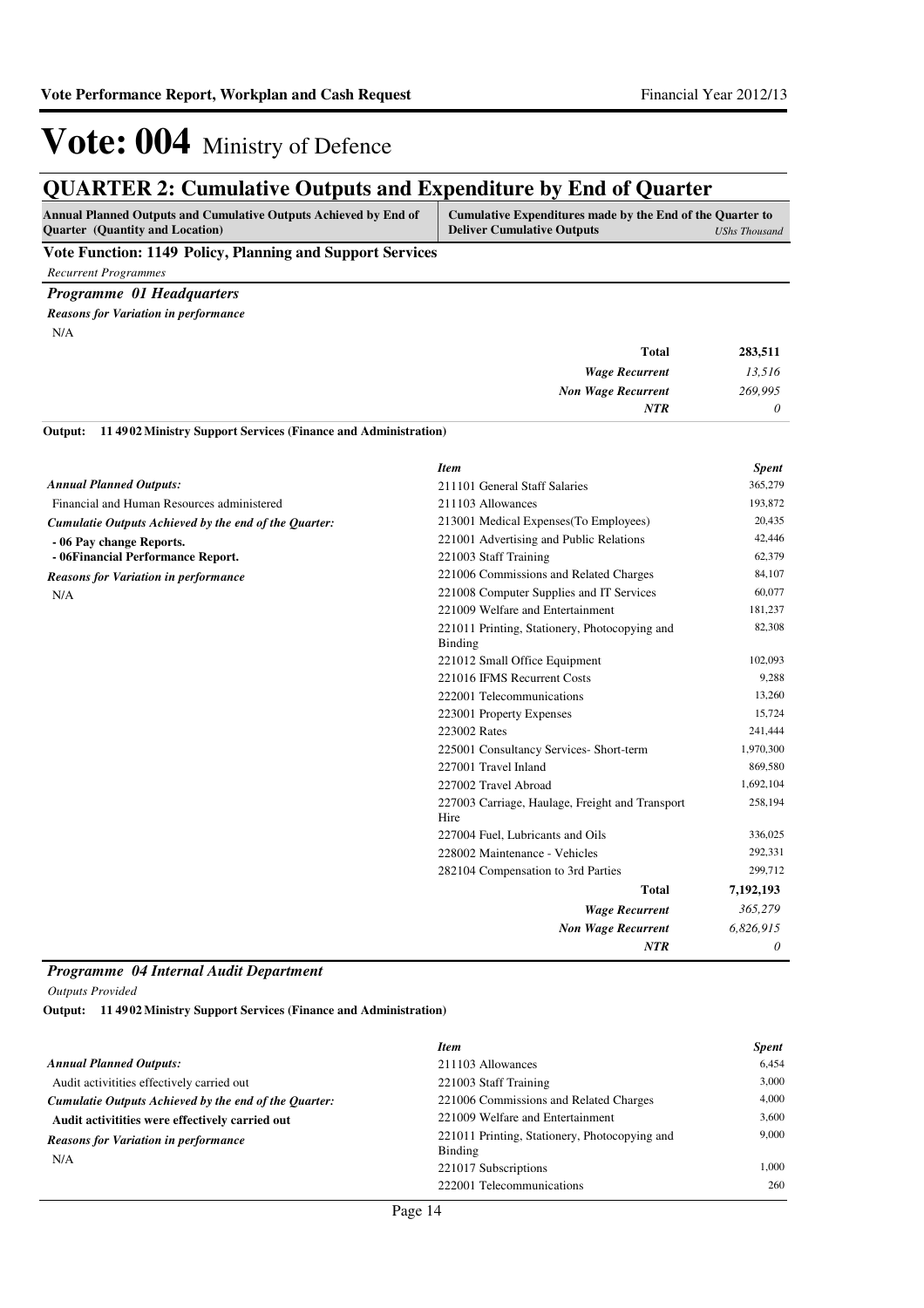## **QUARTER 2: Cumulative Outputs and Expenditure by End of Quarter**

| Annual Planned Outputs and Cumulative Outputs Achieved by End of | Cumulative Expenditures made by the End of the Quarter to |               |
|------------------------------------------------------------------|-----------------------------------------------------------|---------------|
| <b>Ouarter</b> (Quantity and Location)                           | <b>Deliver Cumulative Outputs</b>                         | UShs Thousand |

### **Vote Function: 1149 Policy, Planning and Support Services**

*Recurrent Programmes*

*Programme 01 Headquarters Reasons for Variation in performance*

N/A

| 283,511 | <b>Total</b>              |
|---------|---------------------------|
| 13,516  | <b>Wage Recurrent</b>     |
| 269,995 | <b>Non Wage Recurrent</b> |
| 0       | <b>NTR</b>                |
|         |                           |

**11 4902 Ministry Support Services (Finance and Administration) Output:**

|                                                       | <b>Item</b>                                                     | <b>Spent</b> |
|-------------------------------------------------------|-----------------------------------------------------------------|--------------|
| <b>Annual Planned Outputs:</b>                        | 211101 General Staff Salaries                                   | 365,279      |
| Financial and Human Resources administered            | 211103 Allowances                                               | 193,872      |
| Cumulatie Outputs Achieved by the end of the Ouarter: | 213001 Medical Expenses (To Employees)                          | 20,435       |
| - 06 Pay change Reports.                              | 221001 Advertising and Public Relations                         | 42,446       |
| - 06Financial Performance Report.                     | 221003 Staff Training                                           | 62,379       |
| <b>Reasons for Variation in performance</b>           | 221006 Commissions and Related Charges                          | 84,107       |
| N/A                                                   | 221008 Computer Supplies and IT Services                        | 60,077       |
|                                                       | 221009 Welfare and Entertainment                                | 181,237      |
|                                                       | 221011 Printing, Stationery, Photocopying and<br><b>Binding</b> | 82,308       |
|                                                       | 221012 Small Office Equipment                                   | 102,093      |
|                                                       | 221016 IFMS Recurrent Costs                                     | 9,288        |
|                                                       | 222001 Telecommunications                                       | 13,260       |
|                                                       | 223001 Property Expenses                                        | 15,724       |
|                                                       | 223002 Rates                                                    | 241,444      |
|                                                       | 225001 Consultancy Services- Short-term                         | 1,970,300    |
|                                                       | 227001 Travel Inland                                            | 869,580      |
|                                                       | 227002 Travel Abroad                                            | 1,692,104    |
|                                                       | 227003 Carriage, Haulage, Freight and Transport<br>Hire         | 258,194      |
|                                                       | 227004 Fuel, Lubricants and Oils                                | 336,025      |
|                                                       | 228002 Maintenance - Vehicles                                   | 292,331      |
|                                                       | 282104 Compensation to 3rd Parties                              | 299,712      |
|                                                       | <b>Total</b>                                                    | 7,192,193    |
|                                                       | <b>Wage Recurrent</b>                                           | 365,279      |
|                                                       | <b>Non Wage Recurrent</b>                                       | 6,826,915    |
|                                                       | <b>NTR</b>                                                      | 0            |

### *Programme 04 Internal Audit Department*

*Outputs Provided*

**11 4902 Ministry Support Services (Finance and Administration) Output:**

|                                                       | <b>Item</b>                                              | <b>Spent</b> |
|-------------------------------------------------------|----------------------------------------------------------|--------------|
| <b>Annual Planned Outputs:</b>                        | 211103 Allowances                                        | 6,454        |
| Audit activitities effectively carried out            | 221003 Staff Training                                    | 3.000        |
| Cumulatie Outputs Achieved by the end of the Ouarter: | 221006 Commissions and Related Charges                   | 4.000        |
| Audit activitities were effectively carried out       | 221009 Welfare and Entertainment                         | 3.600        |
| <b>Reasons for Variation in performance</b>           | 221011 Printing, Stationery, Photocopying and<br>Binding | 9,000        |
| N/A                                                   | 221017 Subscriptions                                     | 1.000        |
|                                                       | 222001 Telecommunications                                | 260          |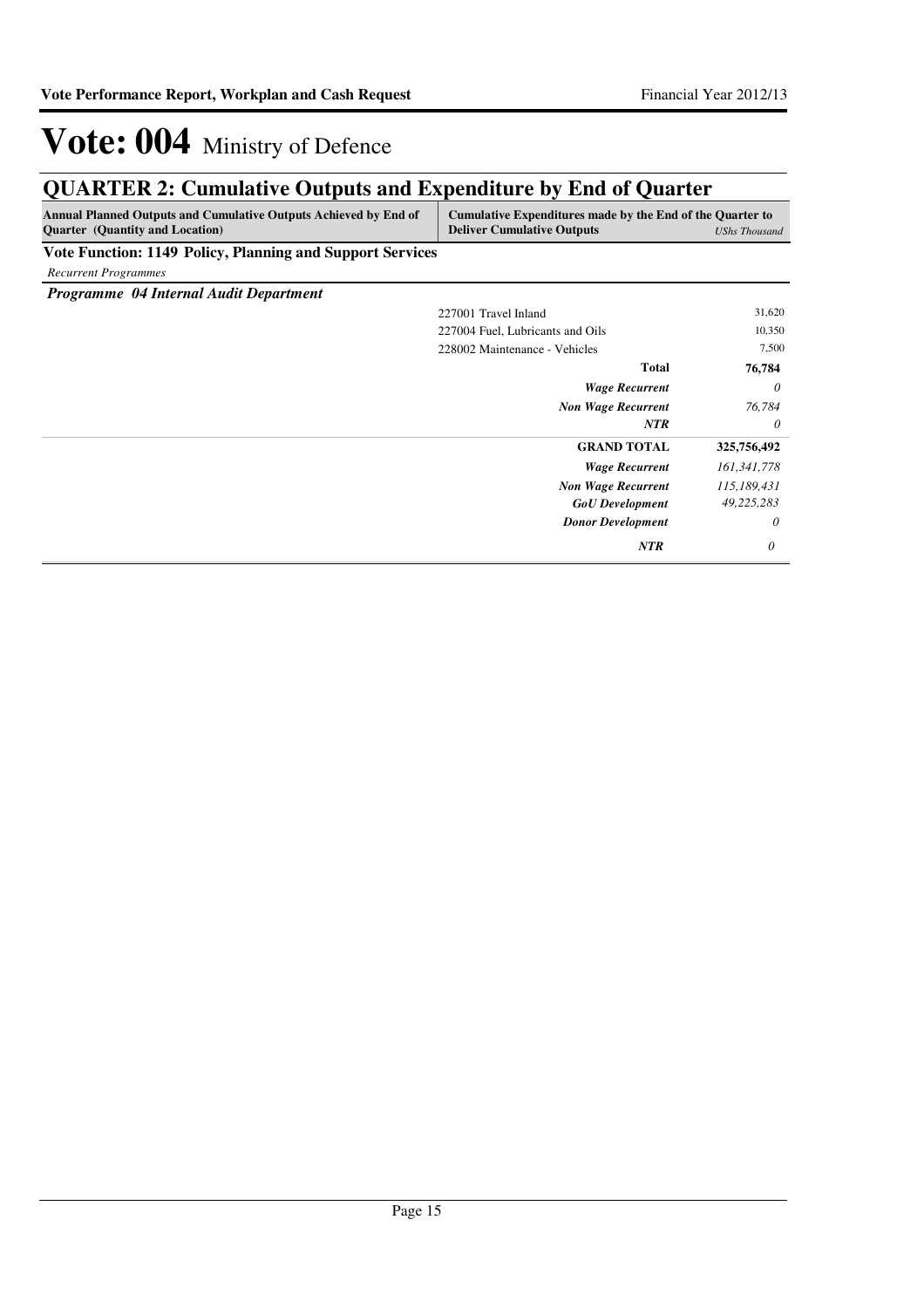*0*

*NTR 0*

*Donor Development*

# Vote: 004 Ministry of Defence

## **QUARTER 2: Cumulative Outputs and Expenditure by End of Quarter**

| <b>Annual Planned Outputs and Cumulative Outputs Achieved by End of</b><br><b>Quarter</b> (Quantity and Location) | Cumulative Expenditures made by the End of the Quarter to<br><b>Deliver Cumulative Outputs</b> | <b>UShs Thousand</b> |
|-------------------------------------------------------------------------------------------------------------------|------------------------------------------------------------------------------------------------|----------------------|
| <b>Vote Function: 1149 Policy, Planning and Support Services</b>                                                  |                                                                                                |                      |
| <b>Recurrent Programmes</b>                                                                                       |                                                                                                |                      |
| Programme 04 Internal Audit Department                                                                            |                                                                                                |                      |
|                                                                                                                   | 227001 Travel Inland                                                                           | 31,620               |
|                                                                                                                   | 227004 Fuel, Lubricants and Oils                                                               | 10,350               |
|                                                                                                                   | 228002 Maintenance - Vehicles                                                                  | 7,500                |
|                                                                                                                   | <b>Total</b>                                                                                   | 76,784               |
|                                                                                                                   | <b>Wage Recurrent</b>                                                                          | 0                    |
|                                                                                                                   | <b>Non Wage Recurrent</b>                                                                      | 76,784               |
|                                                                                                                   | <b>NTR</b>                                                                                     | 0                    |
|                                                                                                                   | <b>GRAND TOTAL</b>                                                                             | 325,756,492          |
|                                                                                                                   | <b>Wage Recurrent</b>                                                                          | 161,341,778          |
|                                                                                                                   | <b>Non Wage Recurrent</b>                                                                      | 115,189,431          |
|                                                                                                                   | <b>GoU</b> Development                                                                         | 49,225,283           |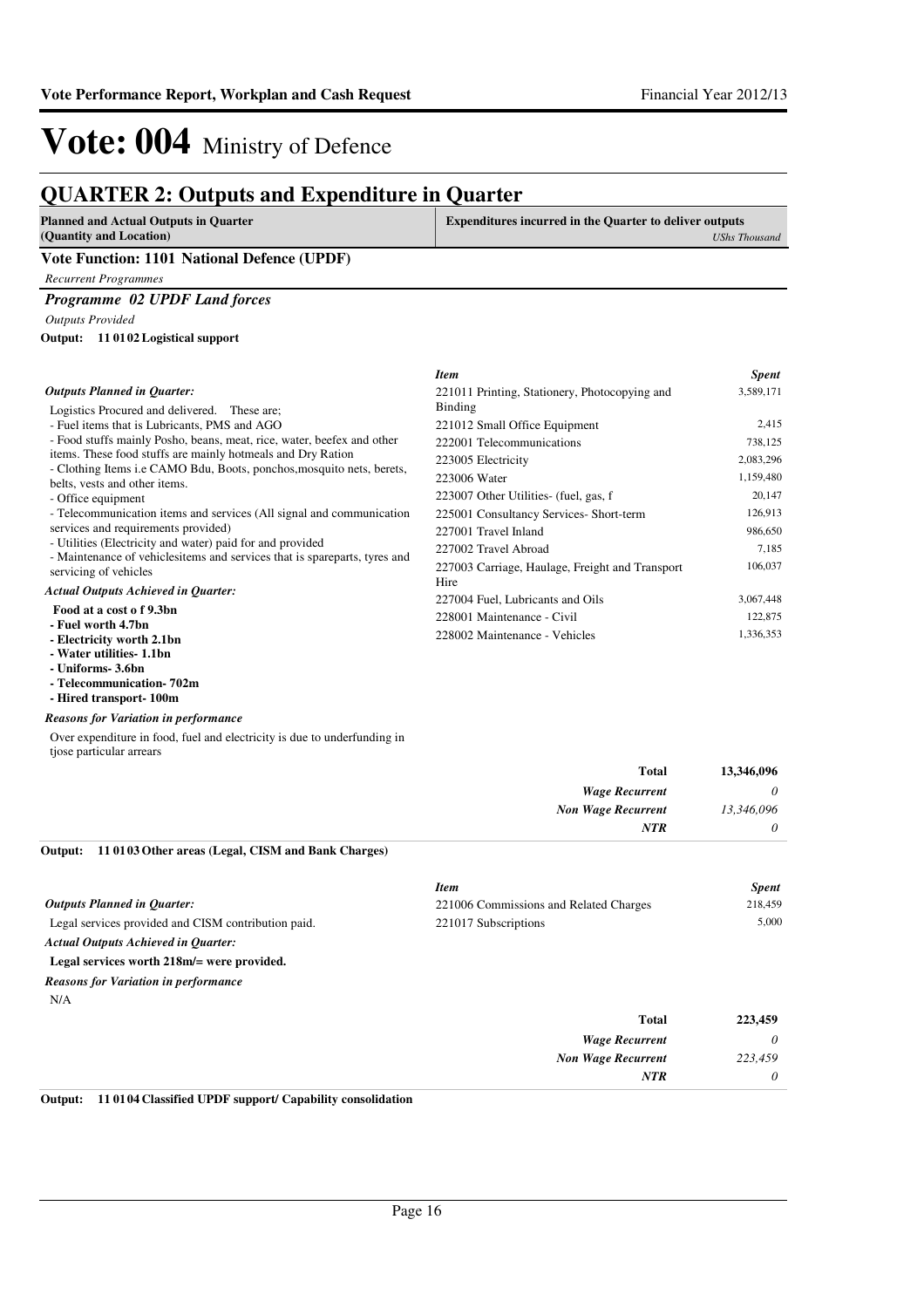## **QUARTER 2: Outputs and Expenditure in Quarter**

| <b>Planned and Actual Outputs in Quarter</b> | <b>Expenditures incurred in the Quarter to deliver outputs</b> |  |
|----------------------------------------------|----------------------------------------------------------------|--|
| (Quantity and Location)                      | <b>UShs Thousand</b>                                           |  |
| Vote Function: 1101 National Defence (UPDF)  |                                                                |  |
| Recurrent Programmes                         |                                                                |  |
|                                              |                                                                |  |

*Programme 02 UPDF Land forces*

### *Outputs Provided*

#### **11 0102 Logistical support Output:**

|                                                                                                        | <b>Item</b>                                     | <b>Spent</b> |
|--------------------------------------------------------------------------------------------------------|-------------------------------------------------|--------------|
| <b>Outputs Planned in Quarter:</b>                                                                     | 221011 Printing, Stationery, Photocopying and   | 3,589,171    |
| Logistics Procured and delivered. These are:                                                           | Binding                                         |              |
| - Fuel items that is Lubricants, PMS and AGO                                                           | 221012 Small Office Equipment                   | 2,415        |
| - Food stuffs mainly Posho, beans, meat, rice, water, beefex and other                                 | 222001 Telecommunications                       | 738,125      |
| items. These food stuffs are mainly hotmeals and Dry Ration                                            | 223005 Electricity                              | 2,083,296    |
| - Clothing Items i.e CAMO Bdu, Boots, ponchos, mosquito nets, berets,<br>belts, vests and other items. | 223006 Water                                    | 1,159,480    |
| - Office equipment                                                                                     | 223007 Other Utilities- (fuel, gas, f           | 20,147       |
| - Telecommunication items and services (All signal and communication                                   | 225001 Consultancy Services- Short-term         | 126,913      |
| services and requirements provided)                                                                    | 227001 Travel Inland                            | 986,650      |
| - Utilities (Electricity and water) paid for and provided                                              | 227002 Travel Abroad                            | 7,185        |
| - Maintenance of vehiclesitems and services that is spareparts, tyres and<br>servicing of vehicles     | 227003 Carriage, Haulage, Freight and Transport | 106,037      |
| <b>Actual Outputs Achieved in Quarter:</b>                                                             | Hire                                            |              |
| Food at a cost of 9.3bn                                                                                | 227004 Fuel, Lubricants and Oils                | 3,067,448    |
| - Fuel worth 4.7bn                                                                                     | 228001 Maintenance - Civil                      | 122,875      |
| - Electricity worth 2.1bn<br>Watcher 1980 11 11 11 12                                                  | 228002 Maintenance - Vehicles                   | 1,336,353    |

**- Water utilities- 1.1bn**

- **Uniforms- 3.6bn**
- **Telecommunication- 702m**
- **Hired transport- 100m**

#### *Reasons for Variation in performance*

Over expenditure in food, fuel and electricity is due to underfunding in tjose particular arrears

|                                                             | <b>Total</b>              | 13,346,096 |
|-------------------------------------------------------------|---------------------------|------------|
|                                                             | <b>Wage Recurrent</b>     | $\theta$   |
|                                                             | <b>Non Wage Recurrent</b> | 13,346,096 |
|                                                             | <b>NTR</b>                | $\theta$   |
| Output: 11 01 03 Other areas (Legal, CISM and Bank Charges) |                           |            |

|                                                     | <b>Item</b>                            | <b>Spent</b> |
|-----------------------------------------------------|----------------------------------------|--------------|
| <b>Outputs Planned in Ouarter:</b>                  | 221006 Commissions and Related Charges | 218,459      |
| Legal services provided and CISM contribution paid. | 221017 Subscriptions                   | 5.000        |
| <b>Actual Outputs Achieved in Ouarter:</b>          |                                        |              |
| Legal services worth 218m/= were provided.          |                                        |              |
| <b>Reasons for Variation in performance</b>         |                                        |              |
| N/A                                                 |                                        |              |
|                                                     | <b>Total</b>                           | 223,459      |
|                                                     | <b>Wage Recurrent</b>                  | $\theta$     |
|                                                     | <b>Non Wage Recurrent</b>              | 223,459      |
|                                                     | <b>NTR</b>                             | $\theta$     |

#### **Output: 11 0104 Classified UPDF support/ Capability consolidation**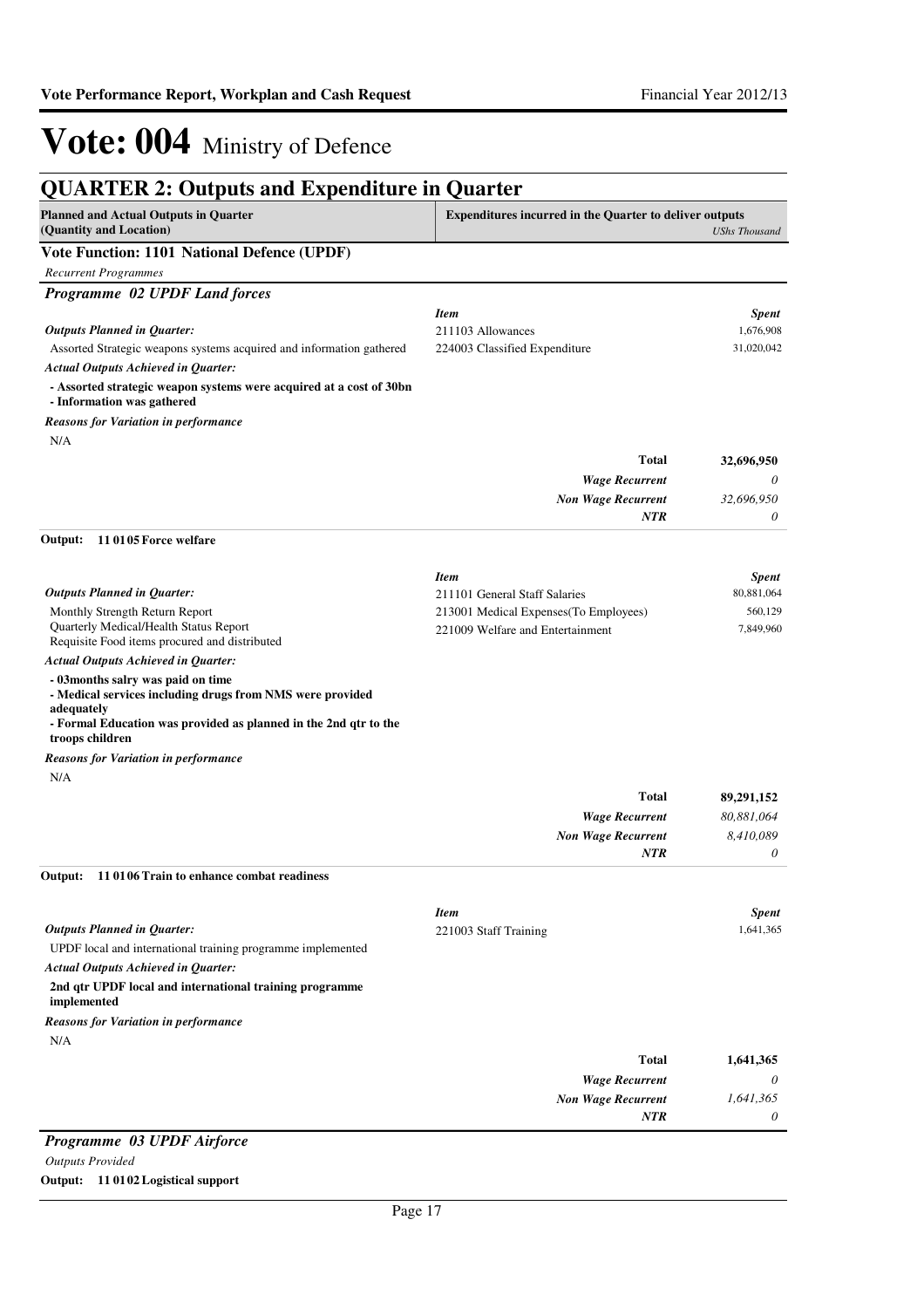| <b>QUARTER 2: Outputs and Expenditure in Quarter</b>                                                                                                                             |                                                                |                       |
|----------------------------------------------------------------------------------------------------------------------------------------------------------------------------------|----------------------------------------------------------------|-----------------------|
| <b>Planned and Actual Outputs in Quarter</b><br>(Quantity and Location)                                                                                                          | <b>Expenditures incurred in the Quarter to deliver outputs</b> | <b>UShs Thousand</b>  |
| <b>Vote Function: 1101 National Defence (UPDF)</b>                                                                                                                               |                                                                |                       |
| <b>Recurrent Programmes</b>                                                                                                                                                      |                                                                |                       |
| Programme 02 UPDF Land forces                                                                                                                                                    |                                                                |                       |
|                                                                                                                                                                                  | <b>Item</b>                                                    | <b>Spent</b>          |
| <b>Outputs Planned in Quarter:</b>                                                                                                                                               | 211103 Allowances                                              | 1,676,908             |
| Assorted Strategic weapons systems acquired and information gathered                                                                                                             | 224003 Classified Expenditure                                  | 31,020,042            |
| <b>Actual Outputs Achieved in Quarter:</b>                                                                                                                                       |                                                                |                       |
| - Assorted strategic weapon systems were acquired at a cost of 30bn<br>- Information was gathered                                                                                |                                                                |                       |
| Reasons for Variation in performance<br>N/A                                                                                                                                      |                                                                |                       |
|                                                                                                                                                                                  | <b>Total</b>                                                   | 32,696,950            |
|                                                                                                                                                                                  | <b>Wage Recurrent</b>                                          | 0                     |
|                                                                                                                                                                                  | <b>Non Wage Recurrent</b>                                      | 32,696,950            |
|                                                                                                                                                                                  | NTR                                                            | 0                     |
| 110105 Force welfare<br>Output:                                                                                                                                                  |                                                                |                       |
|                                                                                                                                                                                  | <b>Item</b>                                                    | <b>Spent</b>          |
| <b>Outputs Planned in Quarter:</b>                                                                                                                                               | 211101 General Staff Salaries                                  | 80,881,064            |
| Monthly Strength Return Report                                                                                                                                                   | 213001 Medical Expenses (To Employees)                         | 560,129               |
| Quarterly Medical/Health Status Report<br>Requisite Food items procured and distributed                                                                                          | 221009 Welfare and Entertainment                               | 7,849,960             |
| <b>Actual Outputs Achieved in Quarter:</b>                                                                                                                                       |                                                                |                       |
| - 03months salry was paid on time<br>- Medical services including drugs from NMS were provided<br>adequately<br>- Formal Education was provided as planned in the 2nd qtr to the |                                                                |                       |
| troops children                                                                                                                                                                  |                                                                |                       |
| Reasons for Variation in performance                                                                                                                                             |                                                                |                       |
| N/A                                                                                                                                                                              |                                                                |                       |
|                                                                                                                                                                                  | <b>Total</b>                                                   | 89,291,152            |
|                                                                                                                                                                                  | <b>Wage Recurrent</b>                                          | 80,881,064            |
|                                                                                                                                                                                  | <b>Non Wage Recurrent</b><br>NTR                               | 8,410,089<br>$\theta$ |
| Output: 11 0106 Train to enhance combat readiness                                                                                                                                |                                                                |                       |
|                                                                                                                                                                                  |                                                                |                       |
|                                                                                                                                                                                  | <b>Item</b>                                                    | <b>Spent</b>          |
| <b>Outputs Planned in Quarter:</b>                                                                                                                                               | 221003 Staff Training                                          | 1,641,365             |
| UPDF local and international training programme implemented                                                                                                                      |                                                                |                       |
| <b>Actual Outputs Achieved in Quarter:</b>                                                                                                                                       |                                                                |                       |
| 2nd qtr UPDF local and international training programme<br>implemented                                                                                                           |                                                                |                       |
| <b>Reasons for Variation in performance</b>                                                                                                                                      |                                                                |                       |
| N/A                                                                                                                                                                              |                                                                |                       |
|                                                                                                                                                                                  | <b>Total</b>                                                   | 1,641,365             |
|                                                                                                                                                                                  | <b>Wage Recurrent</b>                                          | 0                     |
|                                                                                                                                                                                  | <b>Non Wage Recurrent</b>                                      | 1,641,365             |
|                                                                                                                                                                                  | NTR                                                            | 0                     |

### *Programme 03 UPDF Airforce*

#### *Outputs Provided*

#### **Output: 11 0102 Logistical support**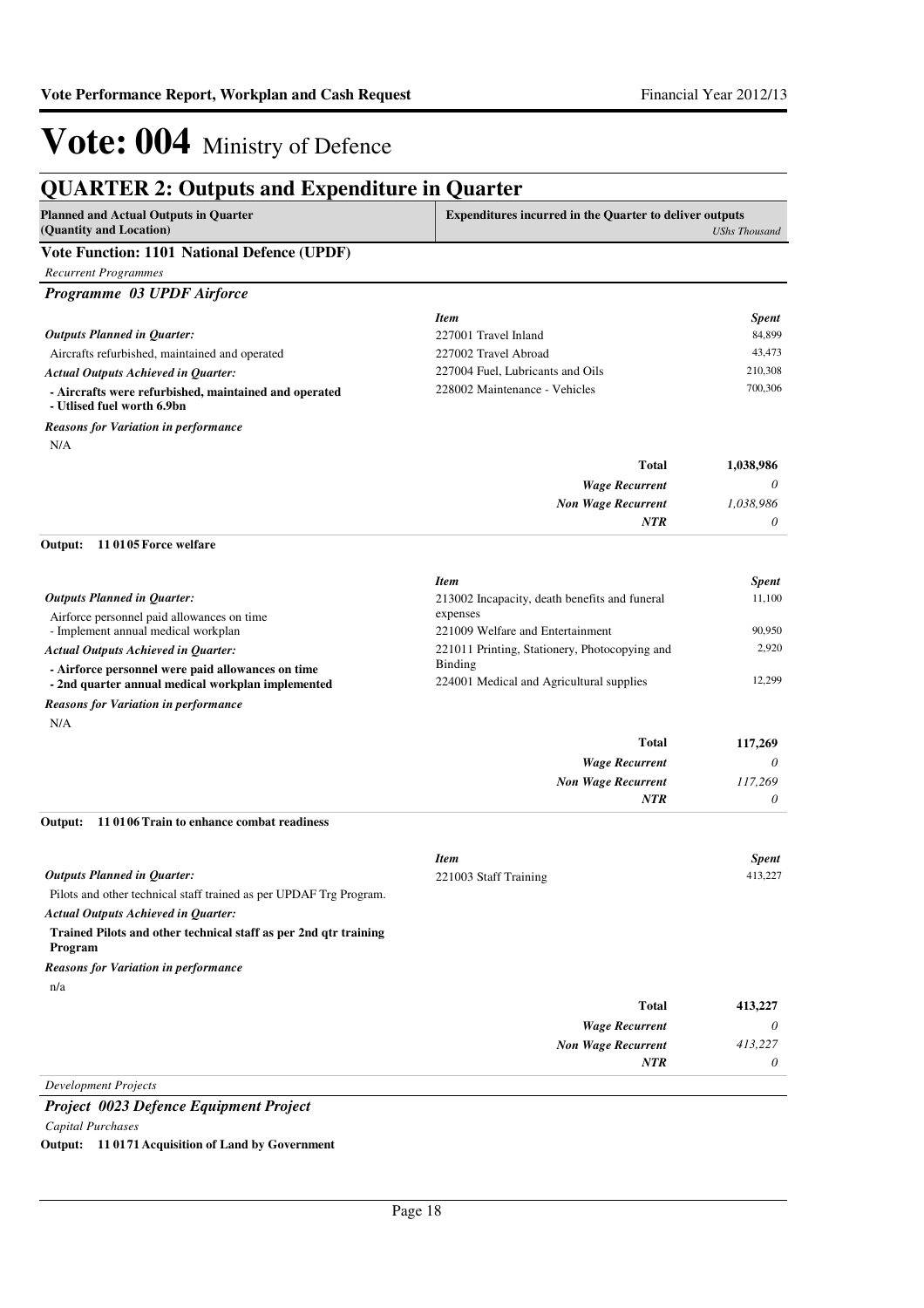| <b>Planned and Actual Outputs in Quarter</b><br>(Quantity and Location)                                | <b>Expenditures incurred in the Quarter to deliver outputs</b> | <b>UShs Thousand</b> |
|--------------------------------------------------------------------------------------------------------|----------------------------------------------------------------|----------------------|
| Vote Function: 1101 National Defence (UPDF)                                                            |                                                                |                      |
| <b>Recurrent Programmes</b>                                                                            |                                                                |                      |
| Programme 03 UPDF Airforce                                                                             |                                                                |                      |
|                                                                                                        | <b>Item</b>                                                    | <b>Spent</b>         |
| <b>Outputs Planned in Quarter:</b>                                                                     | 227001 Travel Inland                                           | 84,899               |
| Aircrafts refurbished, maintained and operated                                                         | 227002 Travel Abroad                                           | 43,473               |
| <b>Actual Outputs Achieved in Quarter:</b>                                                             | 227004 Fuel, Lubricants and Oils                               | 210,308              |
| - Aircrafts were refurbished, maintained and operated<br>- Utlised fuel worth 6.9bn                    | 228002 Maintenance - Vehicles                                  | 700,306              |
| <b>Reasons for Variation in performance</b>                                                            |                                                                |                      |
| N/A                                                                                                    |                                                                |                      |
|                                                                                                        | <b>Total</b>                                                   | 1,038,986            |
|                                                                                                        | <b>Wage Recurrent</b>                                          | 0                    |
|                                                                                                        | <b>Non Wage Recurrent</b><br><b>NTR</b>                        | 1,038,986<br>0       |
| 110105 Force welfare<br>Output:                                                                        |                                                                |                      |
|                                                                                                        |                                                                |                      |
|                                                                                                        | <b>Item</b>                                                    | <b>Spent</b>         |
| <b>Outputs Planned in Quarter:</b>                                                                     | 213002 Incapacity, death benefits and funeral<br>expenses      | 11,100               |
| Airforce personnel paid allowances on time<br>- Implement annual medical workplan                      | 221009 Welfare and Entertainment                               | 90,950               |
| <b>Actual Outputs Achieved in Quarter:</b>                                                             | 221011 Printing, Stationery, Photocopying and                  | 2,920                |
| - Airforce personnel were paid allowances on time<br>- 2nd quarter annual medical workplan implemented | <b>Binding</b><br>224001 Medical and Agricultural supplies     | 12,299               |
| Reasons for Variation in performance                                                                   |                                                                |                      |
| N/A                                                                                                    |                                                                |                      |
|                                                                                                        | <b>Total</b>                                                   | 117,269              |
|                                                                                                        | <b>Wage Recurrent</b>                                          | $\theta$             |
|                                                                                                        | <b>Non Wage Recurrent</b>                                      | 117,269              |
|                                                                                                        | <b>NTR</b>                                                     | 0                    |
| 11 0106 Train to enhance combat readiness<br>Output:                                                   |                                                                |                      |
|                                                                                                        | <b>Item</b>                                                    | <b>Spent</b>         |
| <b>Outputs Planned in Quarter:</b>                                                                     | 221003 Staff Training                                          | 413,227              |
| Pilots and other technical staff trained as per UPDAF Trg Program.                                     |                                                                |                      |
| <b>Actual Outputs Achieved in Quarter:</b>                                                             |                                                                |                      |
| Trained Pilots and other technical staff as per 2nd qtr training<br>Program                            |                                                                |                      |
| <b>Reasons for Variation in performance</b>                                                            |                                                                |                      |
| n/a                                                                                                    |                                                                |                      |
|                                                                                                        | <b>Total</b>                                                   | 413,227              |
|                                                                                                        | <b>Wage Recurrent</b>                                          | 0                    |
|                                                                                                        | <b>Non Wage Recurrent</b>                                      | 413,227              |
|                                                                                                        | <b>NTR</b>                                                     | 0                    |
| <b>Development Projects</b>                                                                            |                                                                |                      |

*Capital Purchases*

**Output: 11 0171 Acquisition of Land by Government**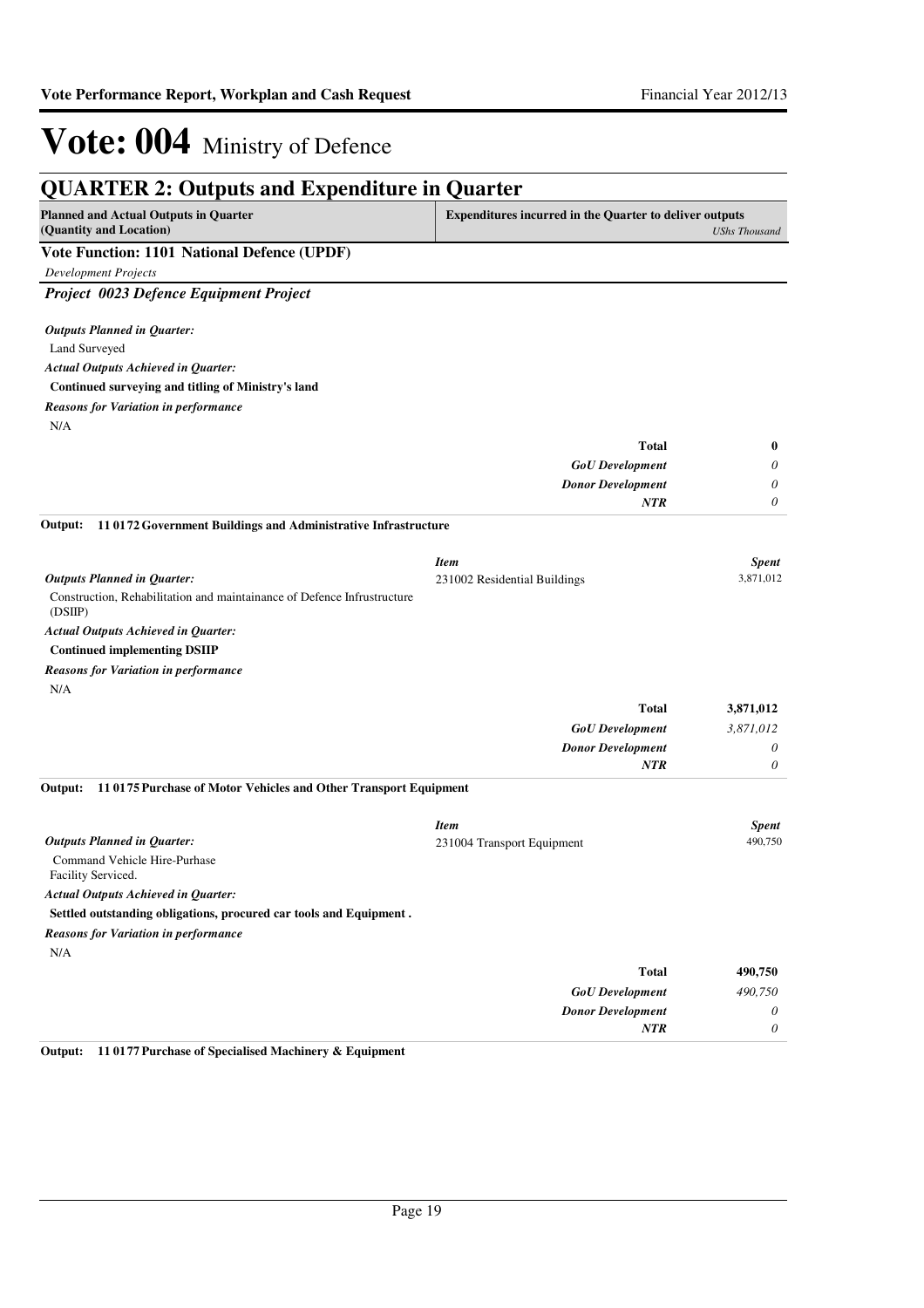| <b>QUARTER 2: Outputs and Expenditure in Quarter</b>                              |                                                                |                      |
|-----------------------------------------------------------------------------------|----------------------------------------------------------------|----------------------|
| <b>Planned and Actual Outputs in Quarter</b><br>(Quantity and Location)           | <b>Expenditures incurred in the Quarter to deliver outputs</b> | <b>UShs Thousand</b> |
| Vote Function: 1101 National Defence (UPDF)                                       |                                                                |                      |
| <b>Development Projects</b>                                                       |                                                                |                      |
| Project 0023 Defence Equipment Project                                            |                                                                |                      |
| <b>Outputs Planned in Quarter:</b>                                                |                                                                |                      |
| Land Surveyed                                                                     |                                                                |                      |
| <b>Actual Outputs Achieved in Quarter:</b>                                        |                                                                |                      |
| Continued surveying and titling of Ministry's land                                |                                                                |                      |
| <b>Reasons for Variation in performance</b>                                       |                                                                |                      |
| N/A                                                                               |                                                                |                      |
|                                                                                   | <b>Total</b>                                                   | $\bf{0}$             |
|                                                                                   | <b>GoU</b> Development                                         | 0                    |
|                                                                                   | <b>Donor Development</b>                                       | 0                    |
|                                                                                   | <b>NTR</b>                                                     | 0                    |
| 11 0172 Government Buildings and Administrative Infrastructure<br>Output:         |                                                                |                      |
|                                                                                   | <b>Item</b>                                                    | <b>Spent</b>         |
| <b>Outputs Planned in Quarter:</b>                                                | 231002 Residential Buildings                                   | 3,871,012            |
| Construction, Rehabilitation and maintainance of Defence Infrustructure<br>(DSIP) |                                                                |                      |
| <b>Actual Outputs Achieved in Quarter:</b>                                        |                                                                |                      |
| <b>Continued implementing DSIIP</b>                                               |                                                                |                      |
| <b>Reasons for Variation in performance</b>                                       |                                                                |                      |
| N/A                                                                               |                                                                |                      |
|                                                                                   | <b>Total</b>                                                   | 3,871,012            |
|                                                                                   | <b>GoU</b> Development                                         | 3,871,012            |
|                                                                                   | <b>Donor Development</b>                                       | 0                    |
|                                                                                   | <b>NTR</b>                                                     | 0                    |
| 11 0175 Purchase of Motor Vehicles and Other Transport Equipment<br>Output:       |                                                                |                      |
|                                                                                   | <b>Item</b>                                                    | <b>Spent</b>         |
| <b>Outputs Planned in Quarter:</b>                                                | 231004 Transport Equipment                                     | 490,750              |
| Command Vehicle Hire-Purhase<br>Facility Serviced.                                |                                                                |                      |
| <b>Actual Outputs Achieved in Quarter:</b>                                        |                                                                |                      |
| Settled outstanding obligations, procured car tools and Equipment.                |                                                                |                      |
| <b>Reasons for Variation in performance</b>                                       |                                                                |                      |
| N/A                                                                               |                                                                |                      |
|                                                                                   | <b>Total</b>                                                   | 490,750              |
|                                                                                   | <b>GoU</b> Development                                         | 490,750              |
|                                                                                   | <b>Donor Development</b>                                       | 0                    |
|                                                                                   | <b>NTR</b>                                                     | 0                    |

**Output: 11 0177 Purchase of Specialised Machinery & Equipment**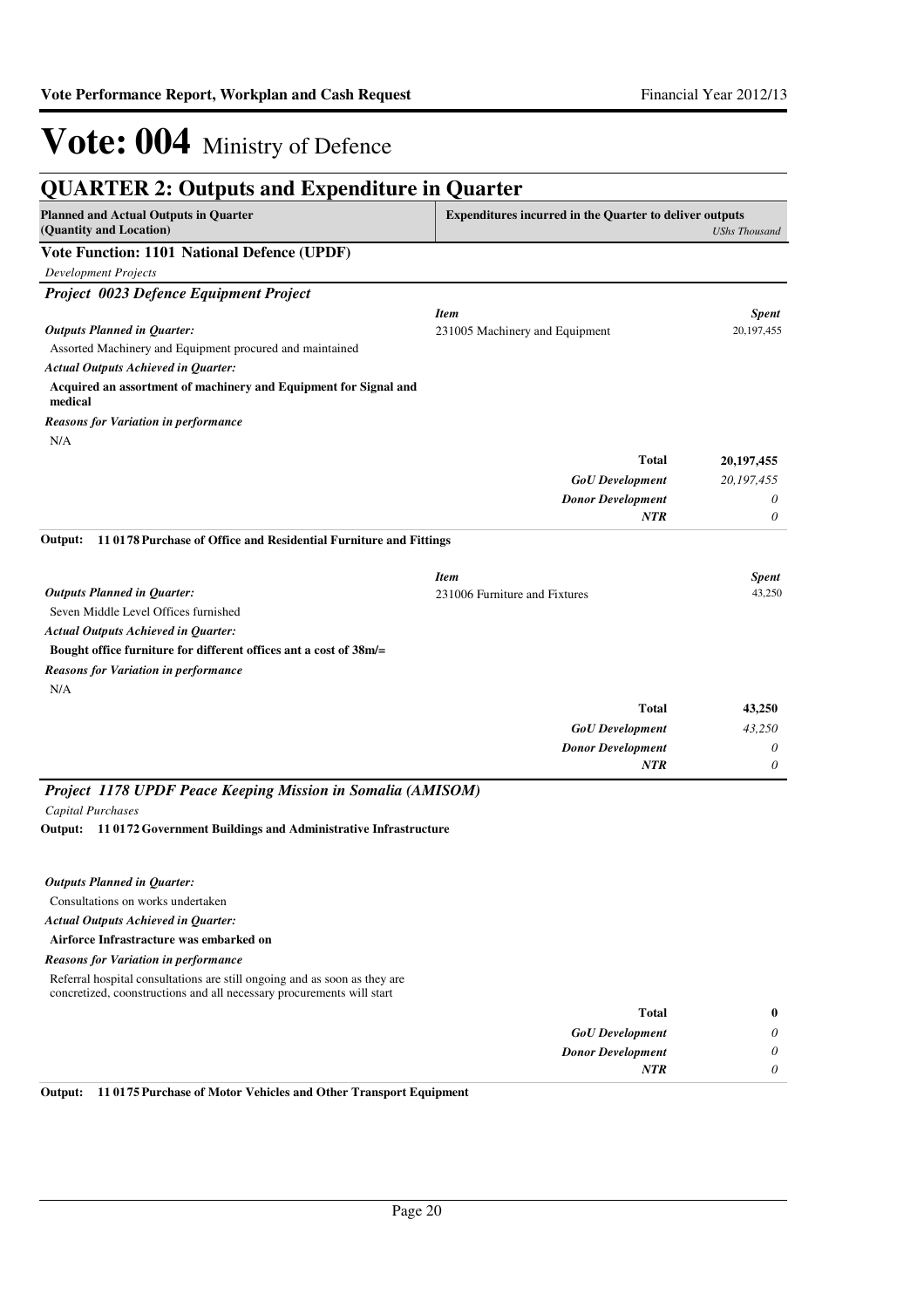| <b>QUARTER 2: Outputs and Expenditure in Quarter</b>                        |                                                                |                      |
|-----------------------------------------------------------------------------|----------------------------------------------------------------|----------------------|
| <b>Planned and Actual Outputs in Quarter</b><br>(Quantity and Location)     | <b>Expenditures incurred in the Quarter to deliver outputs</b> | <b>UShs Thousand</b> |
| Vote Function: 1101 National Defence (UPDF)                                 |                                                                |                      |
| <b>Development Projects</b>                                                 |                                                                |                      |
| Project 0023 Defence Equipment Project                                      |                                                                |                      |
|                                                                             | <b>Item</b>                                                    | <b>Spent</b>         |
| <b>Outputs Planned in Quarter:</b>                                          | 231005 Machinery and Equipment                                 | 20,197,455           |
| Assorted Machinery and Equipment procured and maintained                    |                                                                |                      |
| <b>Actual Outputs Achieved in Quarter:</b>                                  |                                                                |                      |
| Acquired an assortment of machinery and Equipment for Signal and<br>medical |                                                                |                      |
| <b>Reasons for Variation in performance</b><br>N/A                          |                                                                |                      |
|                                                                             | <b>Total</b>                                                   | 20,197,455           |
|                                                                             | <b>GoU</b> Development                                         | 20,197,455           |
|                                                                             | <b>Donor Development</b>                                       | 0                    |
|                                                                             | <b>NTR</b>                                                     | 0                    |
| 110178 Purchase of Office and Residential Furniture and Fittings<br>Output: |                                                                |                      |
|                                                                             | <b>Item</b>                                                    | <b>Spent</b>         |
| <b>Outputs Planned in Quarter:</b>                                          | 231006 Furniture and Fixtures                                  | 43,250               |
| Seven Middle Level Offices furnished                                        |                                                                |                      |
| <b>Actual Outputs Achieved in Quarter:</b>                                  |                                                                |                      |
| Bought office furniture for different offices ant a cost of 38m/=           |                                                                |                      |
| <b>Reasons for Variation in performance</b><br>N/A                          |                                                                |                      |
|                                                                             | <b>Total</b>                                                   | 43,250               |
|                                                                             | <b>GoU</b> Development                                         | 43,250               |
|                                                                             | <b>Donor Development</b>                                       | 0                    |
|                                                                             | <b>NTR</b>                                                     | 0                    |
| Project 1178 UPDF Peace Keeping Mission in Somalia (AMISOM)                 |                                                                |                      |
| <b>Capital Purchases</b>                                                    |                                                                |                      |
| 110172 Government Buildings and Administrative Infrastructure<br>Output:    |                                                                |                      |
|                                                                             |                                                                |                      |
| <b>Outputs Planned in Quarter:</b><br>Consultations on works undertaken     |                                                                |                      |
| <b>Actual Outputs Achieved in Quarter:</b>                                  |                                                                |                      |
| Airforce Infrastracture was embarked on                                     |                                                                |                      |
| <b>Reasons for Variation in performance</b>                                 |                                                                |                      |
| Referral hospital consultations are still ongoing and as soon as they are   |                                                                |                      |
| concretized, coonstructions and all necessary procurements will start       |                                                                |                      |
|                                                                             | Total                                                          | $\bf{0}$             |
|                                                                             | <b>GoU</b> Development                                         | 0                    |
|                                                                             | <b>Donor Development</b>                                       | 0                    |
|                                                                             | <b>NTR</b>                                                     | 0                    |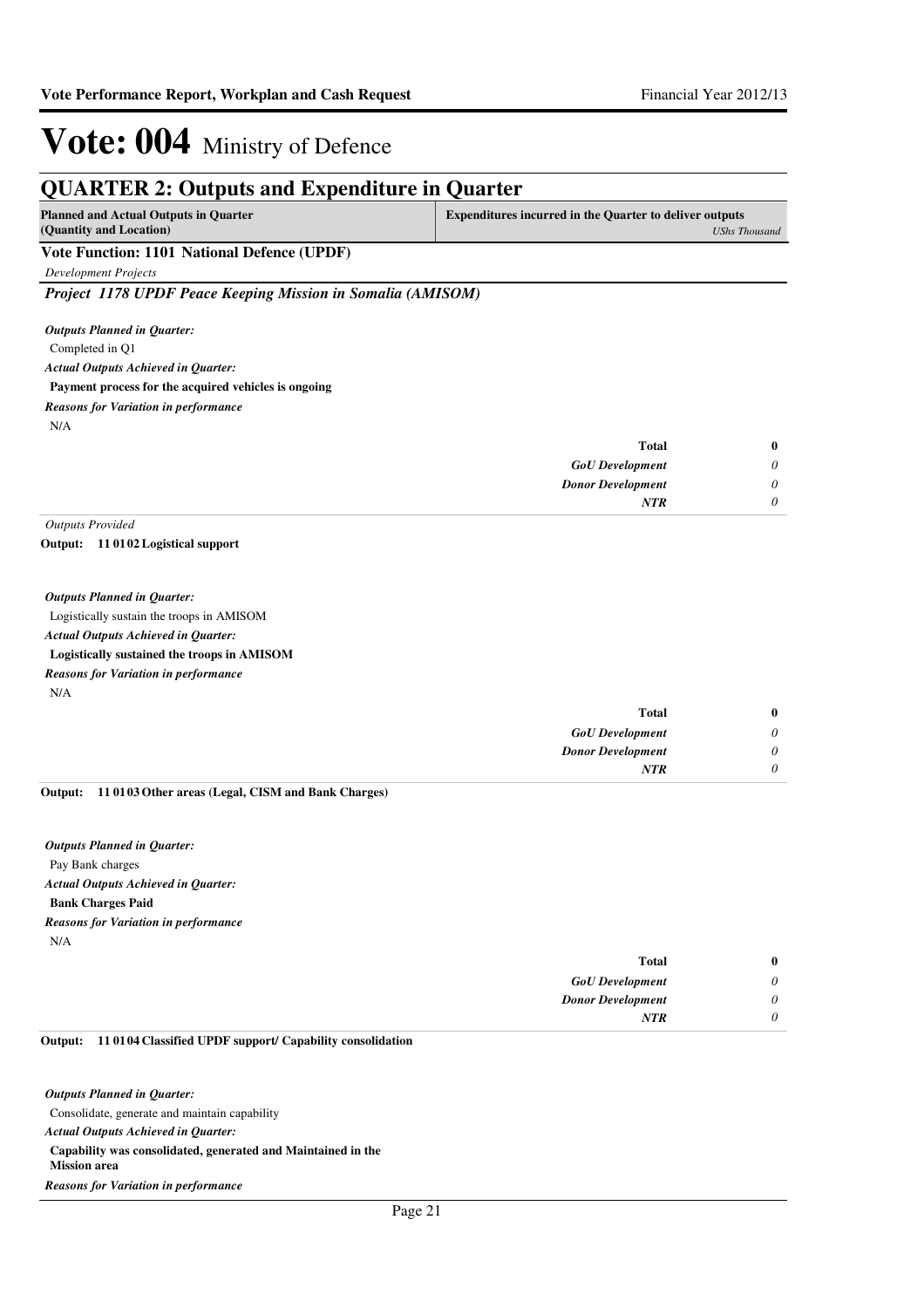|                                                                         | <b>QUARTER 2: Outputs and Expenditure in Quarter</b>           |                      |
|-------------------------------------------------------------------------|----------------------------------------------------------------|----------------------|
| <b>Planned and Actual Outputs in Quarter</b><br>(Quantity and Location) | <b>Expenditures incurred in the Quarter to deliver outputs</b> | <b>UShs Thousand</b> |
| Vote Function: 1101 National Defence (UPDF)                             |                                                                |                      |
| <b>Development Projects</b>                                             |                                                                |                      |
| Project 1178 UPDF Peace Keeping Mission in Somalia (AMISOM)             |                                                                |                      |
| <b>Outputs Planned in Quarter:</b>                                      |                                                                |                      |
| Completed in Q1                                                         |                                                                |                      |
| <b>Actual Outputs Achieved in Quarter:</b>                              |                                                                |                      |
| Payment process for the acquired vehicles is ongoing                    |                                                                |                      |
| <b>Reasons for Variation in performance</b>                             |                                                                |                      |
| N/A                                                                     |                                                                |                      |
|                                                                         | <b>Total</b>                                                   | $\bf{0}$             |
|                                                                         | <b>GoU</b> Development                                         | $\theta$             |
|                                                                         | <b>Donor Development</b>                                       | $\theta$             |
|                                                                         | <b>NTR</b>                                                     | $\theta$             |
| <b>Outputs Provided</b>                                                 |                                                                |                      |
| Output: 11 0102 Logistical support                                      |                                                                |                      |
| <b>Outputs Planned in Quarter:</b>                                      |                                                                |                      |
| Logistically sustain the troops in AMISOM                               |                                                                |                      |
| <b>Actual Outputs Achieved in Quarter:</b>                              |                                                                |                      |
| Logistically sustained the troops in AMISOM                             |                                                                |                      |
| <b>Reasons for Variation in performance</b>                             |                                                                |                      |
| N/A                                                                     |                                                                |                      |
|                                                                         | <b>Total</b>                                                   | $\bf{0}$             |
|                                                                         | <b>GoU</b> Development                                         | 0                    |
|                                                                         | <b>Donor Development</b>                                       | $\theta$             |
|                                                                         | <b>NTR</b>                                                     | 0                    |
| 11 0103 Other areas (Legal, CISM and Bank Charges)<br>Output:           |                                                                |                      |
| <b>Outputs Planned in Quarter:</b>                                      |                                                                |                      |
| Pay Bank charges                                                        |                                                                |                      |
| <b>Actual Outputs Achieved in Quarter:</b>                              |                                                                |                      |
| <b>Bank Charges Paid</b>                                                |                                                                |                      |
| <b>Reasons for Variation in performance</b>                             |                                                                |                      |
| N/A                                                                     |                                                                |                      |

| Total<br>$\bf{0}$             |  |
|-------------------------------|--|
| 0<br><b>GoU</b> Development   |  |
| 0<br><b>Donor Development</b> |  |
| <b>NTR</b>                    |  |

#### **11 0104 Classified UPDF support/ Capability consolidation Output:**

Consolidate, generate and maintain capability **Capability was consolidated, generated and Maintained in the Mission area** *Actual Outputs Achieved in Quarter: Outputs Planned in Quarter: Reasons for Variation in performance*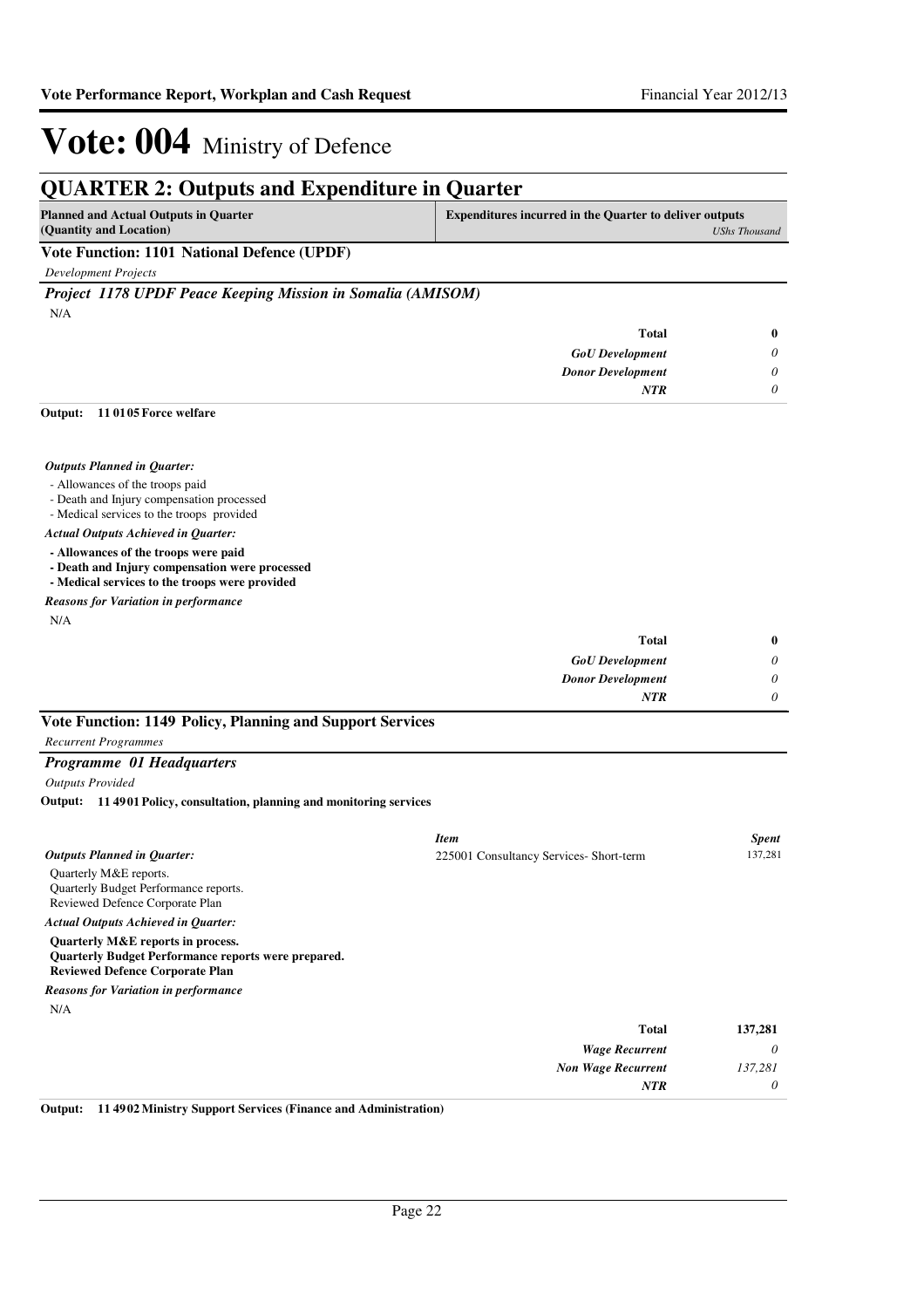## **QUARTER 2: Outputs and Expenditure in Quarter**

| <b>Planned and Actual Outputs in Quarter</b> | Expenditures incurred in the Quarter to deliver outputs |
|----------------------------------------------|---------------------------------------------------------|
| (Quantity and Location)                      | UShs Thousand                                           |
| Vote Eunction: 1101 National Defence (HPDF)  |                                                         |

### **Vote Function: 1101 National Defence (UPDF)**

*Development Projects*

*Project 1178 UPDF Peace Keeping Mission in Somalia (AMISOM)*

N/A

| <b>Total</b>             | $\bf{0}$ |
|--------------------------|----------|
| <b>GoU</b> Development   | 0        |
| <b>Donor Development</b> | $\theta$ |
| <b>NTR</b>               | 0        |

#### **11 0105 Force welfare Output:**

#### *Outputs Planned in Quarter:*

- Allowances of the troops paid
- Death and Injury compensation processed
- Medical services to the troops provided

#### *Actual Outputs Achieved in Quarter:*

**- Allowances of the troops were paid**

- **Death and Injury compensation were processed**
- **Medical services to the troops were provided**

### *Reasons for Variation in performance*

N/A

| $\bf{0}$ | <b>Total</b>             |
|----------|--------------------------|
| 0        | <b>GoU</b> Development   |
| 0        | <b>Donor Development</b> |
| 0        | <b>NTR</b>               |
|          |                          |

### **Vote Function: 1149 Policy, Planning and Support Services**

### *Recurrent Programmes*

#### *Programme 01 Headquarters*

*Outputs Provided*

**11 4901 Policy, consultation, planning and monitoring services Output:**

|                                                                                                                                           | <b>Item</b>                             | <b>Spent</b> |
|-------------------------------------------------------------------------------------------------------------------------------------------|-----------------------------------------|--------------|
| <b>Outputs Planned in Quarter:</b>                                                                                                        | 225001 Consultancy Services- Short-term | 137,281      |
| Quarterly M&E reports.<br>Quarterly Budget Performance reports.<br>Reviewed Defence Corporate Plan                                        |                                         |              |
| <b>Actual Outputs Achieved in Quarter:</b>                                                                                                |                                         |              |
| Quarterly M&E reports in process.<br><b>Quarterly Budget Performance reports were prepared.</b><br><b>Reviewed Defence Corporate Plan</b> |                                         |              |
| <b>Reasons for Variation in performance</b>                                                                                               |                                         |              |
| N/A                                                                                                                                       |                                         |              |
|                                                                                                                                           | <b>Total</b>                            | 137,281      |
|                                                                                                                                           | <b>Wage Recurrent</b>                   | 0            |
|                                                                                                                                           | <b>Non Wage Recurrent</b>               | 137,281      |
|                                                                                                                                           | <b>NTR</b>                              | 0            |

**Output: 11 4902 Ministry Support Services (Finance and Administration)**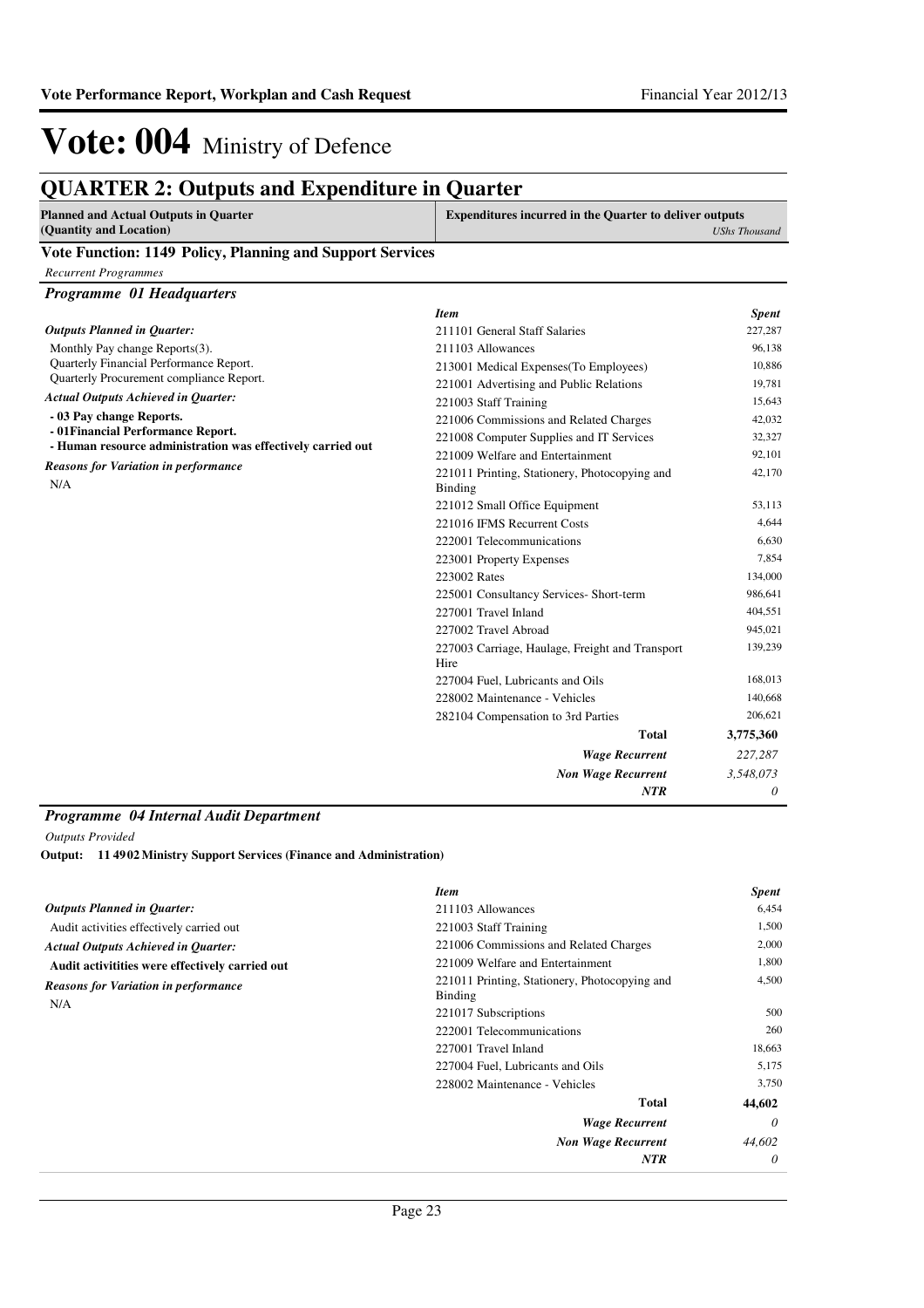## **QUARTER 2: Outputs and Expenditure in Quarter**

| <b>Planned and Actual Outputs in Quarter</b> | <b>Expenditures incurred in the Quarter to deliver outputs</b> |
|----------------------------------------------|----------------------------------------------------------------|
| (Quantity and Location)                      | <b>UShs Thousand</b>                                           |

### **Vote Function: 1149 Policy, Planning and Support Services**

*Recurrent Programmes*

|  |  | <b>Programme 01 Headquarters</b> |
|--|--|----------------------------------|
|--|--|----------------------------------|

|                                                                                                   | <b>Item</b>                                              | <b>Spent</b>               |
|---------------------------------------------------------------------------------------------------|----------------------------------------------------------|----------------------------|
| <b>Outputs Planned in Ouarter:</b>                                                                | 211101 General Staff Salaries                            | 227,287                    |
| Monthly Pay change Reports(3).                                                                    | 211103 Allowances                                        | 96,138                     |
| Quarterly Financial Performance Report.                                                           | 213001 Medical Expenses (To Employees)                   | 10,886                     |
| Quarterly Procurement compliance Report.                                                          | 221001 Advertising and Public Relations                  | 19,781                     |
| <b>Actual Outputs Achieved in Quarter:</b>                                                        | 221003 Staff Training                                    | 15,643                     |
| - 03 Pay change Reports.                                                                          | 221006 Commissions and Related Charges                   | 42,032                     |
| - 01 Financial Performance Report.<br>- Human resource administration was effectively carried out | 221008 Computer Supplies and IT Services                 | 32,327<br>92,101<br>42,170 |
|                                                                                                   | 221009 Welfare and Entertainment                         |                            |
| <b>Reasons for Variation in performance</b><br>N/A                                                | 221011 Printing, Stationery, Photocopying and<br>Binding |                            |
|                                                                                                   | 221012 Small Office Equipment                            | 53,113                     |
|                                                                                                   | 221016 IFMS Recurrent Costs                              | 4,644                      |
|                                                                                                   | 222001 Telecommunications                                | 6,630                      |
|                                                                                                   | 223001 Property Expenses                                 | 7,854                      |
|                                                                                                   | 223002 Rates                                             | 134,000                    |
|                                                                                                   | 225001 Consultancy Services- Short-term                  | 986,641                    |
|                                                                                                   | 227001 Travel Inland                                     | 404,551                    |
|                                                                                                   | 227002 Travel Abroad                                     | 945,021                    |
|                                                                                                   | 227003 Carriage, Haulage, Freight and Transport<br>Hire  | 139,239                    |
|                                                                                                   | 227004 Fuel, Lubricants and Oils                         | 168,013                    |
|                                                                                                   | 228002 Maintenance - Vehicles                            | 140,668                    |
|                                                                                                   | 282104 Compensation to 3rd Parties                       | 206,621                    |
|                                                                                                   | <b>Total</b>                                             | 3,775,360                  |
|                                                                                                   | <b>Wage Recurrent</b>                                    | 227,287                    |
|                                                                                                   | <b>Non Wage Recurrent</b>                                | 3,548,073                  |
|                                                                                                   | <b>NTR</b>                                               | 0                          |
|                                                                                                   |                                                          |                            |

### *Programme 04 Internal Audit Department*

*Outputs Provided*

**11 4902 Ministry Support Services (Finance and Administration) Output:**

|                                                    | <b>Item</b>                                              | <b>Spent</b> |
|----------------------------------------------------|----------------------------------------------------------|--------------|
| <b>Outputs Planned in Quarter:</b>                 | 211103 Allowances                                        | 6,454        |
| Audit activities effectively carried out           | 221003 Staff Training                                    | 1,500        |
| <b>Actual Outputs Achieved in Quarter:</b>         | 221006 Commissions and Related Charges                   | 2,000        |
| Audit activitities were effectively carried out    | 221009 Welfare and Entertainment                         | 1,800        |
| <b>Reasons for Variation in performance</b><br>N/A | 221011 Printing, Stationery, Photocopying and<br>Binding | 4,500        |
|                                                    | 221017 Subscriptions                                     | 500          |
|                                                    | 222001 Telecommunications                                | 260          |
|                                                    | 227001 Travel Inland                                     | 18,663       |
|                                                    | 227004 Fuel, Lubricants and Oils                         | 5,175        |
|                                                    | 228002 Maintenance - Vehicles                            | 3,750        |
|                                                    | Total                                                    | 44,602       |
|                                                    | <b>Wage Recurrent</b>                                    | $\theta$     |
|                                                    | <b>Non Wage Recurrent</b>                                | 44,602       |
|                                                    | <b>NTR</b>                                               | 0            |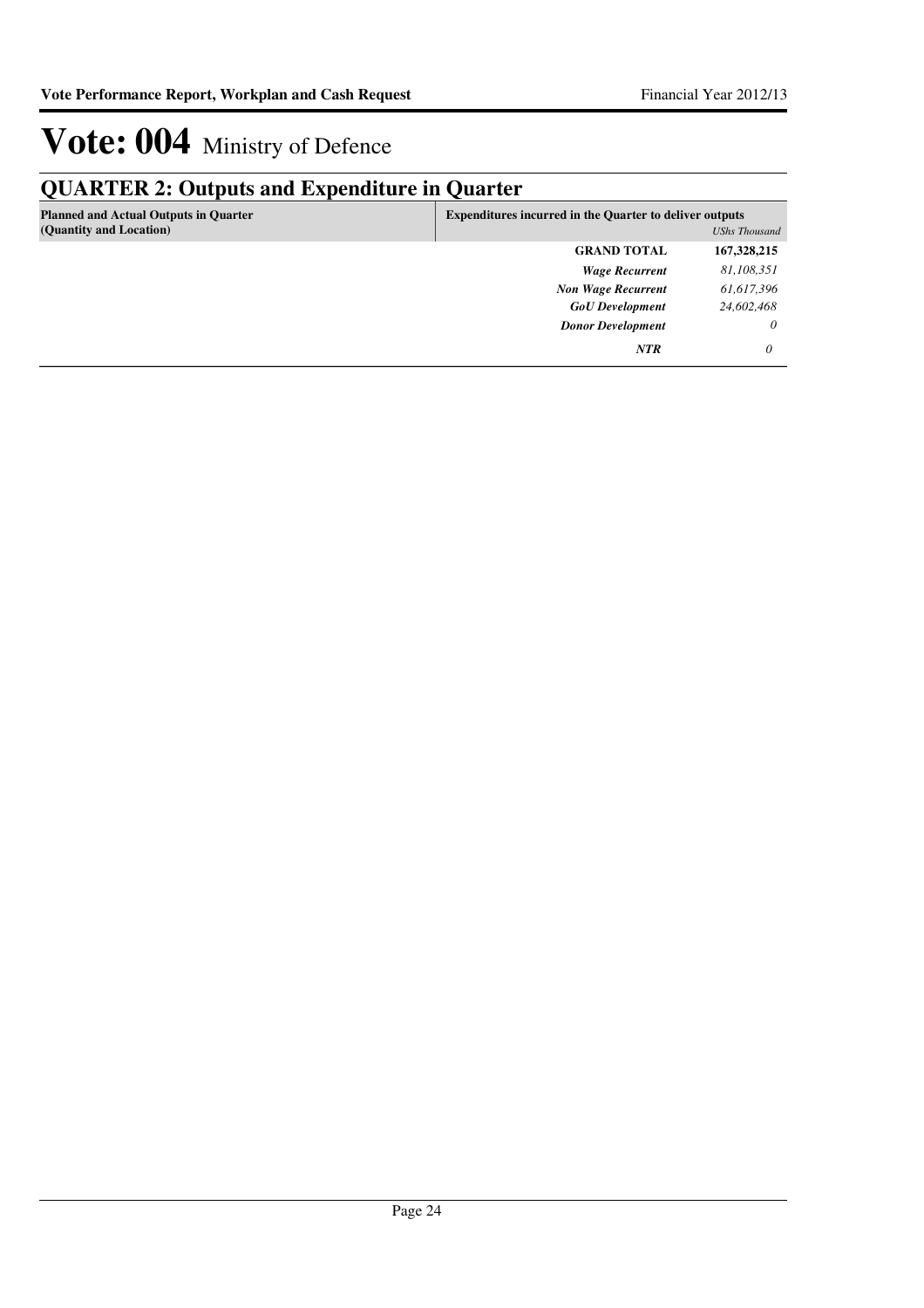## **QUARTER 2: Outputs and Expenditure in Quarter**

| <b>Planned and Actual Outputs in Quarter</b><br>(Quantity and Location) |                           | <b>Expenditures incurred in the Quarter to deliver outputs</b><br><b>UShs Thousand</b> |  |  |
|-------------------------------------------------------------------------|---------------------------|----------------------------------------------------------------------------------------|--|--|
|                                                                         | <b>GRAND TOTAL</b>        | 167,328,215                                                                            |  |  |
|                                                                         | <b>Wage Recurrent</b>     | 81,108,351                                                                             |  |  |
|                                                                         | <b>Non Wage Recurrent</b> | 61,617,396                                                                             |  |  |
|                                                                         | <b>GoU</b> Development    | 24,602,468                                                                             |  |  |
|                                                                         | <b>Donor Development</b>  | $\theta$                                                                               |  |  |
|                                                                         | <b>NTR</b>                | 0                                                                                      |  |  |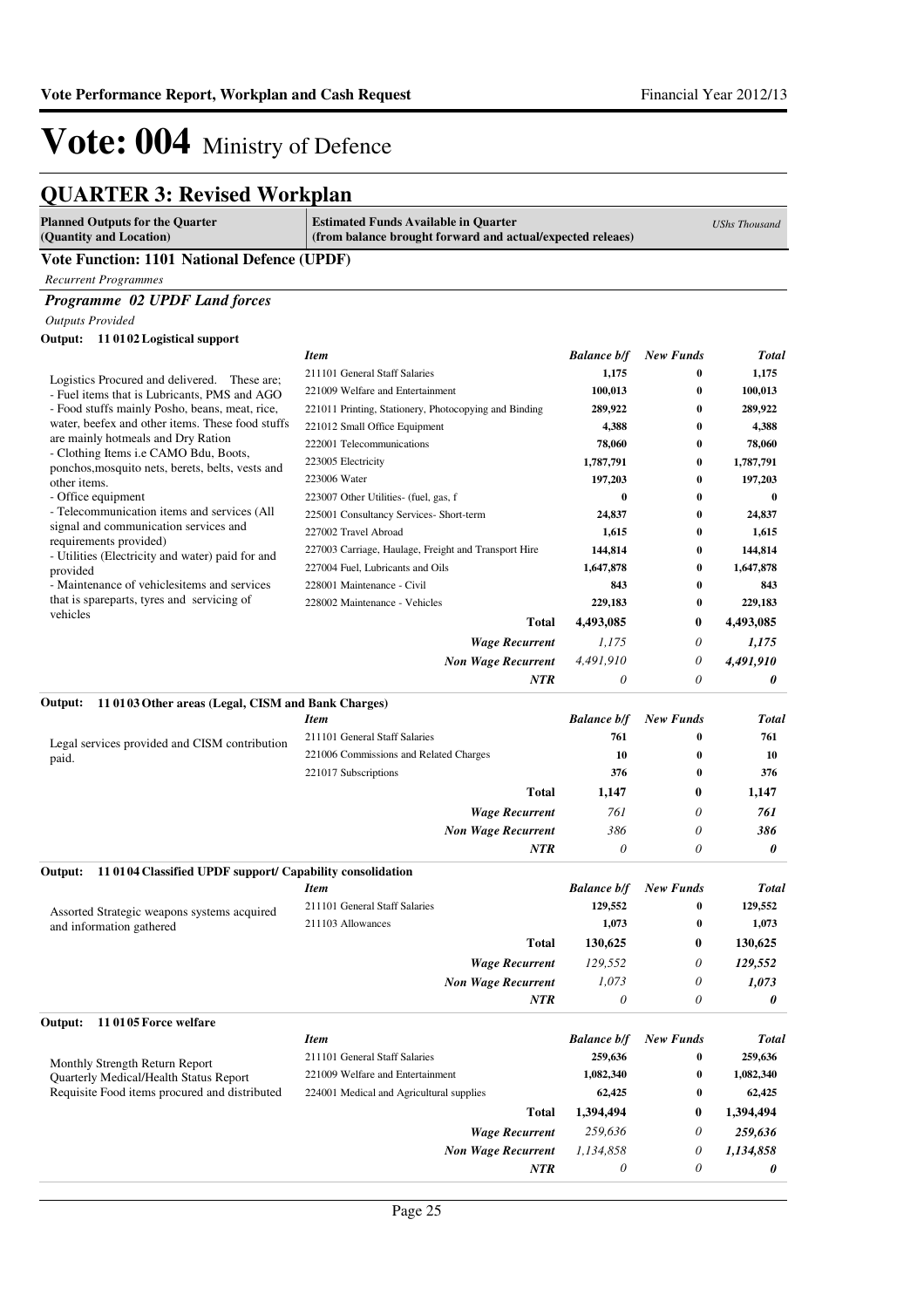## **QUARTER 3: Revised Workplan**

| <b>Planned Outputs for the Quarter</b><br>(Quantity and Location)                         | <b>Estimated Funds Available in Quarter</b><br>(from balance brought forward and actual/expected releaes) |                               |                       | <b>UShs Thousand</b> |
|-------------------------------------------------------------------------------------------|-----------------------------------------------------------------------------------------------------------|-------------------------------|-----------------------|----------------------|
| <b>Vote Function: 1101 National Defence (UPDF)</b>                                        |                                                                                                           |                               |                       |                      |
| <b>Recurrent Programmes</b>                                                               |                                                                                                           |                               |                       |                      |
| Programme 02 UPDF Land forces                                                             |                                                                                                           |                               |                       |                      |
| <b>Outputs Provided</b>                                                                   |                                                                                                           |                               |                       |                      |
| Output: 11 0102 Logistical support                                                        |                                                                                                           |                               |                       |                      |
|                                                                                           | <b>Item</b>                                                                                               | <b>Balance b/f</b>            | <b>New Funds</b>      | <b>Total</b>         |
| Logistics Procured and delivered. These are;                                              | 211101 General Staff Salaries                                                                             | 1,175                         | $\bf{0}$              | 1,175                |
| - Fuel items that is Lubricants, PMS and AGO                                              | 221009 Welfare and Entertainment                                                                          | 100,013                       | $\bf{0}$              | 100,013              |
| - Food stuffs mainly Posho, beans, meat, rice,                                            | 221011 Printing, Stationery, Photocopying and Binding                                                     | 289,922                       | $\bf{0}$              | 289,922              |
| water, beefex and other items. These food stuffs                                          | 221012 Small Office Equipment                                                                             | 4,388                         | 0                     | 4,388                |
| are mainly hotmeals and Dry Ration<br>- Clothing Items i.e CAMO Bdu, Boots,               | 222001 Telecommunications                                                                                 | 78,060                        | $\bf{0}$              | 78,060               |
| ponchos, mosquito nets, berets, belts, vests and                                          | 223005 Electricity                                                                                        | 1,787,791                     | $\bf{0}$              | 1,787,791            |
| other items.                                                                              | 223006 Water                                                                                              | 197,203                       | 0                     | 197,203              |
| - Office equipment<br>- Telecommunication items and services (All                         | 223007 Other Utilities- (fuel, gas, f                                                                     | $\bf{0}$                      | $\bf{0}$              | $\bf{0}$             |
| signal and communication services and                                                     | 225001 Consultancy Services- Short-term                                                                   | 24,837                        | $\bf{0}$              | 24,837               |
| requirements provided)                                                                    | 227002 Travel Abroad                                                                                      | 1,615                         | 0                     | 1,615                |
| - Utilities (Electricity and water) paid for and                                          | 227003 Carriage, Haulage, Freight and Transport Hire                                                      | 144,814                       | 0                     | 144,814              |
| provided                                                                                  | 227004 Fuel, Lubricants and Oils                                                                          | 1,647,878                     | $\bf{0}$              | 1,647,878            |
| - Maintenance of vehiclesitems and services<br>that is spareparts, tyres and servicing of | 228001 Maintenance - Civil                                                                                | 843                           | 0                     | 843                  |
| vehicles                                                                                  | 228002 Maintenance - Vehicles                                                                             | 229,183                       | $\bf{0}$              | 229,183              |
|                                                                                           | <b>Total</b>                                                                                              | 4,493,085                     | 0                     | 4,493,085            |
|                                                                                           | <b>Wage Recurrent</b>                                                                                     | 1,175                         | $\theta$              | 1,175                |
|                                                                                           | <b>Non Wage Recurrent</b>                                                                                 | 4,491,910                     | $\theta$              | 4,491,910            |
|                                                                                           | NTR                                                                                                       | 0                             | $\theta$              | 0                    |
| 11 0103 Other areas (Legal, CISM and Bank Charges)<br>Output:                             |                                                                                                           |                               |                       |                      |
|                                                                                           | <b>Item</b>                                                                                               | <b>Balance b/f</b>            | <b>New Funds</b>      | <b>Total</b>         |
| Legal services provided and CISM contribution                                             | 211101 General Staff Salaries                                                                             | 761                           | 0                     | 761                  |
| paid.                                                                                     | 221006 Commissions and Related Charges                                                                    | 10                            | 0                     | 10                   |
|                                                                                           | 221017 Subscriptions                                                                                      | 376                           | $\bf{0}$              | 376                  |
|                                                                                           | <b>Total</b>                                                                                              | 1,147                         | $\bf{0}$              | 1,147                |
|                                                                                           | <b>Wage Recurrent</b>                                                                                     | 761                           | 0                     | 761                  |
|                                                                                           | <b>Non Wage Recurrent</b>                                                                                 | 386                           | 0                     | 386                  |
|                                                                                           | NTR                                                                                                       | 0                             | 0                     | 0                    |
| 11 0104 Classified UPDF support/ Capability consolidation<br>Output:                      |                                                                                                           |                               |                       |                      |
|                                                                                           | <b>Item</b>                                                                                               | <b>Balance b/f</b>            | <b>New Funds</b>      | <b>Total</b>         |
| Assorted Strategic weapons systems acquired                                               | 211101 General Staff Salaries                                                                             | 129,552                       | $\bf{0}$              | 129,552              |
| and information gathered                                                                  | 211103 Allowances                                                                                         | 1,073                         | $\bf{0}$              | 1,073                |
|                                                                                           | <b>Total</b>                                                                                              | 130,625                       | 0                     | 130,625              |
|                                                                                           | <b>Wage Recurrent</b>                                                                                     | 129,552                       | 0                     | 129,552              |
|                                                                                           | <b>Non Wage Recurrent</b>                                                                                 | 1,073                         | 0                     | 1,073                |
|                                                                                           | NTR                                                                                                       | $\theta$                      | 0                     | 0                    |
|                                                                                           |                                                                                                           |                               |                       |                      |
| 110105 Force welfare<br>Output:                                                           |                                                                                                           |                               |                       |                      |
|                                                                                           | <b>Item</b><br>211101 General Staff Salaries                                                              | <b>Balance b/f</b><br>259,636 | <b>New Funds</b><br>0 | <b>Total</b>         |
| Monthly Strength Return Report                                                            | 221009 Welfare and Entertainment                                                                          |                               |                       | 259,636              |
| Quarterly Medical/Health Status Report<br>Requisite Food items procured and distributed   |                                                                                                           | 1,082,340                     | 0<br>$\boldsymbol{0}$ | 1,082,340            |
|                                                                                           | 224001 Medical and Agricultural supplies                                                                  | 62,425                        |                       | 62,425               |
|                                                                                           | <b>Total</b>                                                                                              | 1,394,494                     | 0                     | 1,394,494            |
|                                                                                           | <b>Wage Recurrent</b>                                                                                     | 259,636                       | 0                     | 259,636              |
|                                                                                           | <b>Non Wage Recurrent</b>                                                                                 | 1,134,858                     | 0                     | 1,134,858            |
|                                                                                           | NTR                                                                                                       | 0                             | 0                     | 0                    |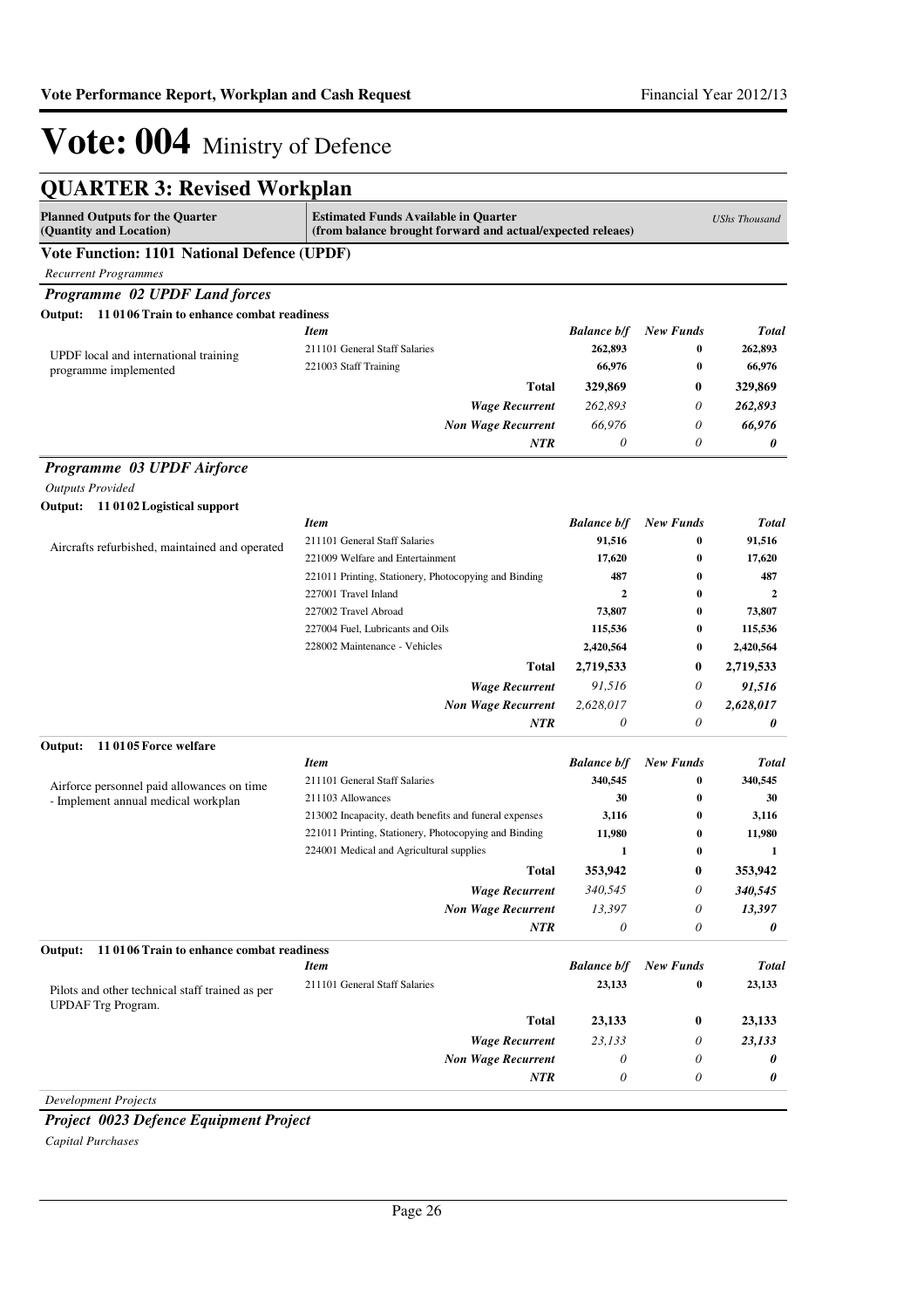| <b>QUARTER 3: Revised Workplan</b>                                                |                                                                                                           |                           |                  |                      |  |
|-----------------------------------------------------------------------------------|-----------------------------------------------------------------------------------------------------------|---------------------------|------------------|----------------------|--|
| <b>Planned Outputs for the Quarter</b><br>(Quantity and Location)                 | <b>Estimated Funds Available in Quarter</b><br>(from balance brought forward and actual/expected releaes) |                           |                  | <b>UShs Thousand</b> |  |
| <b>Vote Function: 1101 National Defence (UPDF)</b>                                |                                                                                                           |                           |                  |                      |  |
| <b>Recurrent Programmes</b>                                                       |                                                                                                           |                           |                  |                      |  |
| Programme 02 UPDF Land forces                                                     |                                                                                                           |                           |                  |                      |  |
| 11 0106 Train to enhance combat readiness<br>Output:                              |                                                                                                           |                           |                  |                      |  |
|                                                                                   | <b>Item</b>                                                                                               | <b>Balance b/f</b>        | <b>New Funds</b> | Total                |  |
| UPDF local and international training                                             | 211101 General Staff Salaries                                                                             | 262,893                   | $\bf{0}$         | 262,893              |  |
| programme implemented                                                             | 221003 Staff Training                                                                                     | 66,976                    | $\bf{0}$         | 66,976               |  |
|                                                                                   | <b>Total</b>                                                                                              | 329,869                   | 0                | 329,869              |  |
|                                                                                   | <b>Wage Recurrent</b>                                                                                     | 262,893                   | 0                | 262,893              |  |
|                                                                                   | <b>Non Wage Recurrent</b>                                                                                 | 66,976                    | 0                | 66,976               |  |
|                                                                                   | NTR                                                                                                       | 0                         | 0                | 0                    |  |
| Programme 03 UPDF Airforce                                                        |                                                                                                           |                           |                  |                      |  |
| <b>Outputs Provided</b>                                                           |                                                                                                           |                           |                  |                      |  |
| Output: 11 0102 Logistical support                                                |                                                                                                           |                           |                  |                      |  |
|                                                                                   | <b>Item</b>                                                                                               | <b>Balance b/f</b>        | <b>New Funds</b> | Total                |  |
| Aircrafts refurbished, maintained and operated                                    | 211101 General Staff Salaries                                                                             | 91,516                    | 0                | 91,516               |  |
|                                                                                   | 221009 Welfare and Entertainment                                                                          | 17,620                    | 0                | 17,620               |  |
|                                                                                   | 221011 Printing, Stationery, Photocopying and Binding                                                     | 487                       | $\bf{0}$         | 487                  |  |
|                                                                                   | 227001 Travel Inland                                                                                      | $\overline{2}$            | $\bf{0}$         | $\mathbf{2}$         |  |
|                                                                                   | 227002 Travel Abroad                                                                                      | 73,807                    | $\bf{0}$         | 73,807               |  |
|                                                                                   | 227004 Fuel, Lubricants and Oils                                                                          | 115,536                   | 0                | 115,536              |  |
|                                                                                   | 228002 Maintenance - Vehicles                                                                             | 2,420,564                 | 0                | 2,420,564            |  |
|                                                                                   | <b>Total</b>                                                                                              | 2,719,533                 | $\bf{0}$         | 2,719,533            |  |
|                                                                                   | <b>Wage Recurrent</b>                                                                                     | 91,516                    | 0                | 91,516               |  |
|                                                                                   | <b>Non Wage Recurrent</b>                                                                                 | 2,628,017                 | 0                | 2,628,017            |  |
|                                                                                   | NTR                                                                                                       | 0                         | 0                | 0                    |  |
| 110105 Force welfare<br>Output:                                                   | <b>Item</b>                                                                                               | <b>Balance b/f</b>        | <b>New Funds</b> | Total                |  |
|                                                                                   | 211101 General Staff Salaries                                                                             | 340,545                   | $\bf{0}$         | 340,545              |  |
| Airforce personnel paid allowances on time<br>- Implement annual medical workplan | 211103 Allowances                                                                                         | 30                        | $\bf{0}$         | 30                   |  |
|                                                                                   | 213002 Incapacity, death benefits and funeral expenses                                                    | 3,116                     | $\bf{0}$         | 3,116                |  |
|                                                                                   | 221011 Printing, Stationery, Photocopying and Binding                                                     | 11,980                    | $\bf{0}$         | 11,980               |  |
|                                                                                   | 224001 Medical and Agricultural supplies                                                                  | 1                         | $\bf{0}$         | $\mathbf{1}$         |  |
|                                                                                   | Total                                                                                                     | 353,942                   | 0                | 353,942              |  |
|                                                                                   | <b>Wage Recurrent</b>                                                                                     | 340,545                   | 0                | 340,545              |  |
|                                                                                   | <b>Non Wage Recurrent</b>                                                                                 | 13,397                    | 0                | 13,397               |  |
|                                                                                   | NTR                                                                                                       | $\boldsymbol{\mathit{0}}$ | 0                | 0                    |  |
| Output:<br>110106 Train to enhance combat readiness                               |                                                                                                           |                           |                  |                      |  |
|                                                                                   | <b>Item</b>                                                                                               | <b>Balance b/f</b>        | <b>New Funds</b> | <b>Total</b>         |  |
| Pilots and other technical staff trained as per<br><b>UPDAF</b> Trg Program.      | 211101 General Staff Salaries                                                                             | 23,133                    | 0                | 23,133               |  |
|                                                                                   | <b>Total</b>                                                                                              | 23,133                    | $\bf{0}$         | 23,133               |  |
|                                                                                   | <b>Wage Recurrent</b>                                                                                     | 23,133                    | 0                | 23,133               |  |
|                                                                                   | <b>Non Wage Recurrent</b>                                                                                 | 0                         | 0                | 0                    |  |
|                                                                                   | <b>NTR</b>                                                                                                | $\boldsymbol{\mathit{0}}$ | 0                | 0                    |  |
| <b>Development Projects</b>                                                       |                                                                                                           |                           |                  |                      |  |

*Project 0023 Defence Equipment Project Capital Purchases*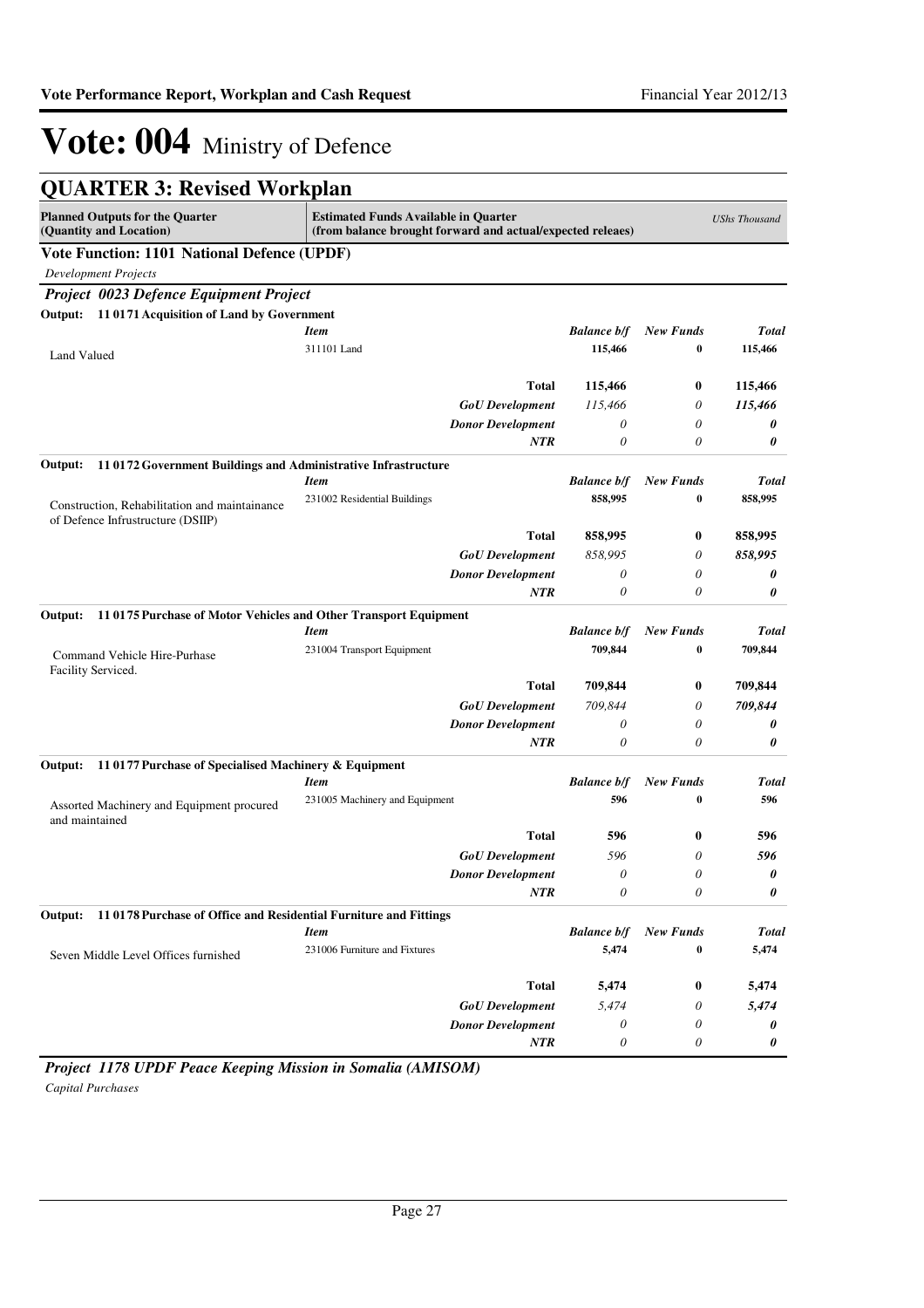|  |  |  | <b>QUARTER 3: Revised Workplan</b> |
|--|--|--|------------------------------------|
|--|--|--|------------------------------------|

| <b>Planned Outputs for the Quarter</b><br>(Quantity and Location)                  | <b>Estimated Funds Available in Quarter</b><br>(from balance brought forward and actual/expected releaes) |                       |                  | <b>UShs Thousand</b> |
|------------------------------------------------------------------------------------|-----------------------------------------------------------------------------------------------------------|-----------------------|------------------|----------------------|
| <b>Vote Function: 1101 National Defence (UPDF)</b>                                 |                                                                                                           |                       |                  |                      |
| <b>Development Projects</b>                                                        |                                                                                                           |                       |                  |                      |
| Project 0023 Defence Equipment Project                                             |                                                                                                           |                       |                  |                      |
| Output: 11 0171 Acquisition of Land by Government                                  |                                                                                                           |                       |                  |                      |
|                                                                                    | <b>Item</b>                                                                                               | <b>Balance b/f</b>    | <b>New Funds</b> | <b>Total</b>         |
| Land Valued                                                                        | 311101 Land                                                                                               | 115,466               | 0                | 115,466              |
|                                                                                    |                                                                                                           |                       |                  |                      |
|                                                                                    | <b>Total</b>                                                                                              | 115,466               | 0                | 115,466              |
|                                                                                    | <b>GoU</b> Development                                                                                    | 115,466               | 0                | 115,466              |
|                                                                                    | <b>Donor Development</b>                                                                                  | 0                     | 0                | 0                    |
|                                                                                    | <b>NTR</b>                                                                                                | 0                     | 0                | 0                    |
| 11 0172 Government Buildings and Administrative Infrastructure<br>Output:          |                                                                                                           |                       |                  |                      |
|                                                                                    | <b>Item</b>                                                                                               | <b>Balance b/f</b>    | <b>New Funds</b> | <b>Total</b>         |
| Construction, Rehabilitation and maintainance<br>of Defence Infrustructure (DSIIP) | 231002 Residential Buildings                                                                              | 858,995               | $\bf{0}$         | 858,995              |
|                                                                                    | <b>Total</b>                                                                                              | 858,995               | 0                | 858,995              |
|                                                                                    | <b>GoU</b> Development                                                                                    | 858,995               | 0                | 858,995              |
|                                                                                    | <b>Donor Development</b>                                                                                  | $\boldsymbol{\theta}$ | 0                | 0                    |
|                                                                                    | <b>NTR</b>                                                                                                | 0                     | 0                | 0                    |
| Output:<br>110175 Purchase of Motor Vehicles and Other Transport Equipment         |                                                                                                           |                       |                  |                      |
|                                                                                    | <b>Item</b>                                                                                               | <b>Balance b/f</b>    | <b>New Funds</b> | <b>Total</b>         |
| Command Vehicle Hire-Purhase<br>Facility Serviced.                                 | 231004 Transport Equipment                                                                                | 709,844               | $\bf{0}$         | 709,844              |
|                                                                                    | <b>Total</b>                                                                                              | 709,844               | 0                | 709,844              |
|                                                                                    | <b>GoU</b> Development                                                                                    | 709,844               | 0                | 709,844              |
|                                                                                    | <b>Donor Development</b>                                                                                  | 0                     | 0                | 0                    |
|                                                                                    | <b>NTR</b>                                                                                                | $\theta$              | 0                | 0                    |
| 11 0177 Purchase of Specialised Machinery & Equipment<br>Output:                   |                                                                                                           |                       |                  |                      |
|                                                                                    | <b>Item</b>                                                                                               | <b>Balance b/f</b>    | <b>New Funds</b> | <b>Total</b>         |
| Assorted Machinery and Equipment procured<br>and maintained                        | 231005 Machinery and Equipment                                                                            | 596                   | $\bf{0}$         | 596                  |
|                                                                                    | <b>Total</b>                                                                                              | 596                   | 0                | 596                  |
|                                                                                    | <b>GoU</b> Development                                                                                    | 596                   | 0                | 596                  |
|                                                                                    | <b>Donor Development</b>                                                                                  | $\theta$              | 0                | 0                    |
|                                                                                    | NTR                                                                                                       | $\boldsymbol{\theta}$ | 0                | 0                    |
| 11 0178 Purchase of Office and Residential Furniture and Fittings<br>Output:       |                                                                                                           |                       |                  |                      |
|                                                                                    | <b>Item</b>                                                                                               | <b>Balance b/f</b>    | <b>New Funds</b> | <b>Total</b>         |
| Seven Middle Level Offices furnished                                               | 231006 Furniture and Fixtures                                                                             | 5,474                 | $\bf{0}$         | 5,474                |
|                                                                                    | <b>Total</b>                                                                                              | 5,474                 | 0                | 5,474                |
|                                                                                    | <b>GoU</b> Development                                                                                    | 5,474                 | 0                | 5,474                |
|                                                                                    | <b>Donor Development</b>                                                                                  | 0                     | 0                | 0                    |
|                                                                                    | NTR                                                                                                       | $\theta$              | 0                | 0                    |

*Project 1178 UPDF Peace Keeping Mission in Somalia (AMISOM) Capital Purchases*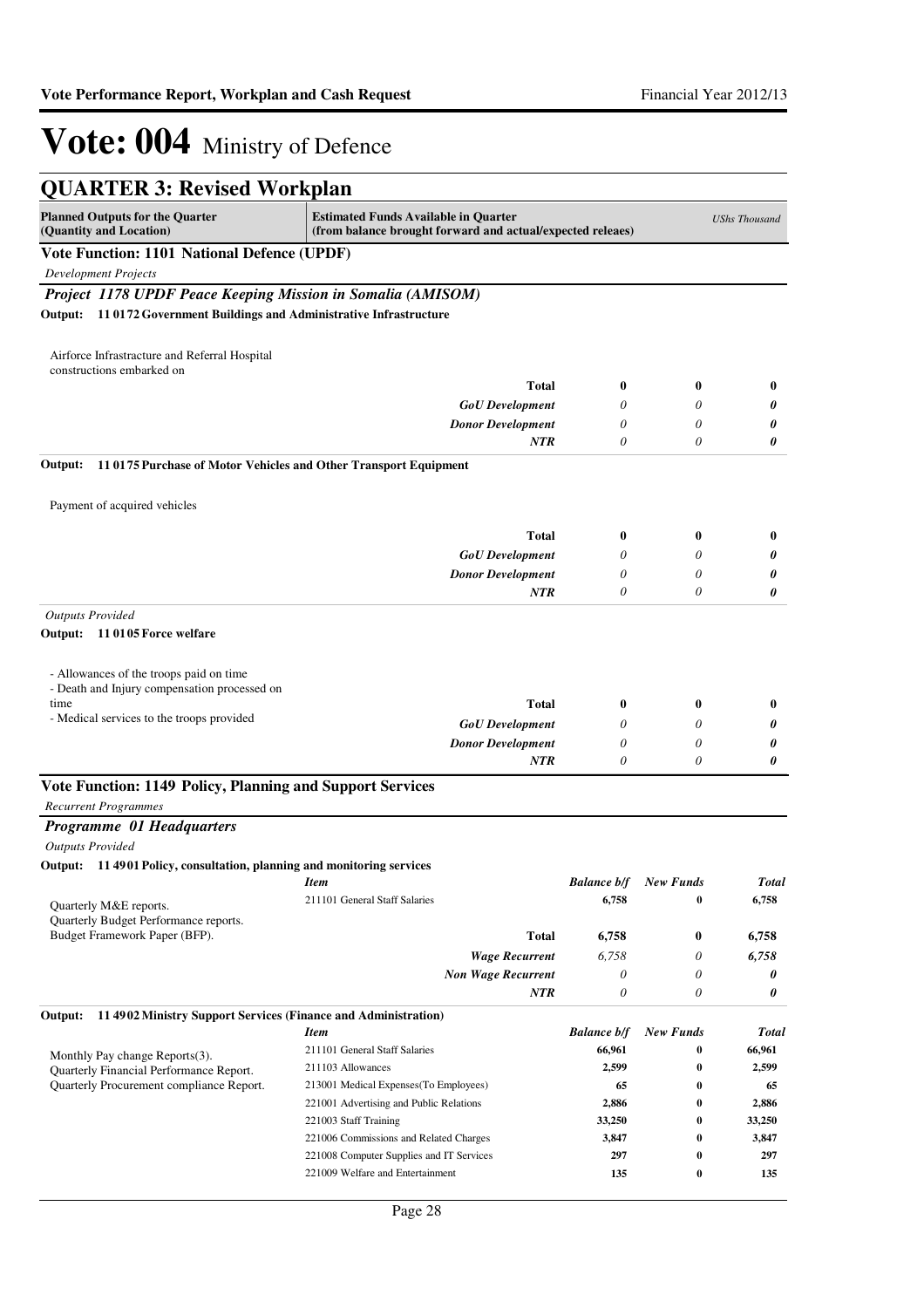| <b>QUARTER 3: Revised Workplan</b>                                         |                                                                                                           |                    |                  |                      |
|----------------------------------------------------------------------------|-----------------------------------------------------------------------------------------------------------|--------------------|------------------|----------------------|
| <b>Planned Outputs for the Quarter</b><br>(Quantity and Location)          | <b>Estimated Funds Available in Quarter</b><br>(from balance brought forward and actual/expected releaes) |                    |                  | <b>UShs Thousand</b> |
| <b>Vote Function: 1101 National Defence (UPDF)</b>                         |                                                                                                           |                    |                  |                      |
| <b>Development Projects</b>                                                |                                                                                                           |                    |                  |                      |
| Project 1178 UPDF Peace Keeping Mission in Somalia (AMISOM)                |                                                                                                           |                    |                  |                      |
| Output: 11 0172 Government Buildings and Administrative Infrastructure     |                                                                                                           |                    |                  |                      |
|                                                                            |                                                                                                           |                    |                  |                      |
| Airforce Infrastracture and Referral Hospital<br>constructions embarked on |                                                                                                           |                    |                  |                      |
|                                                                            | Total                                                                                                     | 0                  | 0                | $\bf{0}$             |
|                                                                            | <b>GoU</b> Development                                                                                    | 0                  | 0                | 0                    |
|                                                                            | <b>Donor Development</b>                                                                                  | 0                  | 0                | 0                    |
|                                                                            | NTR                                                                                                       | 0                  | 0                | 0                    |
| Output:<br>110175 Purchase of Motor Vehicles and Other Transport Equipment |                                                                                                           |                    |                  |                      |
| Payment of acquired vehicles                                               |                                                                                                           |                    |                  |                      |
|                                                                            | Total                                                                                                     | 0                  | 0                | $\bf{0}$             |
|                                                                            | <b>GoU</b> Development                                                                                    | 0                  | 0                | 0                    |
|                                                                            | <b>Donor Development</b>                                                                                  | 0                  | 0                | 0                    |
|                                                                            | NTR                                                                                                       | 0                  | 0                | 0                    |
| <b>Outputs Provided</b>                                                    |                                                                                                           |                    |                  |                      |
| Output: 11 0105 Force welfare                                              |                                                                                                           |                    |                  |                      |
| - Allowances of the troops paid on time                                    |                                                                                                           |                    |                  |                      |
| - Death and Injury compensation processed on                               |                                                                                                           |                    |                  |                      |
| time                                                                       | Total                                                                                                     | 0                  | 0                | 0                    |
| - Medical services to the troops provided                                  | <b>GoU</b> Development                                                                                    | 0                  | 0                | 0                    |
|                                                                            | <b>Donor Development</b>                                                                                  | 0                  | 0                | 0                    |
|                                                                            | NTR                                                                                                       | 0                  | 0                | 0                    |
| Vote Function: 1149 Policy, Planning and Support Services                  |                                                                                                           |                    |                  |                      |
| <b>Recurrent Programmes</b>                                                |                                                                                                           |                    |                  |                      |
| Programme 01 Headquarters                                                  |                                                                                                           |                    |                  |                      |
| <b>Outputs Provided</b>                                                    |                                                                                                           |                    |                  |                      |
| Output: 11 4901 Policy, consultation, planning and monitoring services     |                                                                                                           |                    |                  |                      |
|                                                                            | <b>Item</b><br>211101 General Staff Salaries                                                              | <b>Balance b/f</b> | <b>New Funds</b> | <b>Total</b>         |
| Quarterly M&E reports.                                                     |                                                                                                           | 6,758              | 0                | 6,758                |
| Quarterly Budget Performance reports.<br>Budget Framework Paper (BFP).     | Total                                                                                                     | 6,758              | 0                | 6,758                |
|                                                                            | <b>Wage Recurrent</b>                                                                                     | 6,758              | 0                | 6,758                |
|                                                                            | <b>Non Wage Recurrent</b>                                                                                 | 0                  | 0                | 0                    |
|                                                                            | NTR                                                                                                       | 0                  | 0                | 0                    |
| Output:<br>11 4902 Ministry Support Services (Finance and Administration)  |                                                                                                           |                    |                  |                      |
|                                                                            | <b>Item</b>                                                                                               | <b>Balance b/f</b> | <b>New Funds</b> | <b>Total</b>         |
|                                                                            | 211101 General Staff Salaries                                                                             | 66,961             | 0                | 66,961               |
| Monthly Pay change Reports(3).<br>Quarterly Financial Performance Report.  | 211103 Allowances                                                                                         | 2,599              | $\bf{0}$         | 2,599                |
| Quarterly Procurement compliance Report.                                   | 213001 Medical Expenses (To Employees)                                                                    | 65                 | $\bf{0}$         | 65                   |
|                                                                            | 221001 Advertising and Public Relations                                                                   | 2,886              | $\bf{0}$         | 2,886                |
|                                                                            | 221003 Staff Training                                                                                     | 33,250             | $\bf{0}$         | 33,250               |
|                                                                            | 221006 Commissions and Related Charges                                                                    | 3,847              | $\bf{0}$         | 3,847                |
|                                                                            | 221008 Computer Supplies and IT Services                                                                  | 297                | $\bf{0}$         | 297                  |
|                                                                            | 221009 Welfare and Entertainment                                                                          | 135                | $\bf{0}$         | 135                  |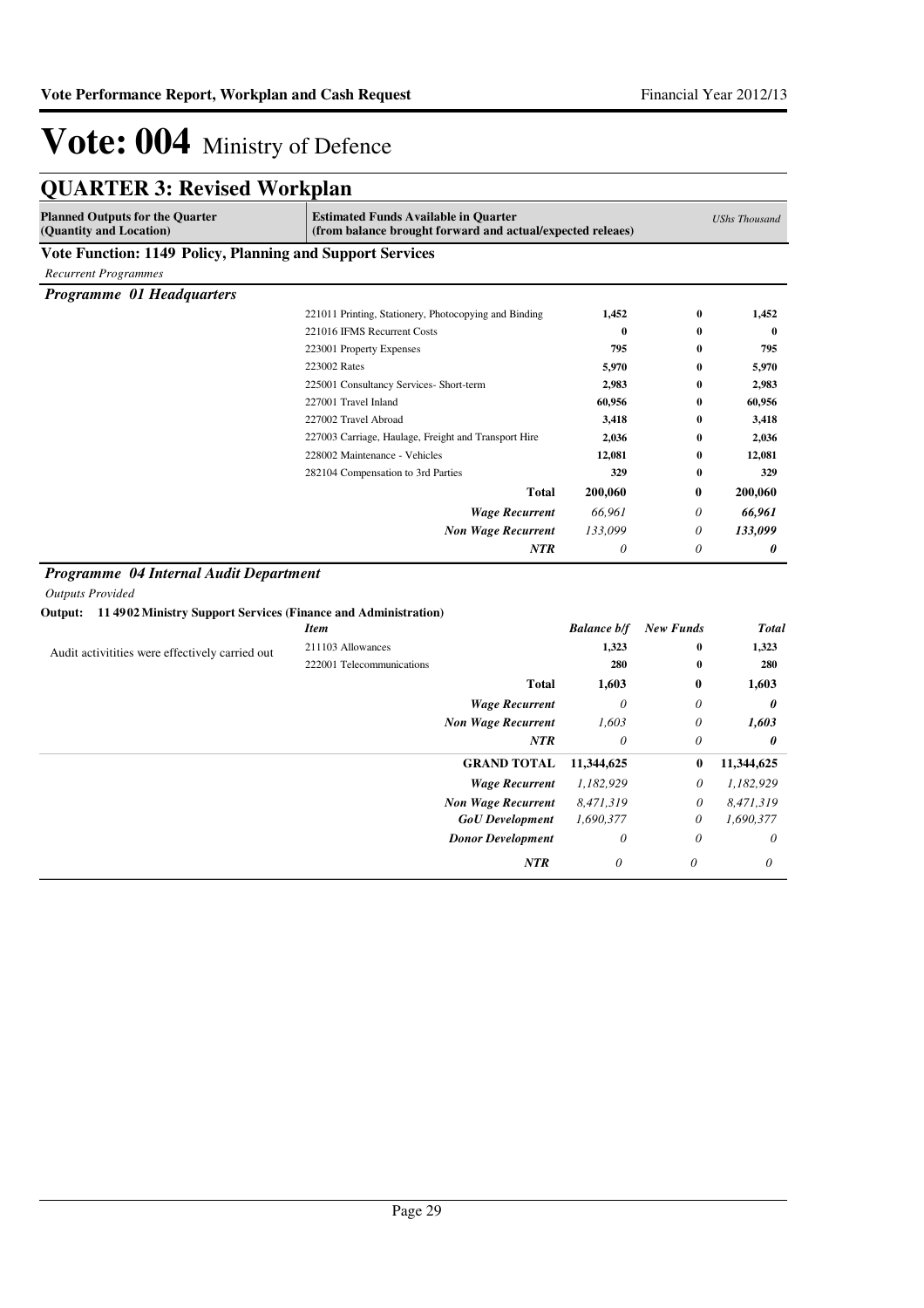|  | <b>QUARTER 3: Revised Workplan</b> |
|--|------------------------------------|
|--|------------------------------------|

| <b>Planned Outputs for the Quarter</b><br>(Quantity and Location)      | <b>Estimated Funds Available in Quarter</b><br>(from balance brought forward and actual/expected releaes) |                    |                  | <b>UShs Thousand</b> |
|------------------------------------------------------------------------|-----------------------------------------------------------------------------------------------------------|--------------------|------------------|----------------------|
| Vote Function: 1149 Policy, Planning and Support Services              |                                                                                                           |                    |                  |                      |
| <b>Recurrent Programmes</b>                                            |                                                                                                           |                    |                  |                      |
| Programme 01 Headquarters                                              |                                                                                                           |                    |                  |                      |
|                                                                        | 221011 Printing, Stationery, Photocopying and Binding                                                     | 1,452              | 0                | 1,452                |
|                                                                        | 221016 IFMS Recurrent Costs                                                                               | $\bf{0}$           | $\bf{0}$         | $\bf{0}$             |
|                                                                        | 223001 Property Expenses                                                                                  | 795                | 0                | 795                  |
|                                                                        | 223002 Rates                                                                                              | 5,970              | 0                | 5,970                |
|                                                                        | 225001 Consultancy Services- Short-term                                                                   | 2,983              | 0                | 2,983                |
|                                                                        | 227001 Travel Inland                                                                                      | 60,956             | 0                | 60,956               |
|                                                                        | 227002 Travel Abroad                                                                                      | 3,418              | 0                | 3,418                |
|                                                                        | 227003 Carriage, Haulage, Freight and Transport Hire                                                      | 2,036              | $\bf{0}$         | 2,036                |
|                                                                        | 228002 Maintenance - Vehicles                                                                             | 12,081             | 0                | 12,081               |
|                                                                        | 282104 Compensation to 3rd Parties                                                                        | 329                | $\bf{0}$         | 329                  |
|                                                                        | <b>Total</b>                                                                                              | 200,060            | 0                | 200,060              |
|                                                                        | <b>Wage Recurrent</b>                                                                                     | 66,961             | 0                | 66,961               |
|                                                                        | <b>Non Wage Recurrent</b>                                                                                 | 133,099            | 0                | 133,099              |
|                                                                        | NTR                                                                                                       | $\theta$           | 0                | 0                    |
| Programme 04 Internal Audit Department                                 |                                                                                                           |                    |                  |                      |
| <b>Outputs Provided</b>                                                |                                                                                                           |                    |                  |                      |
| Output: 11 4902 Ministry Support Services (Finance and Administration) | <b>Item</b>                                                                                               | <b>Balance b/f</b> | <b>New Funds</b> | <b>Total</b>         |
|                                                                        | 211103 Allowances                                                                                         | 1,323              | $\bf{0}$         | 1,323                |
| Audit activitities were effectively carried out                        | 222001 Telecommunications                                                                                 | 280                | $\bf{0}$         | 280                  |
|                                                                        |                                                                                                           |                    |                  |                      |
|                                                                        | <b>Total</b>                                                                                              | 1,603              | $\bf{0}$         | 1,603                |
|                                                                        | <b>Wage Recurrent</b>                                                                                     | $\theta$           | 0                | 0                    |
|                                                                        | <b>Non Wage Recurrent</b>                                                                                 | 1.603              | 0                | 1,603                |
|                                                                        | <b>NTR</b>                                                                                                | $\theta$           | 0                | 0                    |
|                                                                        | <b>GRAND TOTAL</b>                                                                                        | 11,344,625         | 0                | 11,344,625           |
|                                                                        | <b>Wage Recurrent</b>                                                                                     | 1,182,929          | 0                | 1,182,929            |
|                                                                        | <b>Non Wage Recurrent</b>                                                                                 | 8,471,319          | 0                | 8,471,319            |
|                                                                        | <b>GoU</b> Development                                                                                    | 1,690,377          | $\theta$         | 1,690,377            |
|                                                                        | <b>Donor Development</b>                                                                                  | $\theta$           | $\theta$         | $\theta$             |
|                                                                        | <b>NTR</b>                                                                                                | 0                  | 0                | 0                    |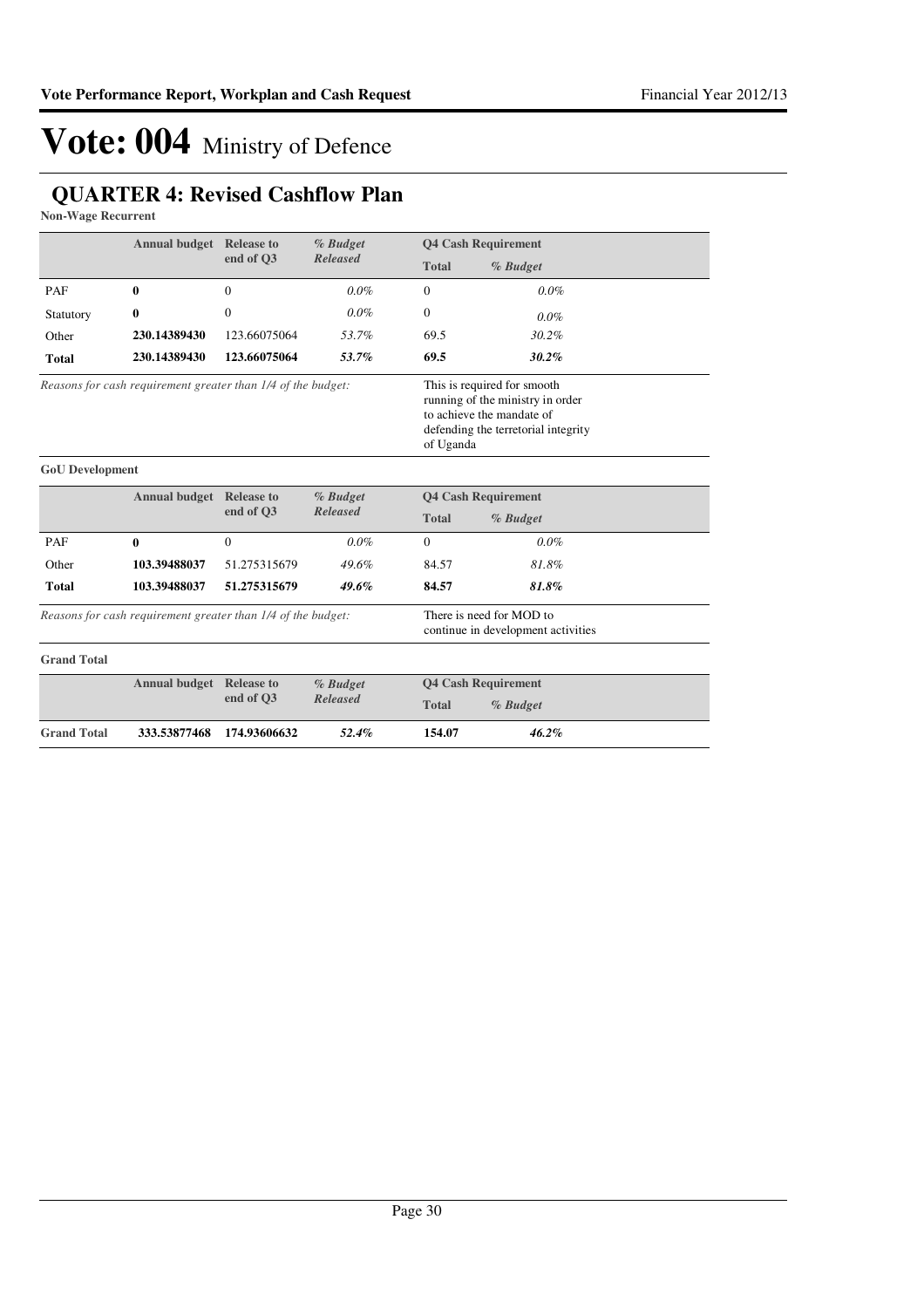## **QUARTER 4: Revised Cashflow Plan**

**Non-Wage Recurrent**

|                                                                                                                                                                                                                  | <b>Annual budget Release to</b>                       |                               | % Budget                                                       |                            | <b>Q4 Cash Requirement</b> |  |
|------------------------------------------------------------------------------------------------------------------------------------------------------------------------------------------------------------------|-------------------------------------------------------|-------------------------------|----------------------------------------------------------------|----------------------------|----------------------------|--|
|                                                                                                                                                                                                                  |                                                       | end of O3                     | <b>Released</b>                                                | <b>Total</b>               | % Budget                   |  |
| PAF                                                                                                                                                                                                              | 0                                                     | $\Omega$                      | $0.0\%$                                                        | $\Omega$                   | $0.0\%$                    |  |
| Statutory                                                                                                                                                                                                        | 0                                                     | $\Omega$                      | $0.0\%$                                                        | $\Omega$                   | $0.0\%$                    |  |
| Other                                                                                                                                                                                                            | 230.14389430                                          | 123.66075064                  | 53.7%                                                          | 69.5                       | $30.2\%$                   |  |
| <b>Total</b>                                                                                                                                                                                                     | 230.14389430                                          | 123.66075064                  | 53.7%                                                          | 69.5                       | 30.2%                      |  |
| This is required for smooth<br>Reasons for cash requirement greater than 1/4 of the budget:<br>running of the ministry in order<br>to achieve the mandate of<br>defending the terretorial integrity<br>of Uganda |                                                       |                               |                                                                |                            |                            |  |
| <b>GoU</b> Development                                                                                                                                                                                           |                                                       |                               |                                                                |                            |                            |  |
|                                                                                                                                                                                                                  | <b>Annual budget</b>                                  | <b>Release to</b><br>% Budget |                                                                |                            | <b>Q4 Cash Requirement</b> |  |
|                                                                                                                                                                                                                  |                                                       | end of O3                     | <b>Released</b>                                                | <b>Total</b>               | % Budget                   |  |
| PAF                                                                                                                                                                                                              | $\bf{0}$                                              | $\Omega$                      | $0.0\%$                                                        | $\mathbf{0}$               | $0.0\%$                    |  |
| Other                                                                                                                                                                                                            | 103.39488037                                          | 51.275315679                  | 49.6%                                                          | 84.57                      | 81.8%                      |  |
| <b>Total</b>                                                                                                                                                                                                     | 103.39488037                                          | 51.275315679                  | 49.6%                                                          | 84.57                      | 81.8%                      |  |
| Reasons for cash requirement greater than 1/4 of the budget:                                                                                                                                                     |                                                       |                               | There is need for MOD to<br>continue in development activities |                            |                            |  |
| <b>Grand Total</b>                                                                                                                                                                                               |                                                       |                               |                                                                |                            |                            |  |
|                                                                                                                                                                                                                  | <b>Annual budget</b><br><b>Release to</b><br>% Budget |                               |                                                                | <b>Q4 Cash Requirement</b> |                            |  |
|                                                                                                                                                                                                                  |                                                       | end of Q3                     | <b>Released</b>                                                | <b>Total</b>               | % Budget                   |  |
| <b>Grand Total</b>                                                                                                                                                                                               | 333.53877468                                          | 174.93606632                  | 52.4%                                                          | 154.07                     | 46.2%                      |  |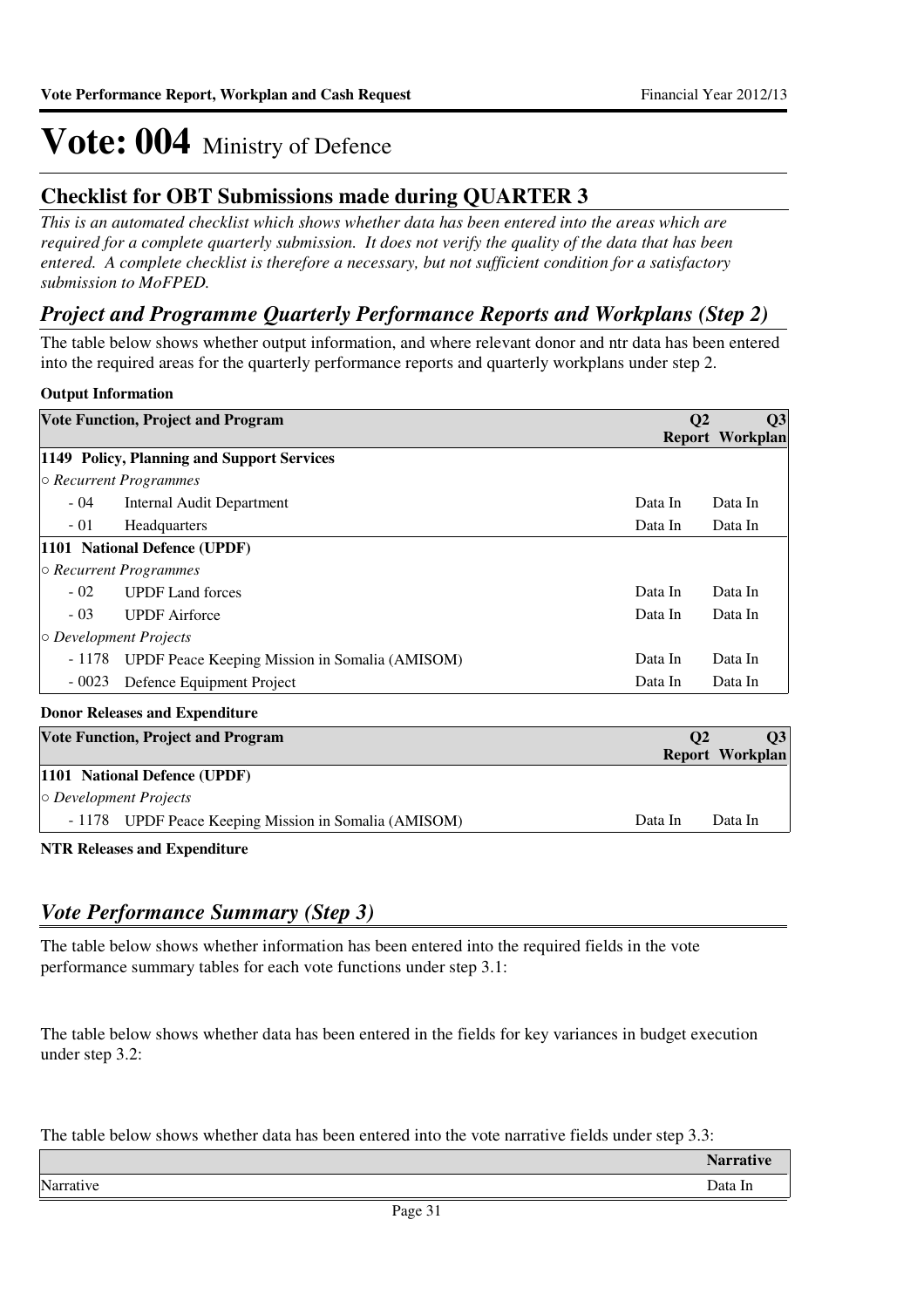### **Checklist for OBT Submissions made during QUARTER 3**

*This is an automated checklist which shows whether data has been entered into the areas which are required for a complete quarterly submission. It does not verify the quality of the data that has been entered. A complete checklist is therefore a necessary, but not sufficient condition for a satisfactory submission to MoFPED.*

### *Project and Programme Quarterly Performance Reports and Workplans (Step 2)*

The table below shows whether output information, and where relevant donor and ntr data has been entered into the required areas for the quarterly performance reports and quarterly workplans under step 2.

### **Output Information**

|                              | <b>Vote Function, Project and Program</b>      | Q <sub>2</sub> | Q <sub>3</sub>         |
|------------------------------|------------------------------------------------|----------------|------------------------|
|                              |                                                |                | <b>Report Workplan</b> |
|                              | 1149 Policy, Planning and Support Services     |                |                        |
|                              | $\circ$ Recurrent Programmes                   |                |                        |
| $-04$                        | Internal Audit Department                      | Data In        | Data In                |
| $-01$                        | <b>Headquarters</b>                            | Data In        | Data In                |
|                              | 1101 National Defence (UPDF)                   |                |                        |
|                              | $\circ$ Recurrent Programmes                   |                |                        |
| $-02$                        | <b>UPDF</b> Land forces                        | Data In        | Data In                |
| $-03$                        | <b>UPDF</b> Airforce                           | Data In        | Data In                |
| $\circ$ Development Projects |                                                |                |                        |
| - 1178                       | UPDF Peace Keeping Mission in Somalia (AMISOM) | Data In        | Data In                |
| $-0023$                      | Defence Equipment Project                      | Data In        | Data In                |

#### **Donor Releases and Expenditure**

| <b>Vote Function, Project and Program</b>             | <b>O2</b> |                 |
|-------------------------------------------------------|-----------|-----------------|
|                                                       |           | Report Workplan |
| 1101 National Defence (UPDF)                          |           |                 |
| $\circ$ Development Projects                          |           |                 |
| - 1178 UPDF Peace Keeping Mission in Somalia (AMISOM) | Data In   | Data In         |
|                                                       |           |                 |

**NTR Releases and Expenditure**

### *Vote Performance Summary (Step 3)*

The table below shows whether information has been entered into the required fields in the vote performance summary tables for each vote functions under step 3.1:

The table below shows whether data has been entered in the fields for key variances in budget execution under step 3.2:

The table below shows whether data has been entered into the vote narrative fields under step 3.3:

|           | <b>Narrative</b> |
|-----------|------------------|
| Narrative | Data In          |
|           |                  |